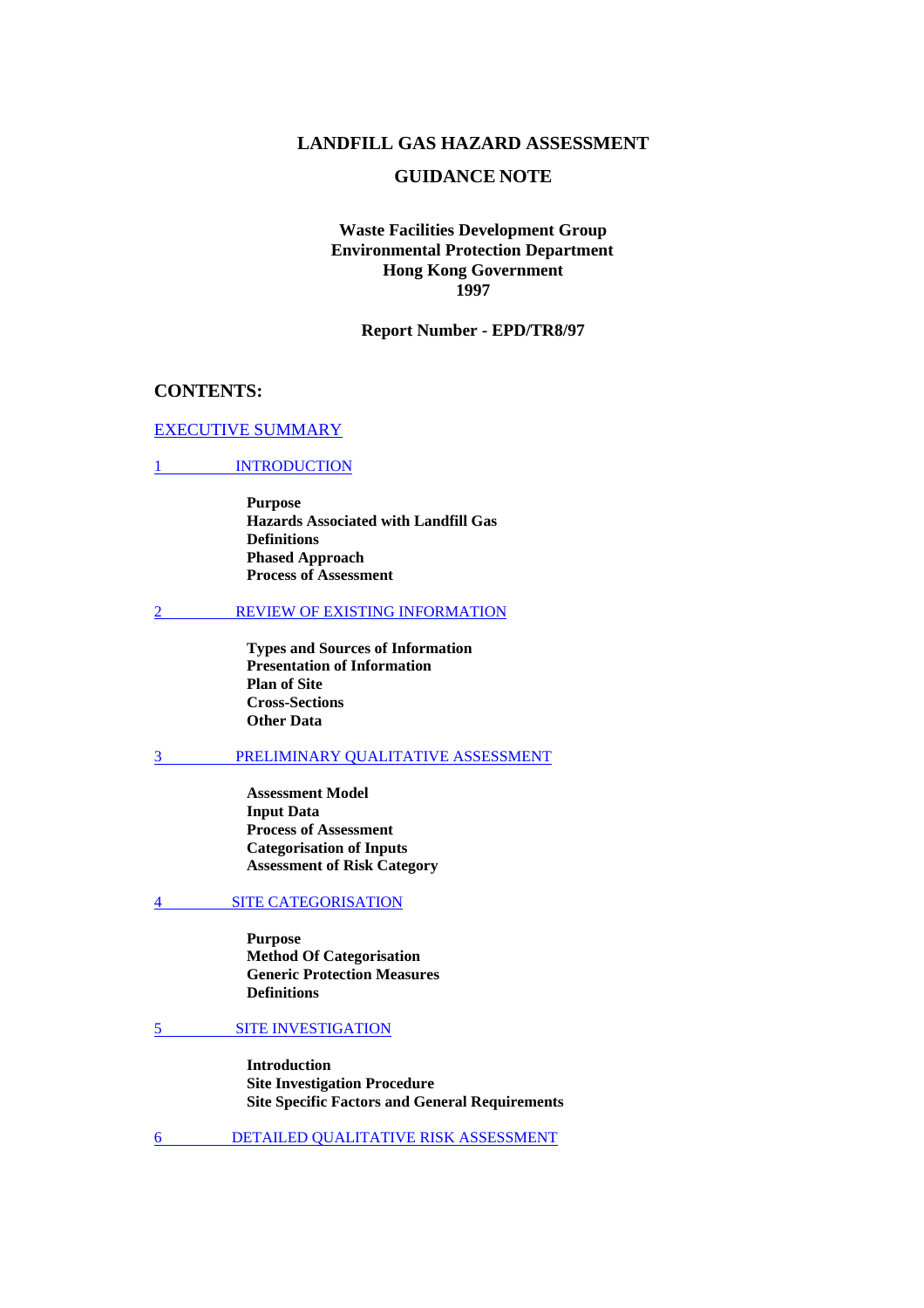# **LANDFILL GAS HAZARD ASSESSMENT**

# **GUIDANCE NOTE**

# **Waste Facilities Development Group Environmental Protection Department Hong Kong Government 1997**

#### **Report Number - EPD/TR8/97**

### **CONTENTS:**

#### [EXECUTIVE SUMMARY](#page-2-0)

# 1 **INTRODUCTION**

**Purpose Hazards Associated with Landfill Gas Definitions Phased Approach Process of Assessment** 

#### [2 REVIEW OF EXISTING INFORMATION](#page-11-0)

**Types and Sources of Information Presentation of Information Plan of Site Cross-Sections Other Data** 

#### [3 PRELIMINARY QUALITATIVE ASSESSMENT](#page-15-0)

**Assessment Model Input Data Process of Assessment Categorisation of Inputs Assessment of Risk Category** 

#### [4 SITE CATEGORISATION](#page-24-0)

**Purpose Method Of Categorisation Generic Protection Measures Definitions** 

#### [5 SITE INVESTIGATION](#page-27-0)

**Introduction Site Investigation Procedure Site Specific Factors and General Requirements** 

[6 DETAILED QUALITATIVE RISK ASSESSMENT](#page-31-0)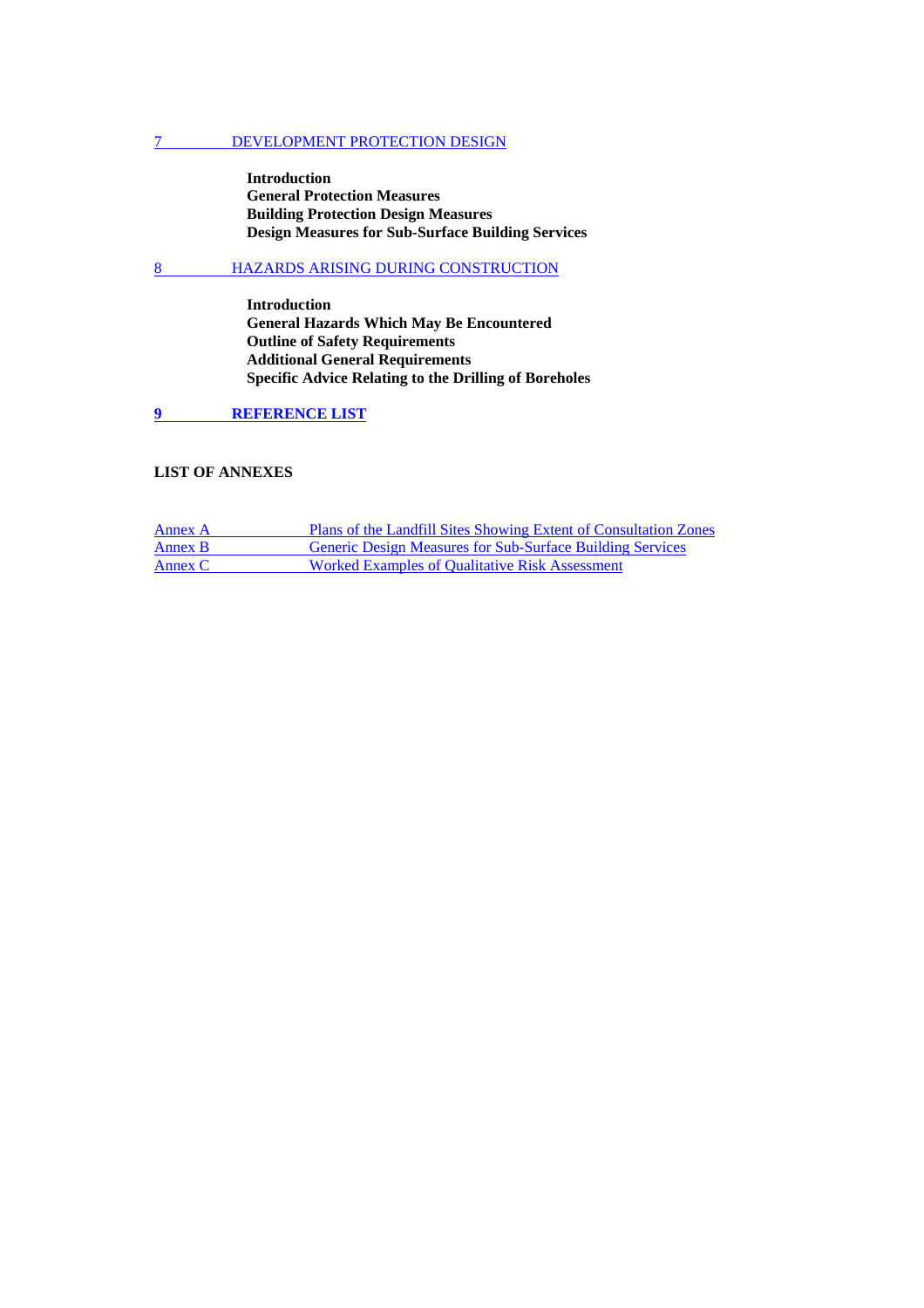#### [7 DEVELOPMENT PROTECTION DESIGN](#page-32-0)

**Introduction General Protection Measures Building Protection Design Measures Design Measures for Sub-Surface Building Services** 

# [8 HAZARDS ARISING DURING CONSTRUCTION](#page-44-0)

**Introduction General Hazards Which May Be Encountered Outline of Safety Requirements Additional General Requirements Specific Advice Relating to the Drilling of Boreholes** 

**[9 REFERENCE LIST](#page-53-0)** 

### **LIST OF ANNEXES**

| Annex A | Plans of the Landfill Sites Showing Extent of Consultation Zones |
|---------|------------------------------------------------------------------|
| Annex B | <b>Generic Design Measures for Sub-Surface Building Services</b> |
| Annex C | Worked Examples of Qualitative Risk Assessment                   |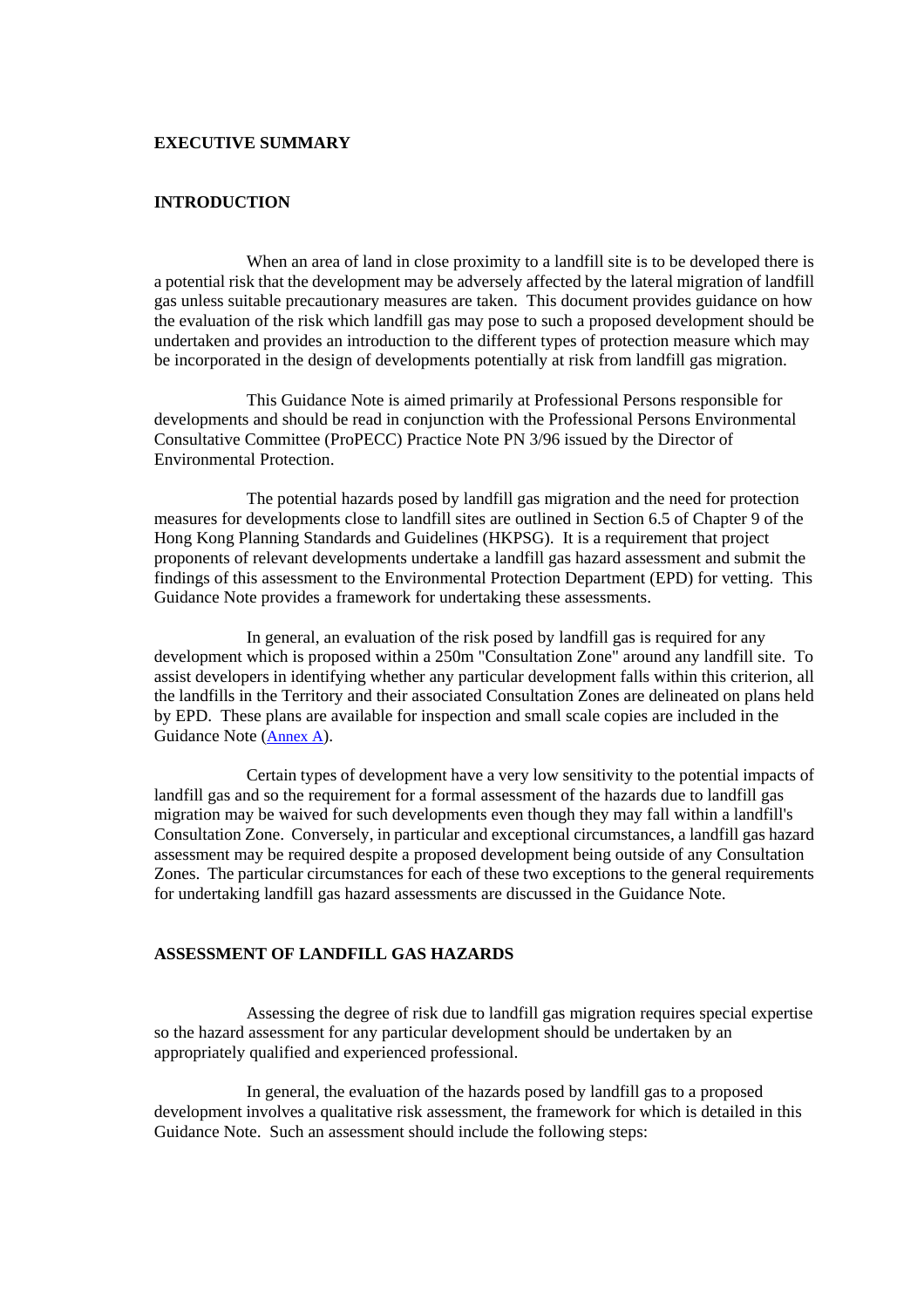#### <span id="page-2-0"></span>**EXECUTIVE SUMMARY**

# **INTRODUCTION**

 When an area of land in close proximity to a landfill site is to be developed there is a potential risk that the development may be adversely affected by the lateral migration of landfill gas unless suitable precautionary measures are taken. This document provides guidance on how the evaluation of the risk which landfill gas may pose to such a proposed development should be undertaken and provides an introduction to the different types of protection measure which may be incorporated in the design of developments potentially at risk from landfill gas migration.

 This Guidance Note is aimed primarily at Professional Persons responsible for developments and should be read in conjunction with the Professional Persons Environmental Consultative Committee (ProPECC) Practice Note PN 3/96 issued by the Director of Environmental Protection.

 The potential hazards posed by landfill gas migration and the need for protection measures for developments close to landfill sites are outlined in Section 6.5 of Chapter 9 of the Hong Kong Planning Standards and Guidelines (HKPSG). It is a requirement that project proponents of relevant developments undertake a landfill gas hazard assessment and submit the findings of this assessment to the Environmental Protection Department (EPD) for vetting. This Guidance Note provides a framework for undertaking these assessments.

 In general, an evaluation of the risk posed by landfill gas is required for any development which is proposed within a 250m "Consultation Zone" around any landfill site. To assist developers in identifying whether any particular development falls within this criterion, all the landfills in the Territory and their associated Consultation Zones are delineated on plans held by EPD. These plans are available for inspection and small scale copies are included in the Guidance Note [\(Annex A\)](#page-54-0).

 Certain types of development have a very low sensitivity to the potential impacts of landfill gas and so the requirement for a formal assessment of the hazards due to landfill gas migration may be waived for such developments even though they may fall within a landfill's Consultation Zone. Conversely, in particular and exceptional circumstances, a landfill gas hazard assessment may be required despite a proposed development being outside of any Consultation Zones. The particular circumstances for each of these two exceptions to the general requirements for undertaking landfill gas hazard assessments are discussed in the Guidance Note.

# **ASSESSMENT OF LANDFILL GAS HAZARDS**

 Assessing the degree of risk due to landfill gas migration requires special expertise so the hazard assessment for any particular development should be undertaken by an appropriately qualified and experienced professional.

 In general, the evaluation of the hazards posed by landfill gas to a proposed development involves a qualitative risk assessment, the framework for which is detailed in this Guidance Note. Such an assessment should include the following steps: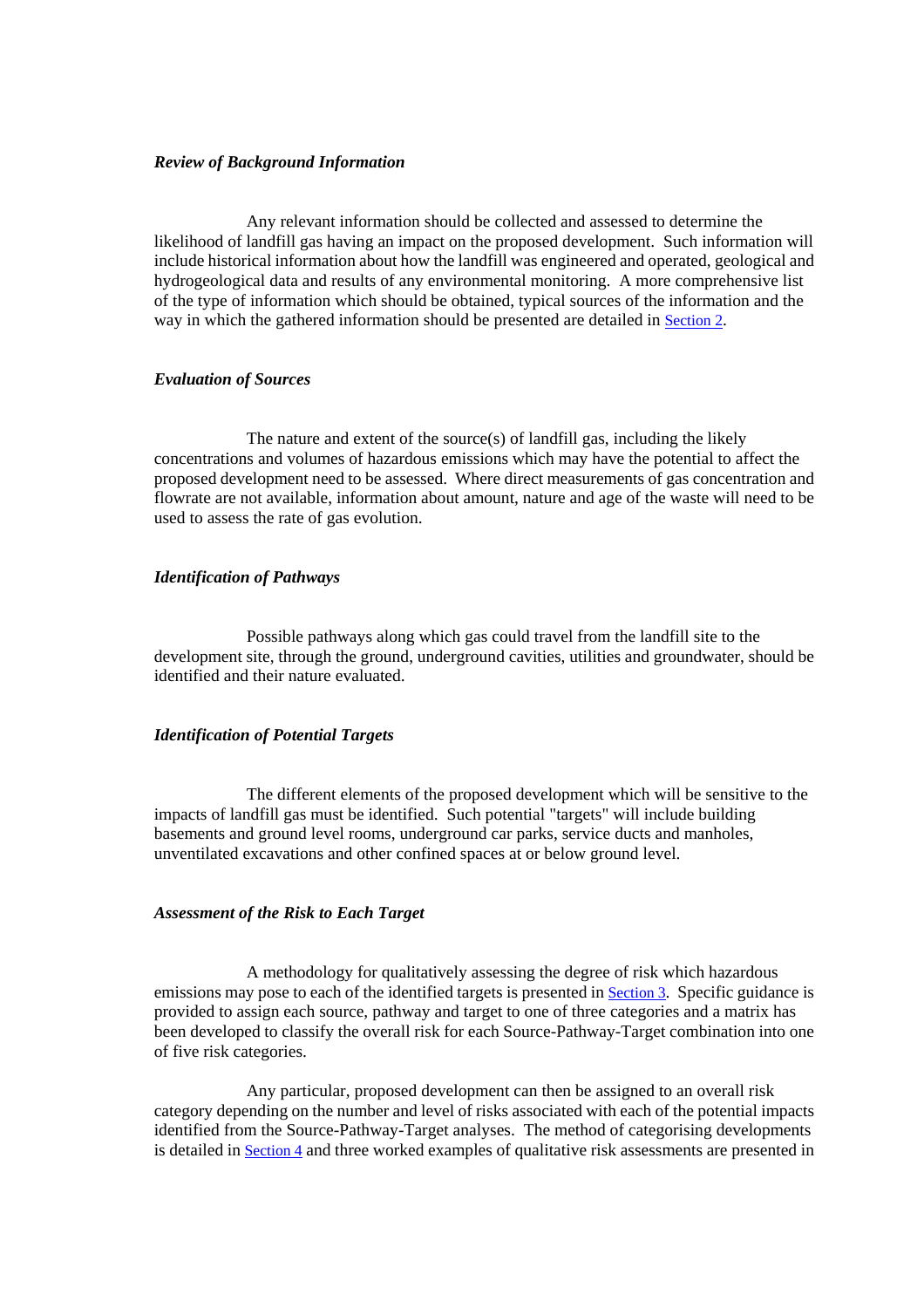#### *Review of Background Information*

 Any relevant information should be collected and assessed to determine the likelihood of landfill gas having an impact on the proposed development. Such information will include historical information about how the landfill was engineered and operated, geological and hydrogeological data and results of any environmental monitoring. A more comprehensive list of the type of information which should be obtained, typical sources of the information and the way in which the gathered information should be presented are detailed in [Section 2.](#page-11-0) 

#### *Evaluation of Sources*

The nature and extent of the source $(s)$  of landfill gas, including the likely concentrations and volumes of hazardous emissions which may have the potential to affect the proposed development need to be assessed. Where direct measurements of gas concentration and flowrate are not available, information about amount, nature and age of the waste will need to be used to assess the rate of gas evolution.

#### *Identification of Pathways*

 Possible pathways along which gas could travel from the landfill site to the development site, through the ground, underground cavities, utilities and groundwater, should be identified and their nature evaluated.

#### *Identification of Potential Targets*

 The different elements of the proposed development which will be sensitive to the impacts of landfill gas must be identified. Such potential "targets" will include building basements and ground level rooms, underground car parks, service ducts and manholes, unventilated excavations and other confined spaces at or below ground level.

#### *Assessment of the Risk to Each Target*

 A methodology for qualitatively assessing the degree of risk which hazardous emissions may pose to each of the identified targets is presented in **Section 3**. Specific guidance is provided to assign each source, pathway and target to one of three categories and a matrix has been developed to classify the overall risk for each Source-Pathway-Target combination into one of five risk categories.

 Any particular, proposed development can then be assigned to an overall risk category depending on the number and level of risks associated with each of the potential impacts identified from the Source-Pathway-Target analyses. The method of categorising developments is detailed in [Section 4](#page-24-0) and three worked examples of qualitative risk assessments are presented in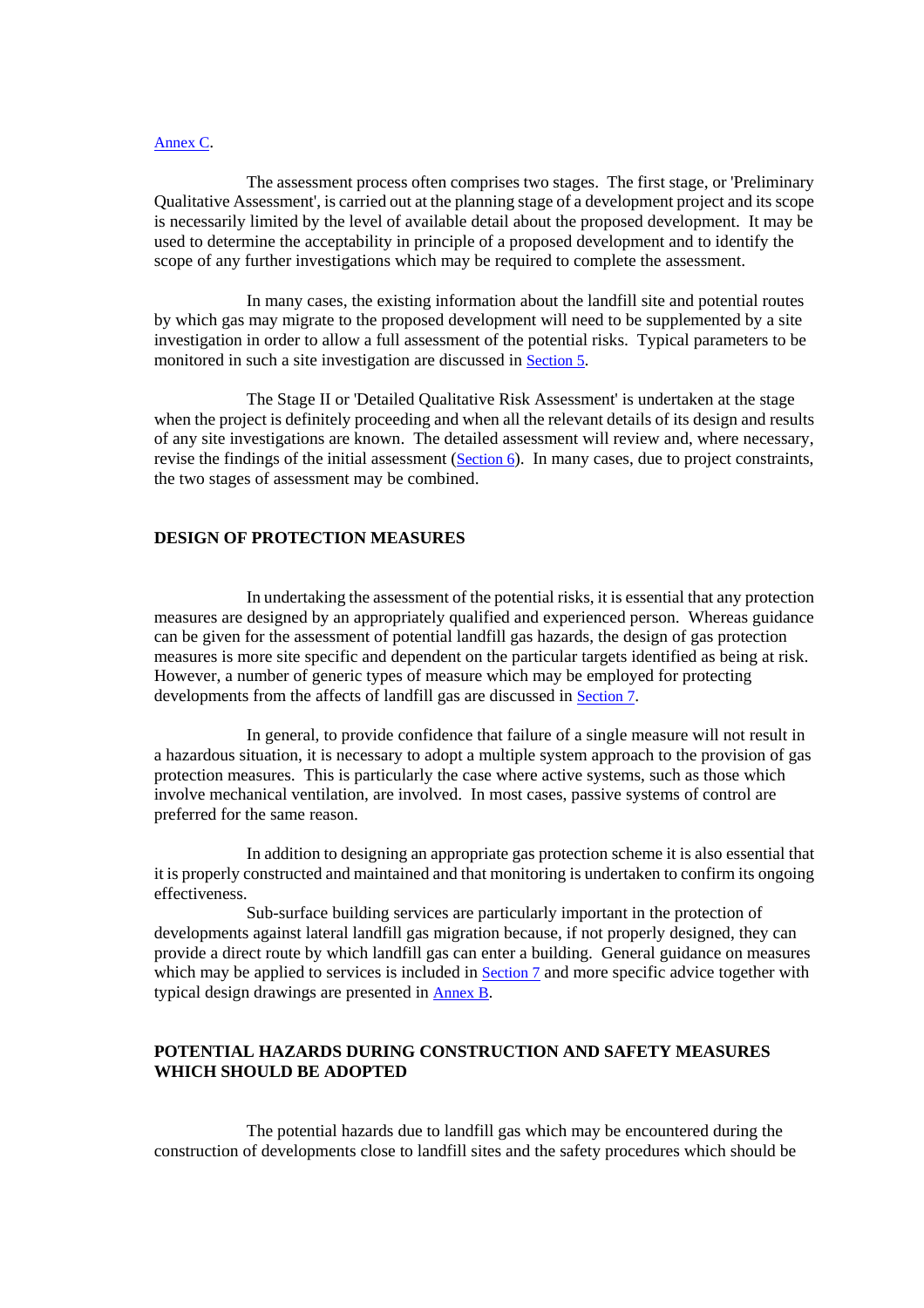#### [Annex C.](#page-61-0)

 The assessment process often comprises two stages. The first stage, or 'Preliminary Qualitative Assessment', is carried out at the planning stage of a development project and its scope is necessarily limited by the level of available detail about the proposed development. It may be used to determine the acceptability in principle of a proposed development and to identify the scope of any further investigations which may be required to complete the assessment.

 In many cases, the existing information about the landfill site and potential routes by which gas may migrate to the proposed development will need to be supplemented by a site investigation in order to allow a full assessment of the potential risks. Typical parameters to be monitored in such a site investigation are discussed i[n Section 5.](#page-27-0) 

 The Stage II or 'Detailed Qualitative Risk Assessment' is undertaken at the stage when the project is definitely proceeding and when all the relevant details of its design and results of any site investigations are known. The detailed assessment will review and, where necessary, revise the findings of the initial assessment [\(Section 6\).](#page-31-0) In many cases, due to project constraints, the two stages of assessment may be combined.

# **DESIGN OF PROTECTION MEASURES**

 In undertaking the assessment of the potential risks, it is essential that any protection measures are designed by an appropriately qualified and experienced person. Whereas guidance can be given for the assessment of potential landfill gas hazards, the design of gas protection measures is more site specific and dependent on the particular targets identified as being at risk. However, a number of generic types of measure which may be employed for protecting developments from the affects of landfill gas are discussed in [Section 7.](#page-32-0) 

 In general, to provide confidence that failure of a single measure will not result in a hazardous situation, it is necessary to adopt a multiple system approach to the provision of gas protection measures. This is particularly the case where active systems, such as those which involve mechanical ventilation, are involved. In most cases, passive systems of control are preferred for the same reason.

 In addition to designing an appropriate gas protection scheme it is also essential that it is properly constructed and maintained and that monitoring is undertaken to confirm its ongoing effectiveness.

 Sub-surface building services are particularly important in the protection of developments against lateral landfill gas migration because, if not properly designed, they can provide a direct route by which landfill gas can enter a building. General guidance on measures which may be applied to services is included i[n Section 7 a](#page-32-0)nd more specific advice together with typical design drawings are presented in [Annex B.](#page-55-0) 

# **POTENTIAL HAZARDS DURING CONSTRUCTION AND SAFETY MEASURES WHICH SHOULD BE ADOPTED**

 The potential hazards due to landfill gas which may be encountered during the construction of developments close to landfill sites and the safety procedures which should be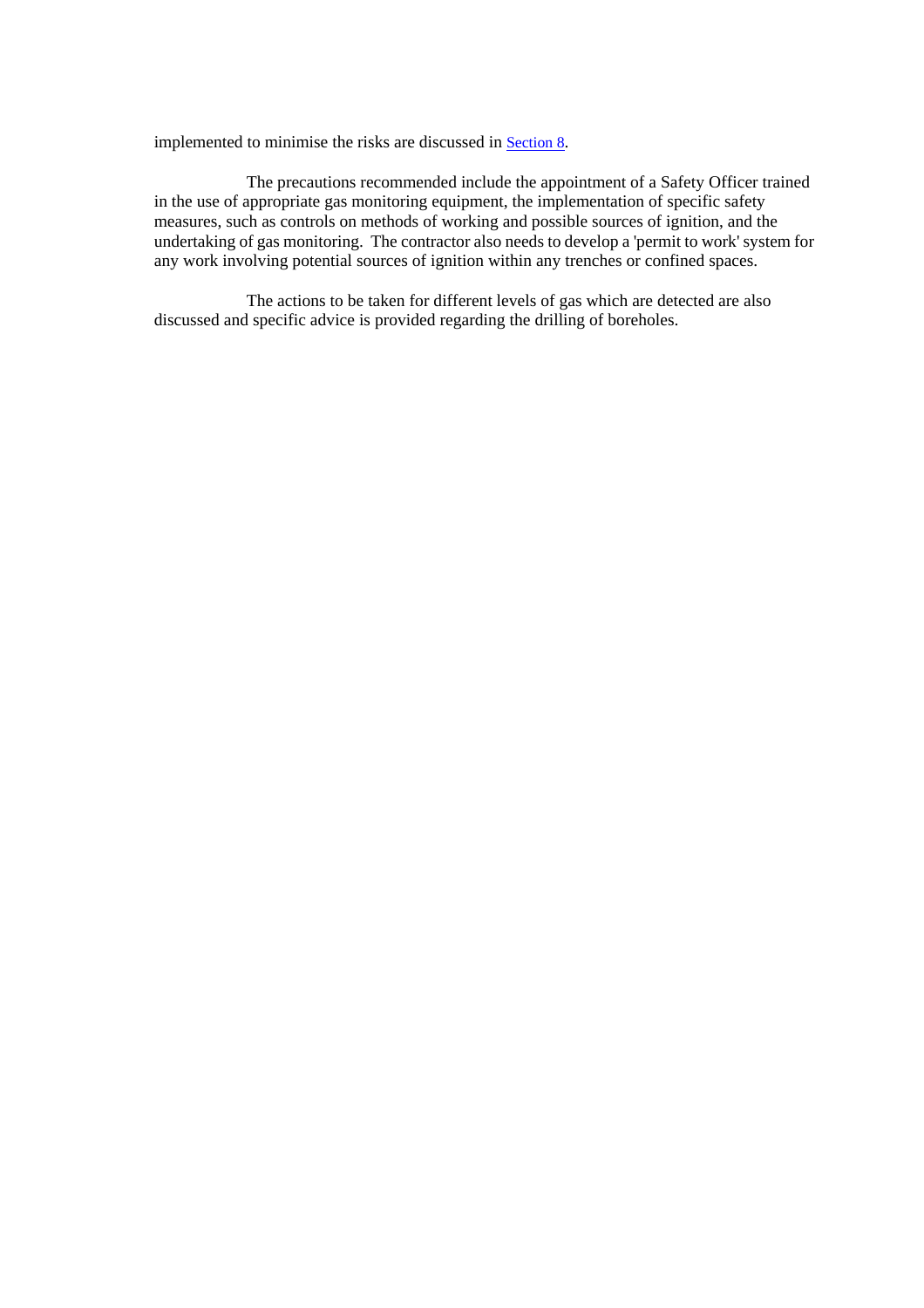implemented to minimise the risks are discussed i[n Section 8.](#page-44-0) 

 The precautions recommended include the appointment of a Safety Officer trained in the use of appropriate gas monitoring equipment, the implementation of specific safety measures, such as controls on methods of working and possible sources of ignition, and the undertaking of gas monitoring. The contractor also needs to develop a 'permit to work' system for any work involving potential sources of ignition within any trenches or confined spaces.

 The actions to be taken for different levels of gas which are detected are also discussed and specific advice is provided regarding the drilling of boreholes.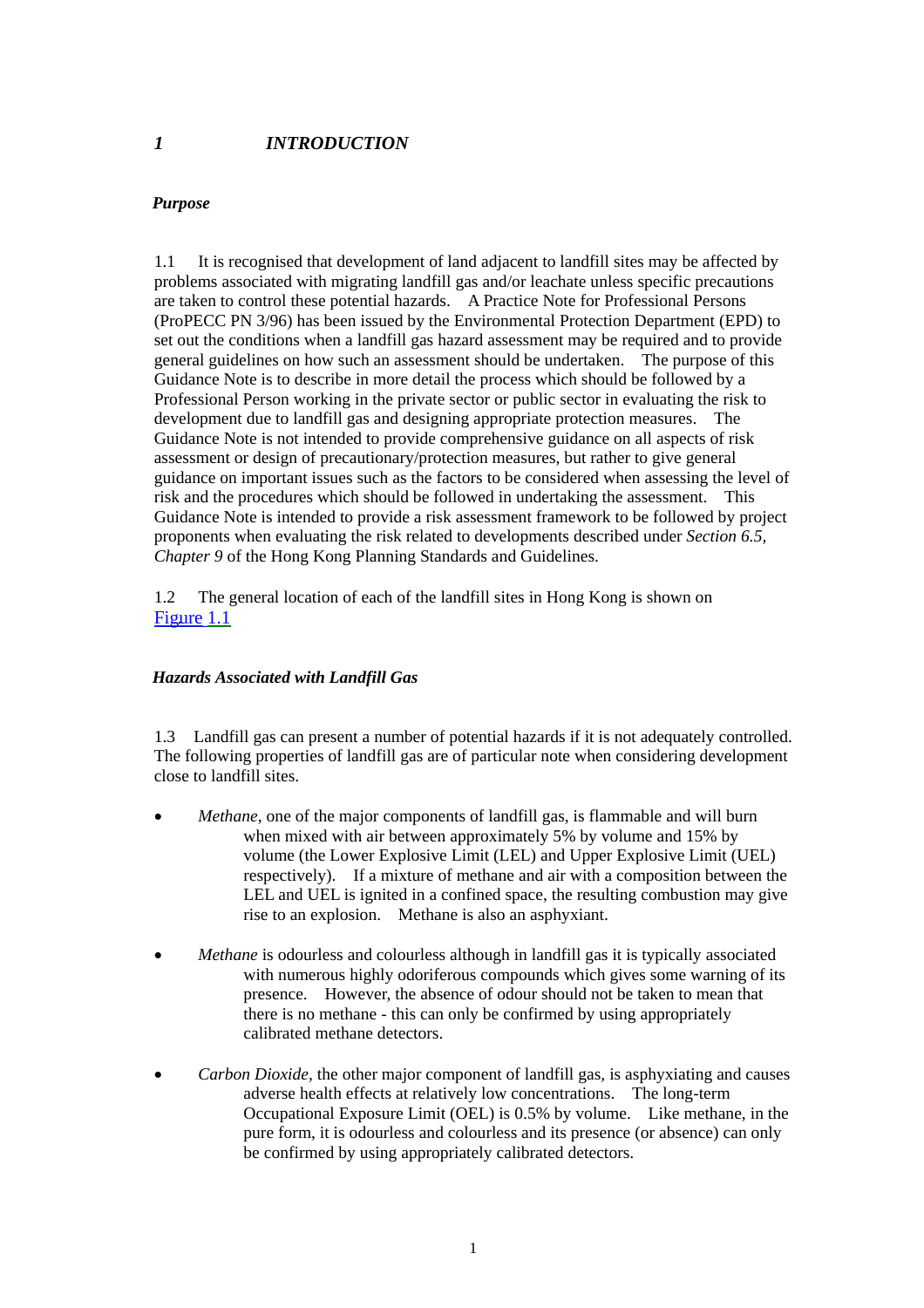# <span id="page-6-0"></span>*1 INTRODUCTION*

# *Purpose*

1.1 It is recognised that development of land adjacent to landfill sites may be affected by problems associated with migrating landfill gas and/or leachate unless specific precautions are taken to control these potential hazards. A Practice Note for Professional Persons (ProPECC PN 3/96) has been issued by the Environmental Protection Department (EPD) to set out the conditions when a landfill gas hazard assessment may be required and to provide general guidelines on how such an assessment should be undertaken. The purpose of this Guidance Note is to describe in more detail the process which should be followed by a Professional Person working in the private sector or public sector in evaluating the risk to development due to landfill gas and designing appropriate protection measures. The Guidance Note is not intended to provide comprehensive guidance on all aspects of risk assessment or design of precautionary/protection measures, but rather to give general guidance on important issues such as the factors to be considered when assessing the level of risk and the procedures which should be followed in undertaking the assessment. This Guidance Note is intended to provide a risk assessment framework to be followed by project proponents when evaluating the risk related to developments described under *Section 6.5, Chapter 9* of the Hong Kong Planning Standards and Guidelines.

1.2 The general location of each of the landfill sites in Hong Kong is shown on Figure 1.1

# *Hazards Associated with Landfill Gas*

1.3 Landfill gas can present a number of potential hazards if it is not adequately controlled. The following properties of landfill gas are of particular note when considering development close to landfill sites.

- *Methane,* one of the major components of landfill gas, is flammable and will burn when mixed with air between approximately 5% by volume and 15% by volume (the Lower Explosive Limit (LEL) and Upper Explosive Limit (UEL) respectively). If a mixture of methane and air with a composition between the LEL and UEL is ignited in a confined space, the resulting combustion may give rise to an explosion. Methane is also an asphyxiant.
- *Methane* is odourless and colourless although in landfill gas it is typically associated with numerous highly odoriferous compounds which gives some warning of its presence. However, the absence of odour should not be taken to mean that there is no methane - this can only be confirmed by using appropriately calibrated methane detectors.
- *Carbon Dioxide,* the other major component of landfill gas, is asphyxiating and causes adverse health effects at relatively low concentrations. The long-term Occupational Exposure Limit (OEL) is 0.5% by volume. Like methane, in the pure form, it is odourless and colourless and its presence (or absence) can only be confirmed by using appropriately calibrated detectors.

1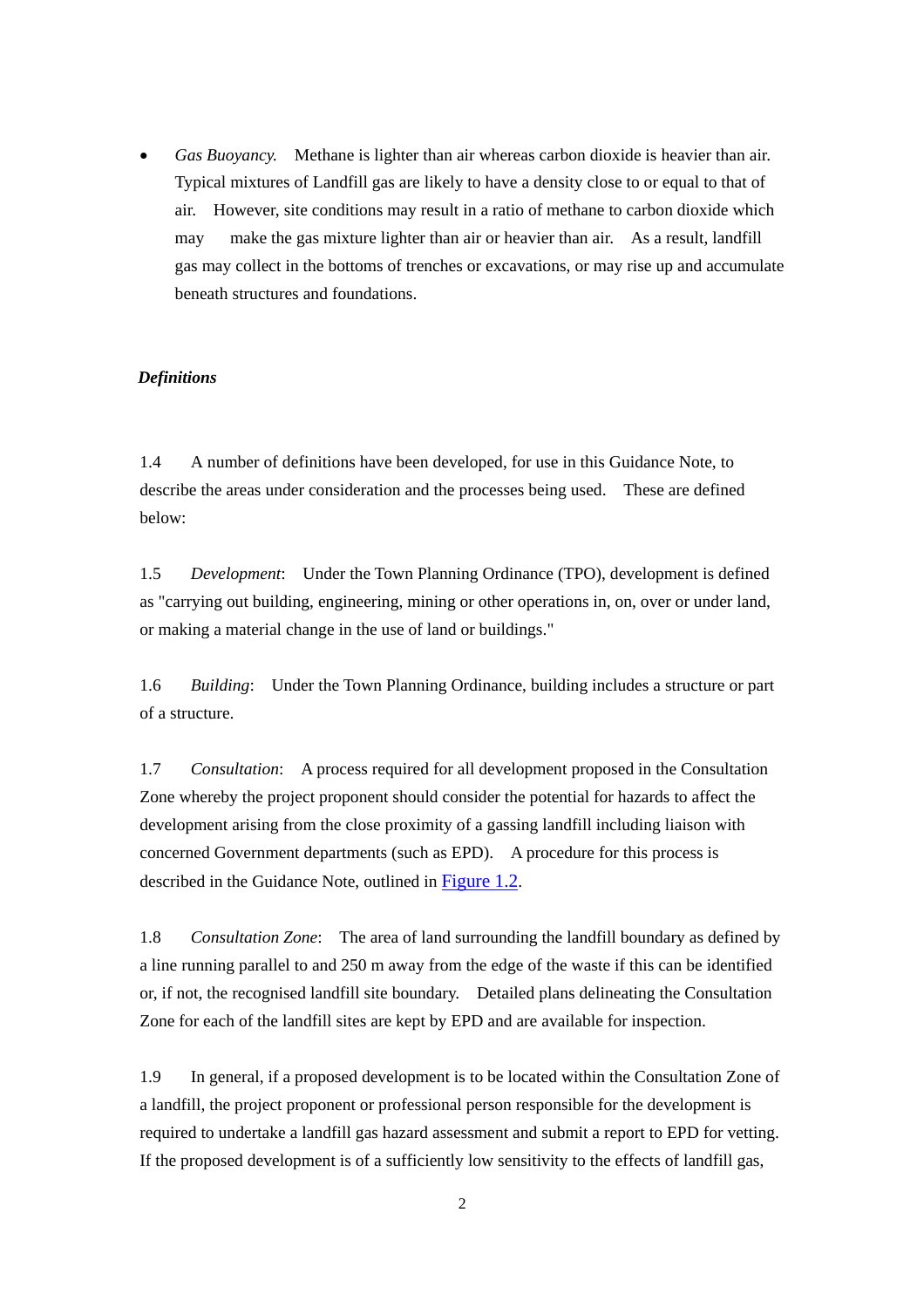• *Gas Buoyancy.* Methane is lighter than air whereas carbon dioxide is heavier than air. Typical mixtures of Landfill gas are likely to have a density close to or equal to that of air. However, site conditions may result in a ratio of methane to carbon dioxide which may make the gas mixture lighter than air or heavier than air. As a result, landfill gas may collect in the bottoms of trenches or excavations, or may rise up and accumulate beneath structures and foundations.

#### *Definitions*

1.4 A number of definitions have been developed, for use in this Guidance Note, to describe the areas under consideration and the processes being used. These are defined below:

1.5 *Development*: Under the Town Planning Ordinance (TPO), development is defined as "carrying out building, engineering, mining or other operations in, on, over or under land, or making a material change in the use of land or buildings."

1.6 *Building*: Under the Town Planning Ordinance, building includes a structure or part of a structure.

1.7 *Consultation*: A process required for all development proposed in the Consultation Zone whereby the project proponent should consider the potential for hazards to affect the development arising from the close proximity of a gassing landfill including liaison with concerned Government departments (such as EPD). A procedure for this process is described in the Guidance Note, outlined in Figure 1.2.

1.8 *Consultation Zone*: The area of land surrounding the landfill boundary as defined by a line running parallel to and 250 m away from the edge of the waste if this can be identified or, if not, the recognised landfill site boundary. Detailed plans delineating the Consultation Zone for each of the landfill sites are kept by EPD and are available for inspection.

1.9 In general, if a proposed development is to be located within the Consultation Zone of a landfill, the project proponent or professional person responsible for the development is required to undertake a landfill gas hazard assessment and submit a report to EPD for vetting. If the proposed development is of a sufficiently low sensitivity to the effects of landfill gas,

2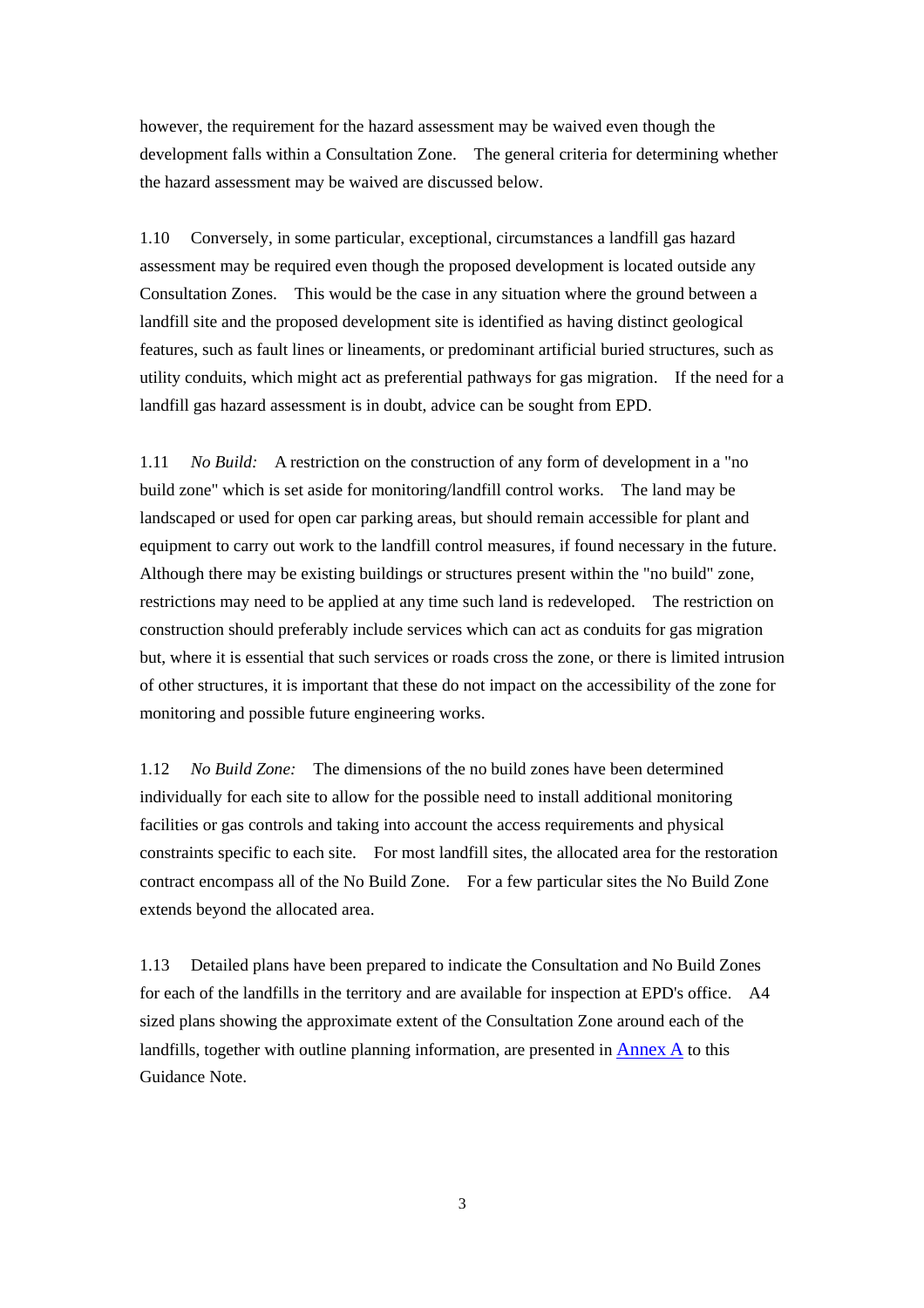however, the requirement for the hazard assessment may be waived even though the development falls within a Consultation Zone. The general criteria for determining whether the hazard assessment may be waived are discussed below.

1.10 Conversely, in some particular, exceptional, circumstances a landfill gas hazard assessment may be required even though the proposed development is located outside any Consultation Zones. This would be the case in any situation where the ground between a landfill site and the proposed development site is identified as having distinct geological features, such as fault lines or lineaments, or predominant artificial buried structures, such as utility conduits, which might act as preferential pathways for gas migration. If the need for a landfill gas hazard assessment is in doubt, advice can be sought from EPD.

1.11 *No Build:* A restriction on the construction of any form of development in a "no build zone" which is set aside for monitoring/landfill control works. The land may be landscaped or used for open car parking areas, but should remain accessible for plant and equipment to carry out work to the landfill control measures, if found necessary in the future. Although there may be existing buildings or structures present within the "no build" zone, restrictions may need to be applied at any time such land is redeveloped. The restriction on construction should preferably include services which can act as conduits for gas migration but, where it is essential that such services or roads cross the zone, or there is limited intrusion of other structures, it is important that these do not impact on the accessibility of the zone for monitoring and possible future engineering works.

1.12 *No Build Zone:* The dimensions of the no build zones have been determined individually for each site to allow for the possible need to install additional monitoring facilities or gas controls and taking into account the access requirements and physical constraints specific to each site. For most landfill sites, the allocated area for the restoration contract encompass all of the No Build Zone. For a few particular sites the No Build Zone extends beyond the allocated area.

1.13 Detailed plans have been prepared to indicate the Consultation and No Build Zones for each of the landfills in the territory and are available for inspection at EPD's office. A4 sized plans showing the approximate extent of the Consultation Zone around each of the landfills, together with outline planning information, are presented in [Annex A](#page-54-0) to this Guidance Note.

3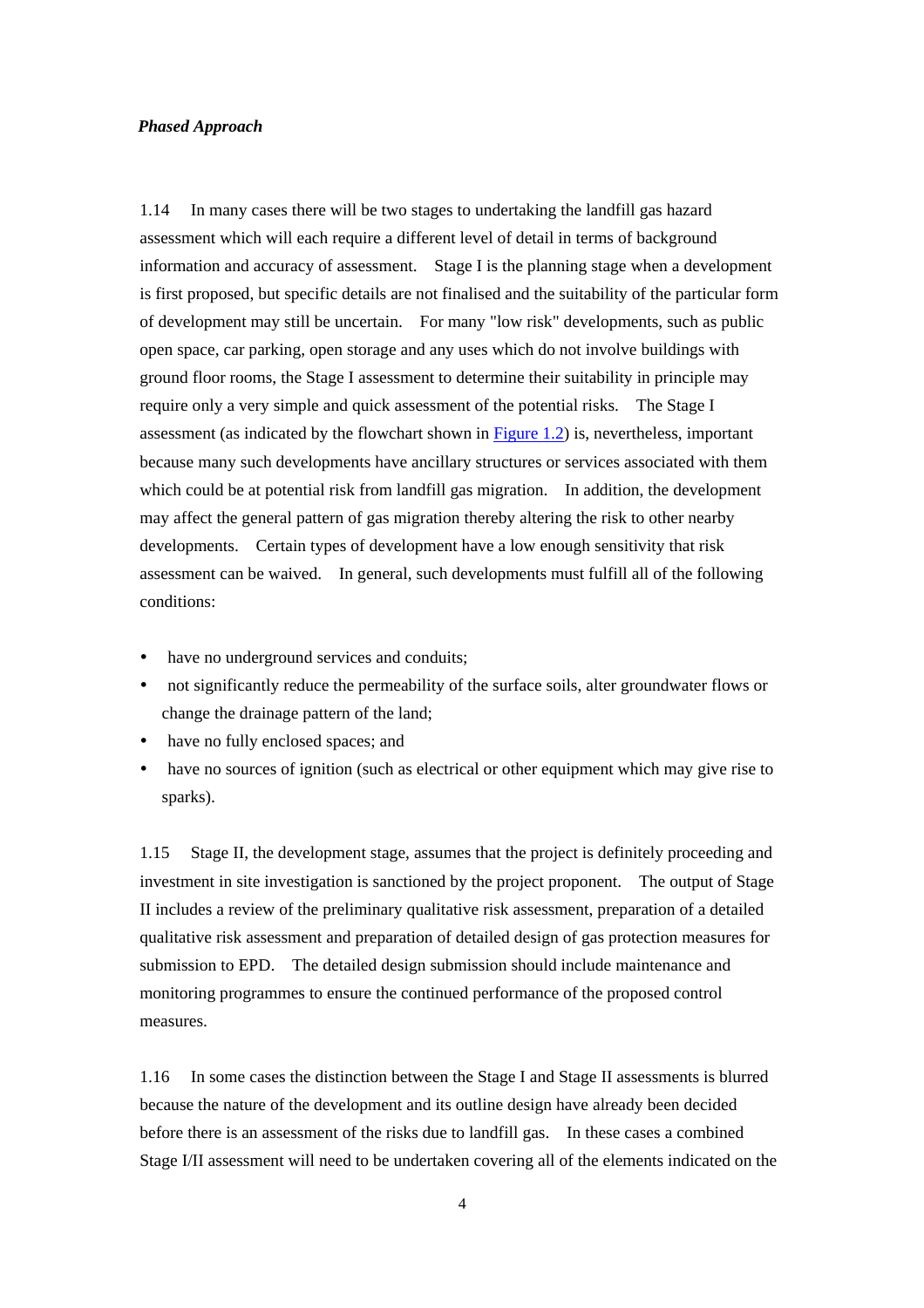#### *Phased Approach*

1.14 In many cases there will be two stages to undertaking the landfill gas hazard assessment which will each require a different level of detail in terms of background information and accuracy of assessment. Stage I is the planning stage when a development is first proposed, but specific details are not finalised and the suitability of the particular form of development may still be uncertain. For many "low risk" developments, such as public open space, car parking, open storage and any uses which do not involve buildings with ground floor rooms, the Stage I assessment to determine their suitability in principle may require only a very simple and quick assessment of the potential risks. The Stage I assessment (as indicated by the flowchart shown in Figure 1.2) is, nevertheless, important because many such developments have ancillary structures or services associated with them which could be at potential risk from landfill gas migration. In addition, the development may affect the general pattern of gas migration thereby altering the risk to other nearby developments. Certain types of development have a low enough sensitivity that risk assessment can be waived. In general, such developments must fulfill all of the following conditions:

- have no underground services and conduits;
- not significantly reduce the permeability of the surface soils, alter groundwater flows or change the drainage pattern of the land;
- have no fully enclosed spaces; and
- have no sources of ignition (such as electrical or other equipment which may give rise to sparks).

1.15 Stage II, the development stage, assumes that the project is definitely proceeding and investment in site investigation is sanctioned by the project proponent. The output of Stage II includes a review of the preliminary qualitative risk assessment, preparation of a detailed qualitative risk assessment and preparation of detailed design of gas protection measures for submission to EPD. The detailed design submission should include maintenance and monitoring programmes to ensure the continued performance of the proposed control measures.

1.16 In some cases the distinction between the Stage I and Stage II assessments is blurred because the nature of the development and its outline design have already been decided before there is an assessment of the risks due to landfill gas. In these cases a combined Stage I/II assessment will need to be undertaken covering all of the elements indicated on the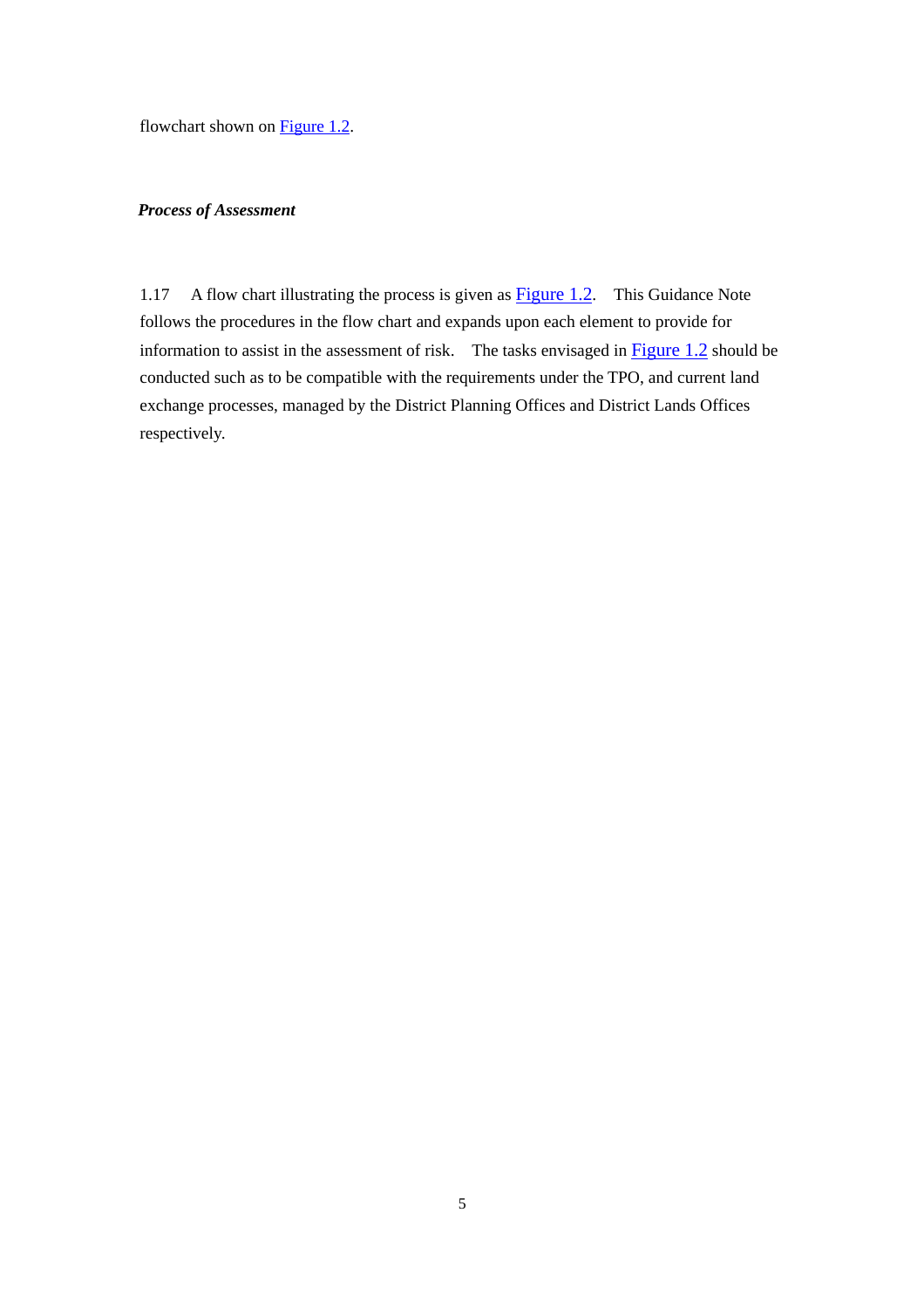flowchart shown on **Figure 1.2.** 

#### *Process of Assessment*

1.17 A flow chart illustrating the process is given as **Figure 1.2**. This Guidance Note follows the procedures in the flow chart and expands upon each element to provide for information to assist in the assessment of risk. The tasks envisaged in Figure 1.2 should be conducted such as to be compatible with the requirements under the TPO, and current land exchange processes, managed by the District Planning Offices and District Lands Offices respectively.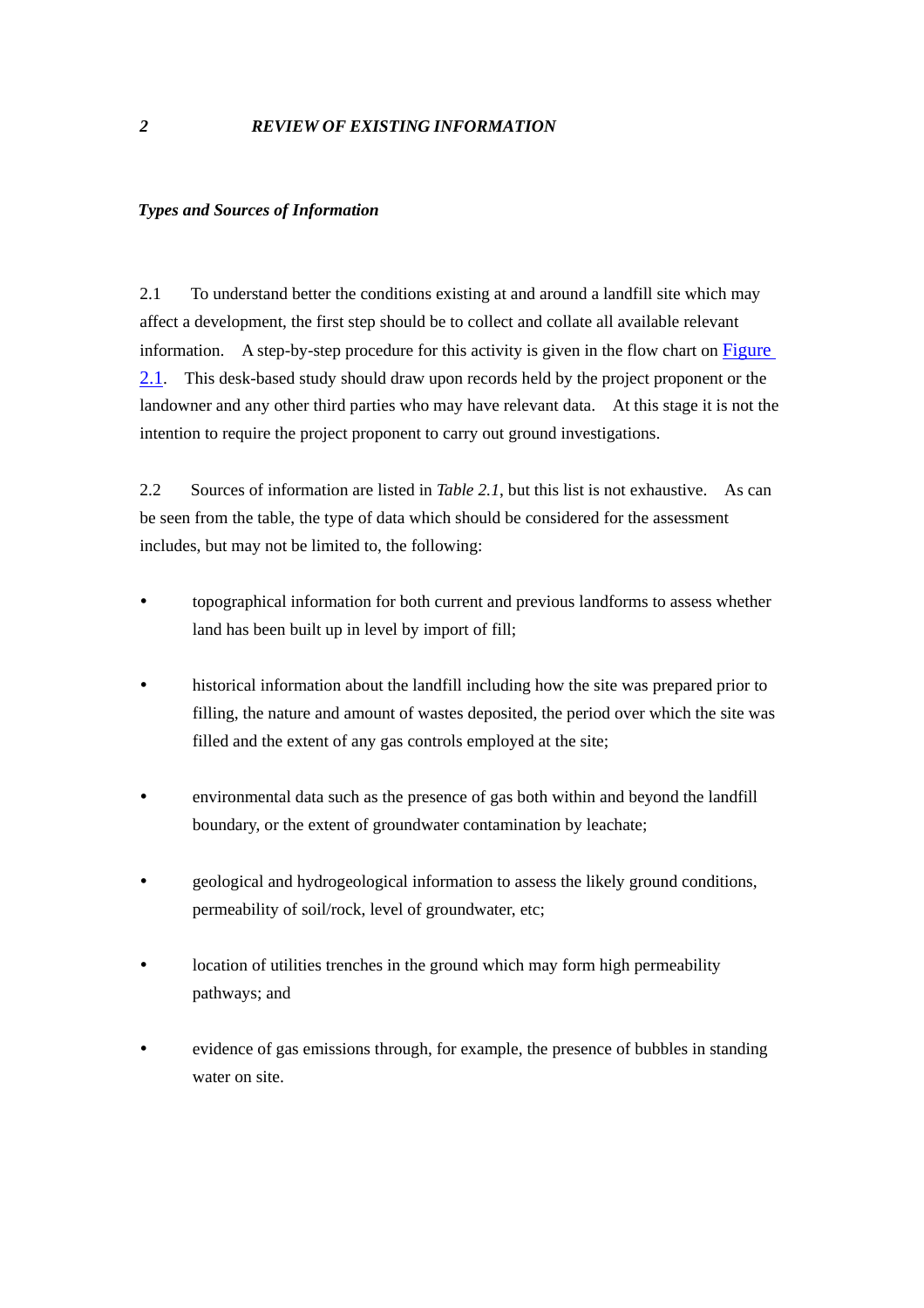#### <span id="page-11-0"></span>*Types and Sources of Information*

2.1 To understand better the conditions existing at and around a landfill site which may affect a development, the first step should be to collect and collate all available relevant information. A step-by-step procedure for this activity is given in the flow chart on Figure 2.1. This desk-based study should draw upon records held by the project proponent or the landowner and any other third parties who may have relevant data. At this stage it is not the intention to require the project proponent to carry out ground investigations.

2.2 Sources of information are listed in *Table 2.1*, but this list is not exhaustive. As can be seen from the table, the type of data which should be considered for the assessment includes, but may not be limited to, the following:

- topographical information for both current and previous landforms to assess whether land has been built up in level by import of fill;
- historical information about the landfill including how the site was prepared prior to filling, the nature and amount of wastes deposited, the period over which the site was filled and the extent of any gas controls employed at the site;
- environmental data such as the presence of gas both within and beyond the landfill boundary, or the extent of groundwater contamination by leachate;
- y geological and hydrogeological information to assess the likely ground conditions, permeability of soil/rock, level of groundwater, etc;
- location of utilities trenches in the ground which may form high permeability pathways; and
- evidence of gas emissions through, for example, the presence of bubbles in standing water on site.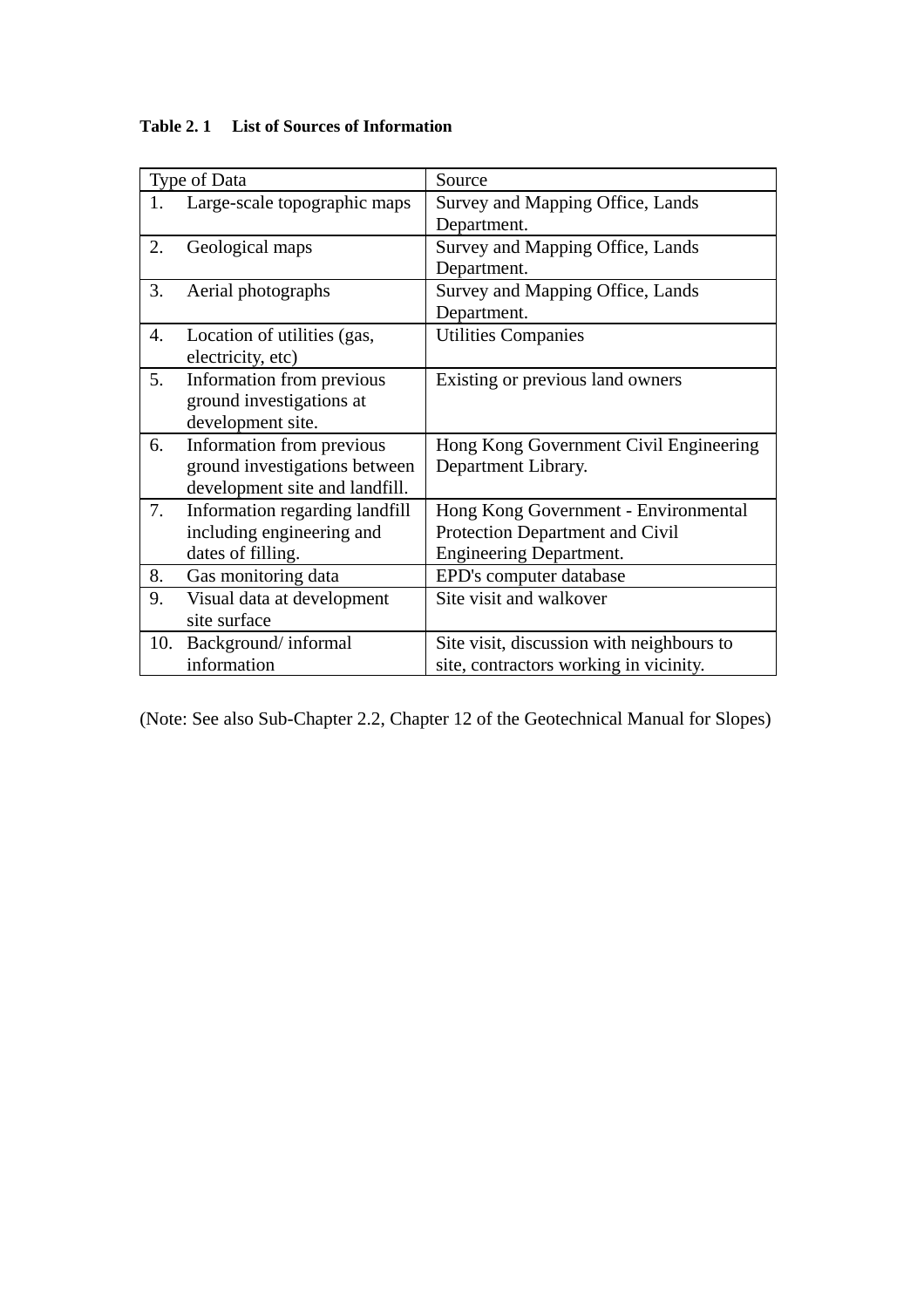| Type of Data |                                | Source                                    |
|--------------|--------------------------------|-------------------------------------------|
| 1.           | Large-scale topographic maps   | Survey and Mapping Office, Lands          |
|              |                                | Department.                               |
| 2.           | Geological maps                | Survey and Mapping Office, Lands          |
|              |                                | Department.                               |
| 3.           | Aerial photographs             | Survey and Mapping Office, Lands          |
|              |                                | Department.                               |
| 4.           | Location of utilities (gas,    | <b>Utilities Companies</b>                |
|              | electricity, etc)              |                                           |
| 5.           | Information from previous      | Existing or previous land owners          |
|              | ground investigations at       |                                           |
|              | development site.              |                                           |
| 6.           | Information from previous      | Hong Kong Government Civil Engineering    |
|              | ground investigations between  | Department Library.                       |
|              | development site and landfill. |                                           |
| 7.           | Information regarding landfill | Hong Kong Government - Environmental      |
|              | including engineering and      | Protection Department and Civil           |
|              | dates of filling.              | <b>Engineering Department.</b>            |
| 8.           | Gas monitoring data            | EPD's computer database                   |
| 9.           | Visual data at development     | Site visit and walkover                   |
|              | site surface                   |                                           |
| 10.          | Background/informal            | Site visit, discussion with neighbours to |
|              | information                    | site, contractors working in vicinity.    |

# **Table 2. 1 List of Sources of Information**

(Note: See also Sub-Chapter 2.2, Chapter 12 of the Geotechnical Manual for Slopes)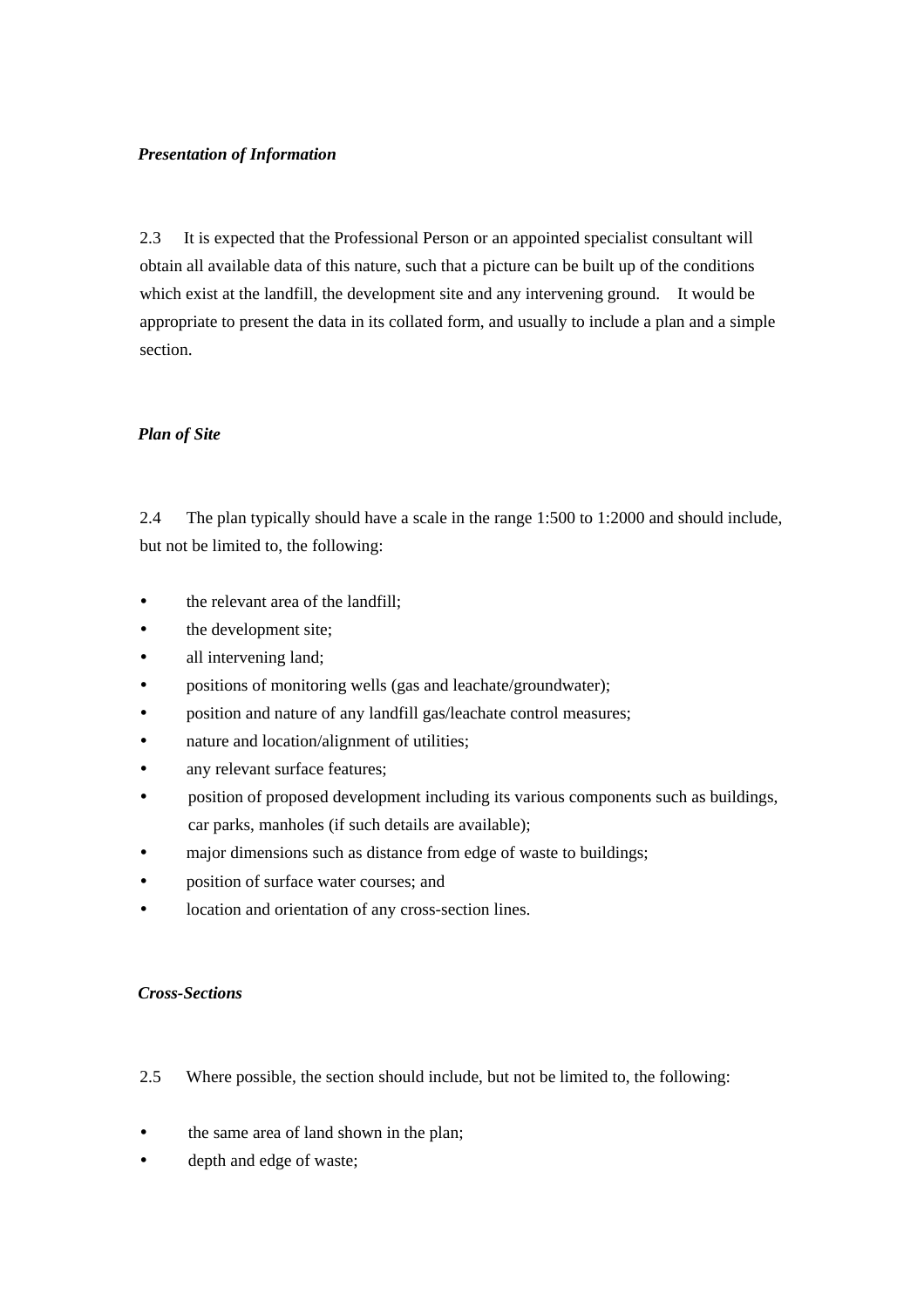# *Presentation of Information*

2.3 It is expected that the Professional Person or an appointed specialist consultant will obtain all available data of this nature, such that a picture can be built up of the conditions which exist at the landfill, the development site and any intervening ground. It would be appropriate to present the data in its collated form, and usually to include a plan and a simple section.

# *Plan of Site*

2.4 The plan typically should have a scale in the range 1:500 to 1:2000 and should include, but not be limited to, the following:

- the relevant area of the landfill;
- the development site;
- all intervening land;
- positions of monitoring wells (gas and leachate/groundwater);
- position and nature of any landfill gas/leachate control measures;
- nature and location/alignment of utilities:
- any relevant surface features;
- y position of proposed development including its various components such as buildings, car parks, manholes (if such details are available);
- major dimensions such as distance from edge of waste to buildings;
- position of surface water courses; and
- location and orientation of any cross-section lines.

# *Cross-Sections*

- 2.5 Where possible, the section should include, but not be limited to, the following:
- the same area of land shown in the plan:
- depth and edge of waste;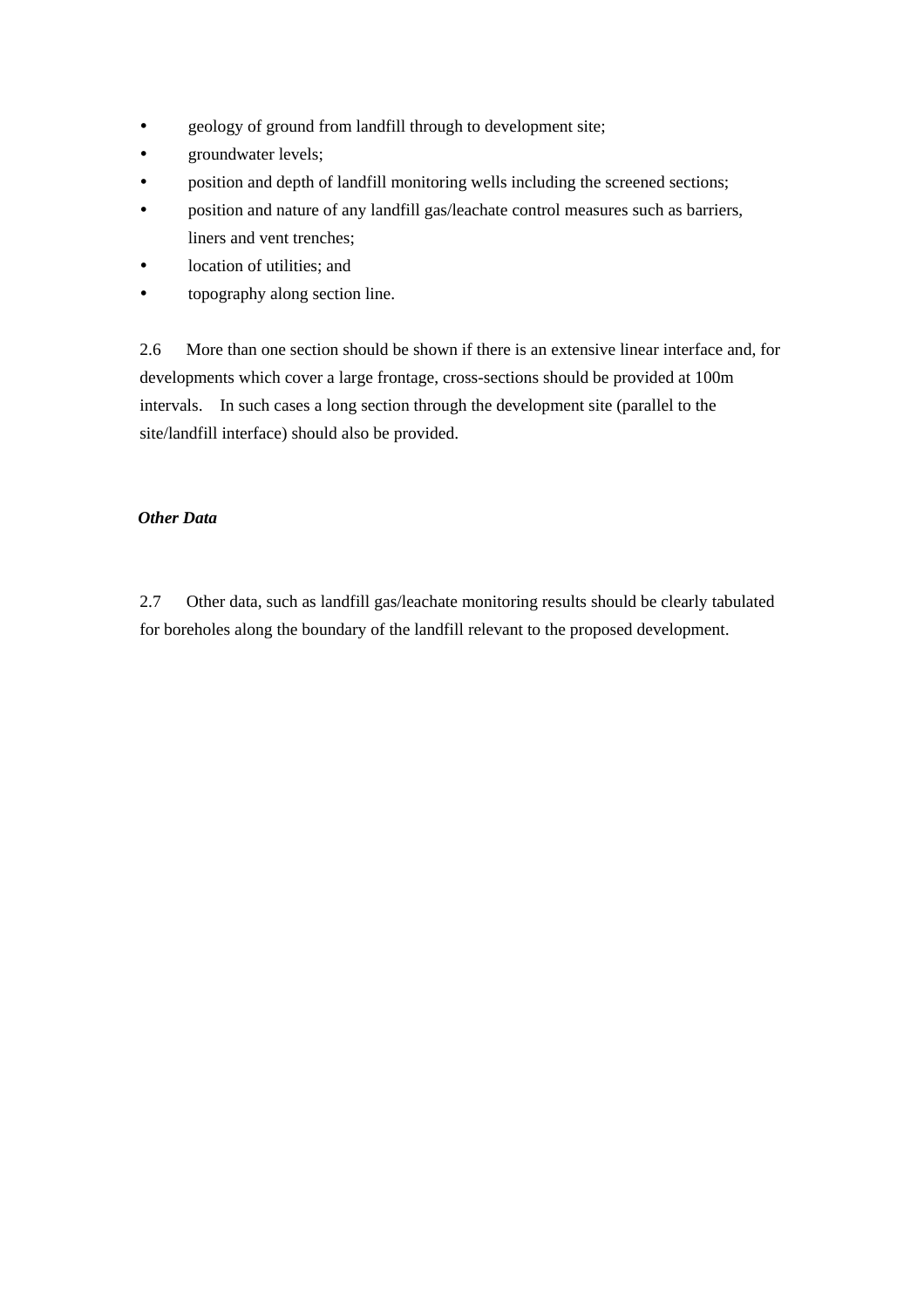- geology of ground from landfill through to development site;
- groundwater levels;
- position and depth of landfill monitoring wells including the screened sections;
- y position and nature of any landfill gas/leachate control measures such as barriers, liners and vent trenches;
- location of utilities; and
- topography along section line.

2.6 More than one section should be shown if there is an extensive linear interface and, for developments which cover a large frontage, cross-sections should be provided at 100m intervals. In such cases a long section through the development site (parallel to the site/landfill interface) should also be provided.

# *Other Data*

2.7 Other data, such as landfill gas/leachate monitoring results should be clearly tabulated for boreholes along the boundary of the landfill relevant to the proposed development.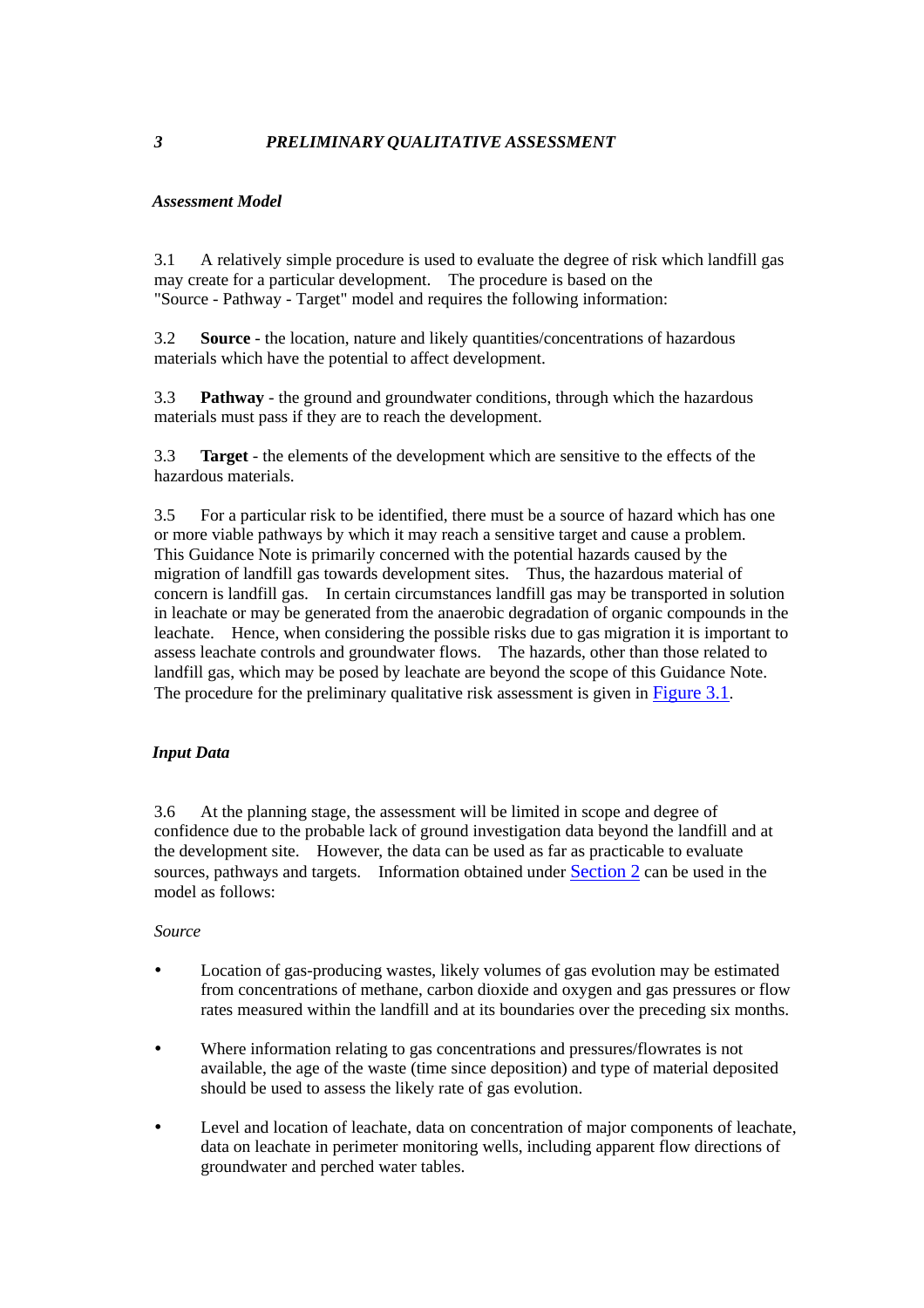# <span id="page-15-0"></span>*3 PRELIMINARY QUALITATIVE ASSESSMENT*

# *Assessment Model*

3.1 A relatively simple procedure is used to evaluate the degree of risk which landfill gas may create for a particular development. The procedure is based on the "Source - Pathway - Target" model and requires the following information:

3.2 **Source** - the location, nature and likely quantities/concentrations of hazardous materials which have the potential to affect development.

3.3 **Pathway** - the ground and groundwater conditions, through which the hazardous materials must pass if they are to reach the development.

3.3 **Target** - the elements of the development which are sensitive to the effects of the hazardous materials.

3.5 For a particular risk to be identified, there must be a source of hazard which has one or more viable pathways by which it may reach a sensitive target and cause a problem. This Guidance Note is primarily concerned with the potential hazards caused by the migration of landfill gas towards development sites. Thus, the hazardous material of concern is landfill gas. In certain circumstances landfill gas may be transported in solution in leachate or may be generated from the anaerobic degradation of organic compounds in the leachate. Hence, when considering the possible risks due to gas migration it is important to assess leachate controls and groundwater flows. The hazards, other than those related to landfill gas, which may be posed by leachate are beyond the scope of this Guidance Note. The procedure for the preliminary qualitative risk assessment is given in Figure 3.1.

# *Input Data*

3.6 At the planning stage, the assessment will be limited in scope and degree of confidence due to the probable lack of ground investigation data beyond the landfill and at the development site. However, the data can be used as far as practicable to evaluate sources, pathways and targets. Information obtained under [Section 2](#page-11-0) can be used in the model as follows:

# *Source*

- Location of gas-producing wastes, likely volumes of gas evolution may be estimated from concentrations of methane, carbon dioxide and oxygen and gas pressures or flow rates measured within the landfill and at its boundaries over the preceding six months.
- Where information relating to gas concentrations and pressures/flowrates is not available, the age of the waste (time since deposition) and type of material deposited should be used to assess the likely rate of gas evolution.
- y Level and location of leachate, data on concentration of major components of leachate, data on leachate in perimeter monitoring wells, including apparent flow directions of groundwater and perched water tables.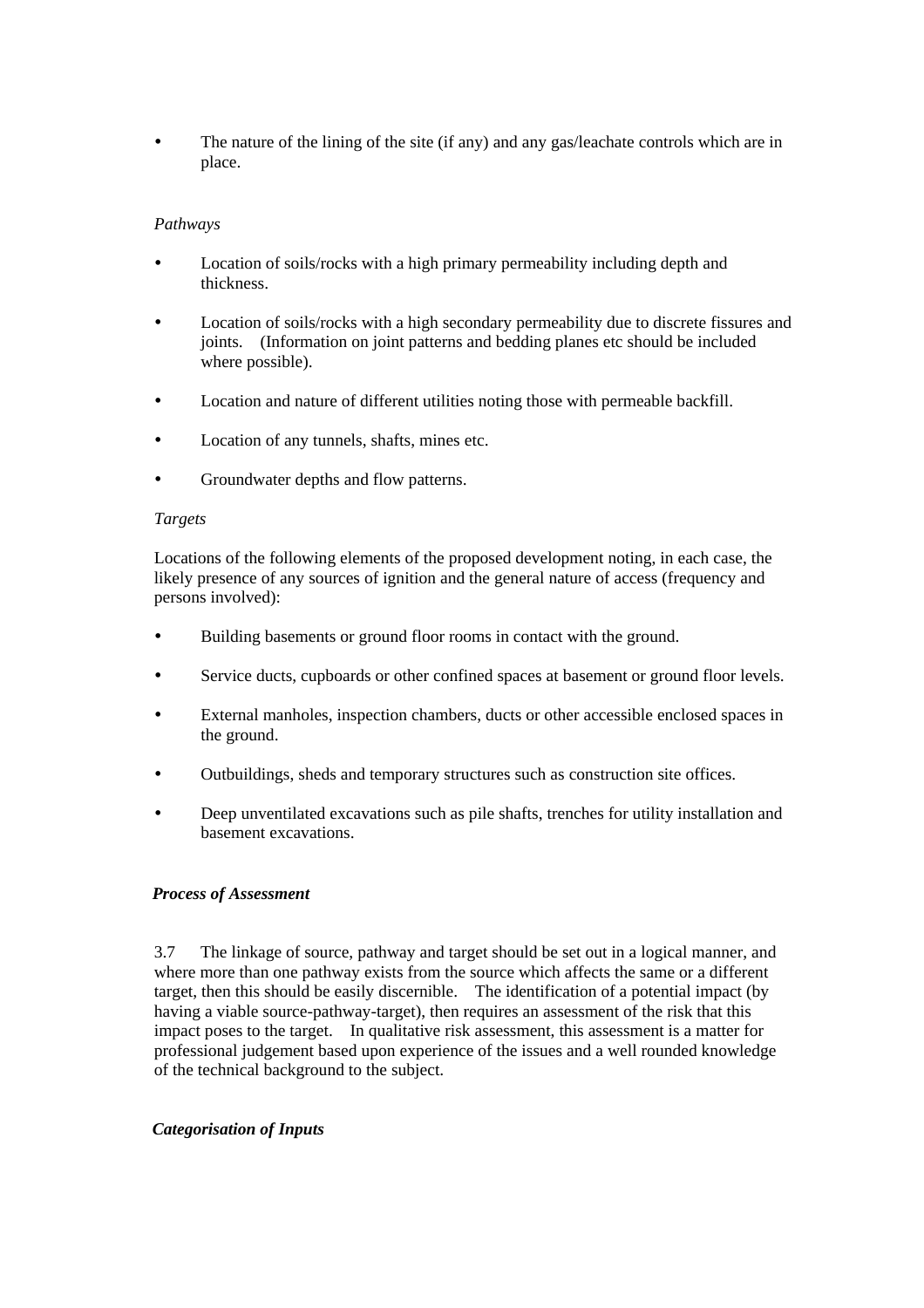The nature of the lining of the site (if any) and any gas/leachate controls which are in place.

# *Pathways*

- Location of soils/rocks with a high primary permeability including depth and thickness.
- Location of soils/rocks with a high secondary permeability due to discrete fissures and joints. (Information on joint patterns and bedding planes etc should be included where possible).
- Location and nature of different utilities noting those with permeable backfill.
- Location of any tunnels, shafts, mines etc.
- Groundwater depths and flow patterns.

# *Targets*

Locations of the following elements of the proposed development noting, in each case, the likely presence of any sources of ignition and the general nature of access (frequency and persons involved):

- y Building basements or ground floor rooms in contact with the ground.
- Service ducts, cupboards or other confined spaces at basement or ground floor levels.
- External manholes, inspection chambers, ducts or other accessible enclosed spaces in the ground.
- Outbuildings, sheds and temporary structures such as construction site offices.
- Deep unventilated excavations such as pile shafts, trenches for utility installation and basement excavations.

# *Process of Assessment*

3.7 The linkage of source, pathway and target should be set out in a logical manner, and where more than one pathway exists from the source which affects the same or a different target, then this should be easily discernible. The identification of a potential impact (by having a viable source-pathway-target), then requires an assessment of the risk that this impact poses to the target. In qualitative risk assessment, this assessment is a matter for professional judgement based upon experience of the issues and a well rounded knowledge of the technical background to the subject.

# *Categorisation of Inputs*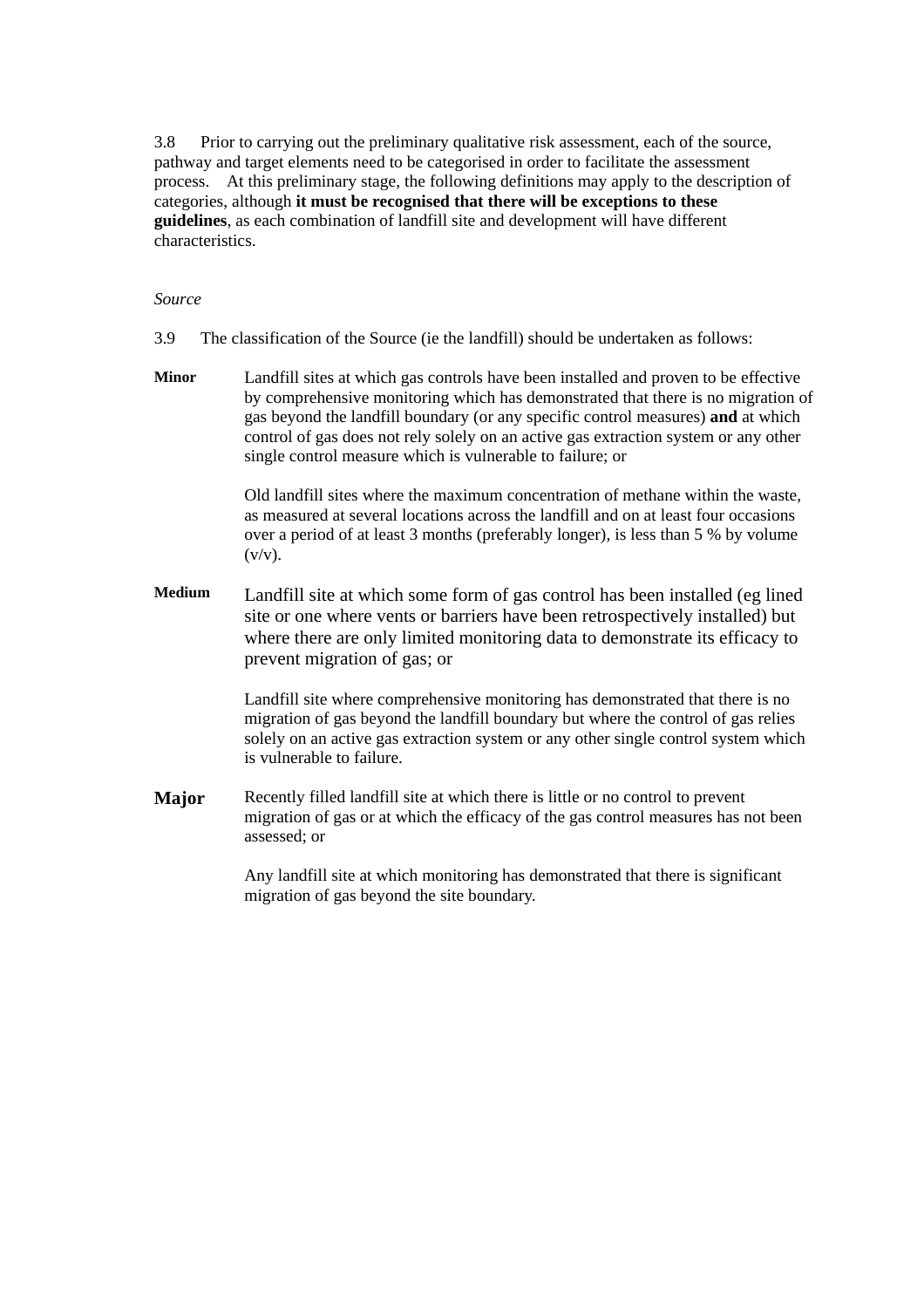3.8 Prior to carrying out the preliminary qualitative risk assessment, each of the source, pathway and target elements need to be categorised in order to facilitate the assessment process. At this preliminary stage, the following definitions may apply to the description of categories, although **it must be recognised that there will be exceptions to these guidelines**, as each combination of landfill site and development will have different characteristics.

#### *Source*

- 3.9 The classification of the Source (ie the landfill) should be undertaken as follows:
- **Minor** Landfill sites at which gas controls have been installed and proven to be effective by comprehensive monitoring which has demonstrated that there is no migration of gas beyond the landfill boundary (or any specific control measures) **and** at which control of gas does not rely solely on an active gas extraction system or any other single control measure which is vulnerable to failure; or

 Old landfill sites where the maximum concentration of methane within the waste, as measured at several locations across the landfill and on at least four occasions over a period of at least 3 months (preferably longer), is less than 5 % by volume  $(v/v)$ .

**Medium** Landfill site at which some form of gas control has been installed (eg lined site or one where vents or barriers have been retrospectively installed) but where there are only limited monitoring data to demonstrate its efficacy to prevent migration of gas; or

> Landfill site where comprehensive monitoring has demonstrated that there is no migration of gas beyond the landfill boundary but where the control of gas relies solely on an active gas extraction system or any other single control system which is vulnerable to failure.

**Major** Recently filled landfill site at which there is little or no control to prevent migration of gas or at which the efficacy of the gas control measures has not been assessed; or

> Any landfill site at which monitoring has demonstrated that there is significant migration of gas beyond the site boundary.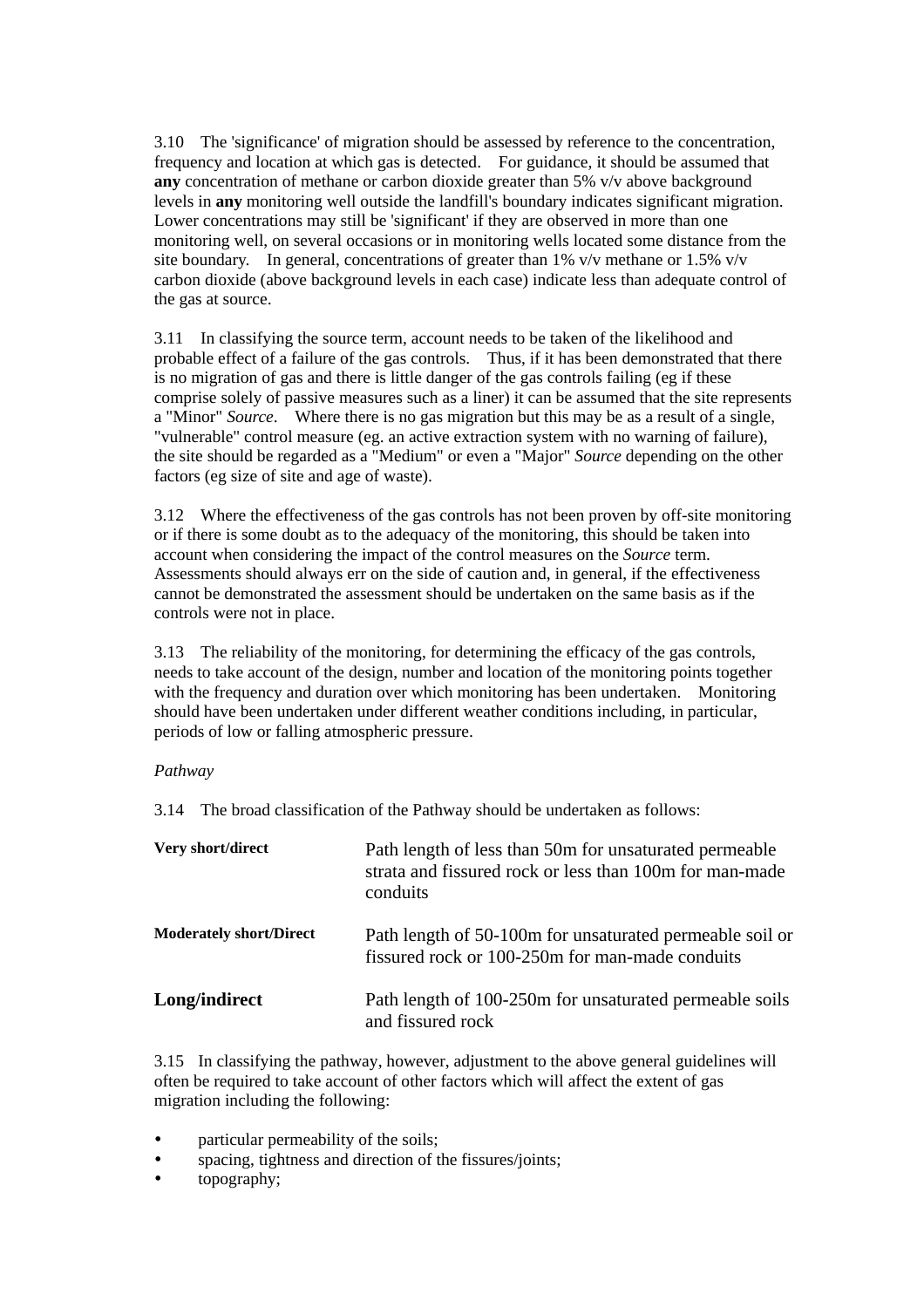3.10 The 'significance' of migration should be assessed by reference to the concentration, frequency and location at which gas is detected. For guidance, it should be assumed that **any** concentration of methane or carbon dioxide greater than 5% v/v above background levels in **any** monitoring well outside the landfill's boundary indicates significant migration. Lower concentrations may still be 'significant' if they are observed in more than one monitoring well, on several occasions or in monitoring wells located some distance from the site boundary. In general, concentrations of greater than 1% v/v methane or 1.5% v/v carbon dioxide (above background levels in each case) indicate less than adequate control of the gas at source.

3.11 In classifying the source term, account needs to be taken of the likelihood and probable effect of a failure of the gas controls. Thus, if it has been demonstrated that there is no migration of gas and there is little danger of the gas controls failing (eg if these comprise solely of passive measures such as a liner) it can be assumed that the site represents a "Minor" *Source*. Where there is no gas migration but this may be as a result of a single, "vulnerable" control measure (eg. an active extraction system with no warning of failure), the site should be regarded as a "Medium" or even a "Major" *Source* depending on the other factors (eg size of site and age of waste).

3.12 Where the effectiveness of the gas controls has not been proven by off-site monitoring or if there is some doubt as to the adequacy of the monitoring, this should be taken into account when considering the impact of the control measures on the *Source* term. Assessments should always err on the side of caution and, in general, if the effectiveness cannot be demonstrated the assessment should be undertaken on the same basis as if the controls were not in place.

3.13 The reliability of the monitoring, for determining the efficacy of the gas controls, needs to take account of the design, number and location of the monitoring points together with the frequency and duration over which monitoring has been undertaken. Monitoring should have been undertaken under different weather conditions including, in particular, periods of low or falling atmospheric pressure.

# *Pathway*

3.14 The broad classification of the Pathway should be undertaken as follows:

| Very short/direct              | Path length of less than 50m for unsaturated permeable<br>strata and fissured rock or less than 100m for man-made<br>conduits |
|--------------------------------|-------------------------------------------------------------------------------------------------------------------------------|
| <b>Moderately short/Direct</b> | Path length of 50-100m for unsaturated permeable soil or<br>fissured rock or 100-250m for man-made conduits                   |
| Long/indirect                  | Path length of 100-250m for unsaturated permeable soils<br>and fissured rock                                                  |

3.15 In classifying the pathway, however, adjustment to the above general guidelines will often be required to take account of other factors which will affect the extent of gas migration including the following:

- particular permeability of the soils;
- spacing, tightness and direction of the fissures/joints;
- topography;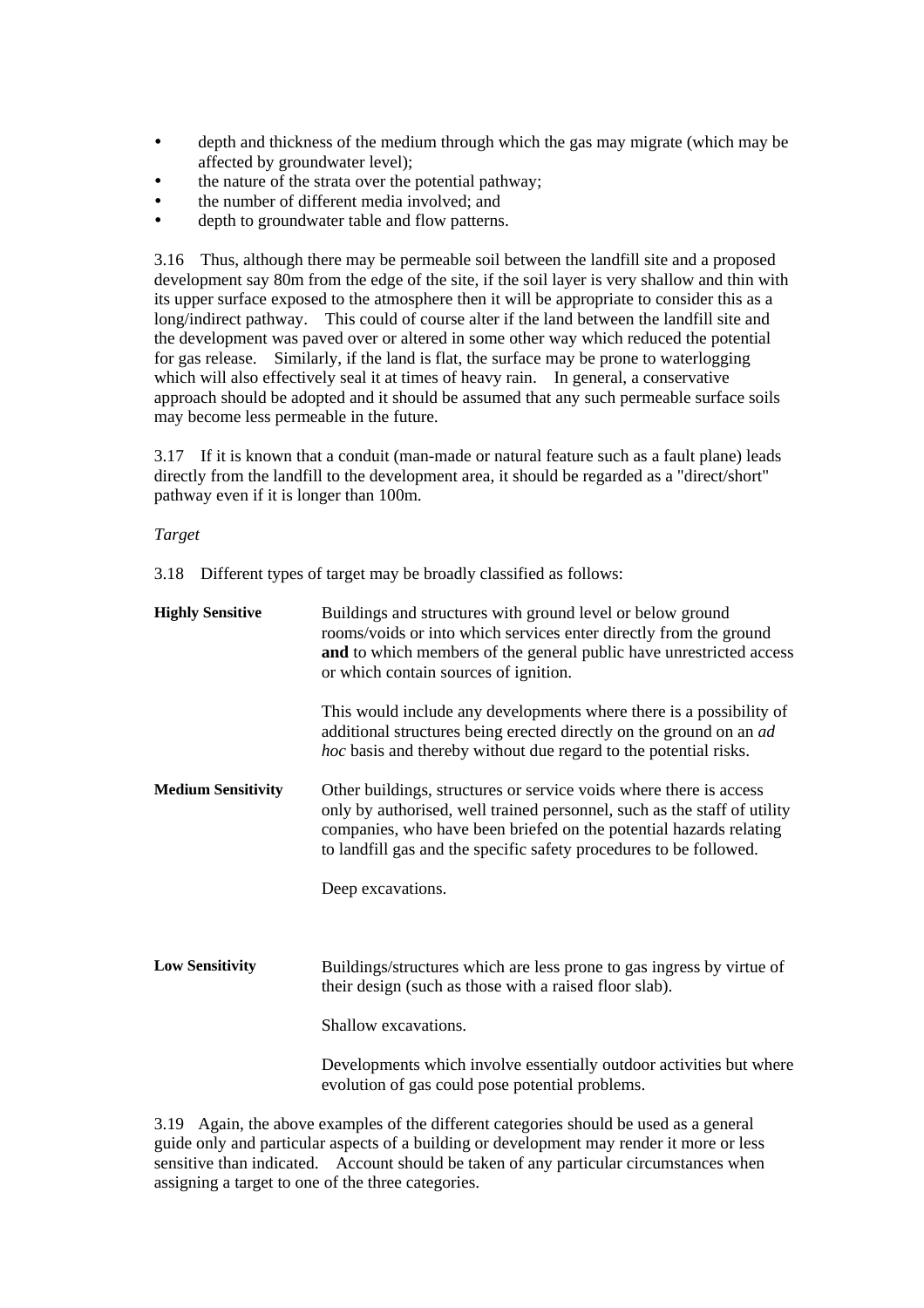- depth and thickness of the medium through which the gas may migrate (which may be affected by groundwater level);
- the nature of the strata over the potential pathway;
- the number of different media involved; and
- depth to groundwater table and flow patterns.

3.16 Thus, although there may be permeable soil between the landfill site and a proposed development say 80m from the edge of the site, if the soil layer is very shallow and thin with its upper surface exposed to the atmosphere then it will be appropriate to consider this as a long/indirect pathway. This could of course alter if the land between the landfill site and the development was paved over or altered in some other way which reduced the potential for gas release. Similarly, if the land is flat, the surface may be prone to waterlogging which will also effectively seal it at times of heavy rain. In general, a conservative approach should be adopted and it should be assumed that any such permeable surface soils may become less permeable in the future.

3.17 If it is known that a conduit (man-made or natural feature such as a fault plane) leads directly from the landfill to the development area, it should be regarded as a "direct/short" pathway even if it is longer than 100m.

# *Target*

3.18 Different types of target may be broadly classified as follows:

| <b>Highly Sensitive</b>   | Buildings and structures with ground level or below ground<br>rooms/voids or into which services enter directly from the ground<br>and to which members of the general public have unrestricted access<br>or which contain sources of ignition.                                            |
|---------------------------|--------------------------------------------------------------------------------------------------------------------------------------------------------------------------------------------------------------------------------------------------------------------------------------------|
|                           | This would include any developments where there is a possibility of<br>additional structures being erected directly on the ground on an ad<br><i>hoc</i> basis and thereby without due regard to the potential risks.                                                                      |
| <b>Medium Sensitivity</b> | Other buildings, structures or service voids where there is access<br>only by authorised, well trained personnel, such as the staff of utility<br>companies, who have been briefed on the potential hazards relating<br>to landfill gas and the specific safety procedures to be followed. |
|                           | Deep excavations.                                                                                                                                                                                                                                                                          |
| <b>Low Sensitivity</b>    | Buildings/structures which are less prone to gas ingress by virtue of<br>their design (such as those with a raised floor slab).                                                                                                                                                            |
|                           | Shallow excavations.                                                                                                                                                                                                                                                                       |
|                           | Developments which involve essentially outdoor activities but where<br>evolution of gas could pose potential problems.                                                                                                                                                                     |

3.19 Again, the above examples of the different categories should be used as a general guide only and particular aspects of a building or development may render it more or less sensitive than indicated. Account should be taken of any particular circumstances when assigning a target to one of the three categories.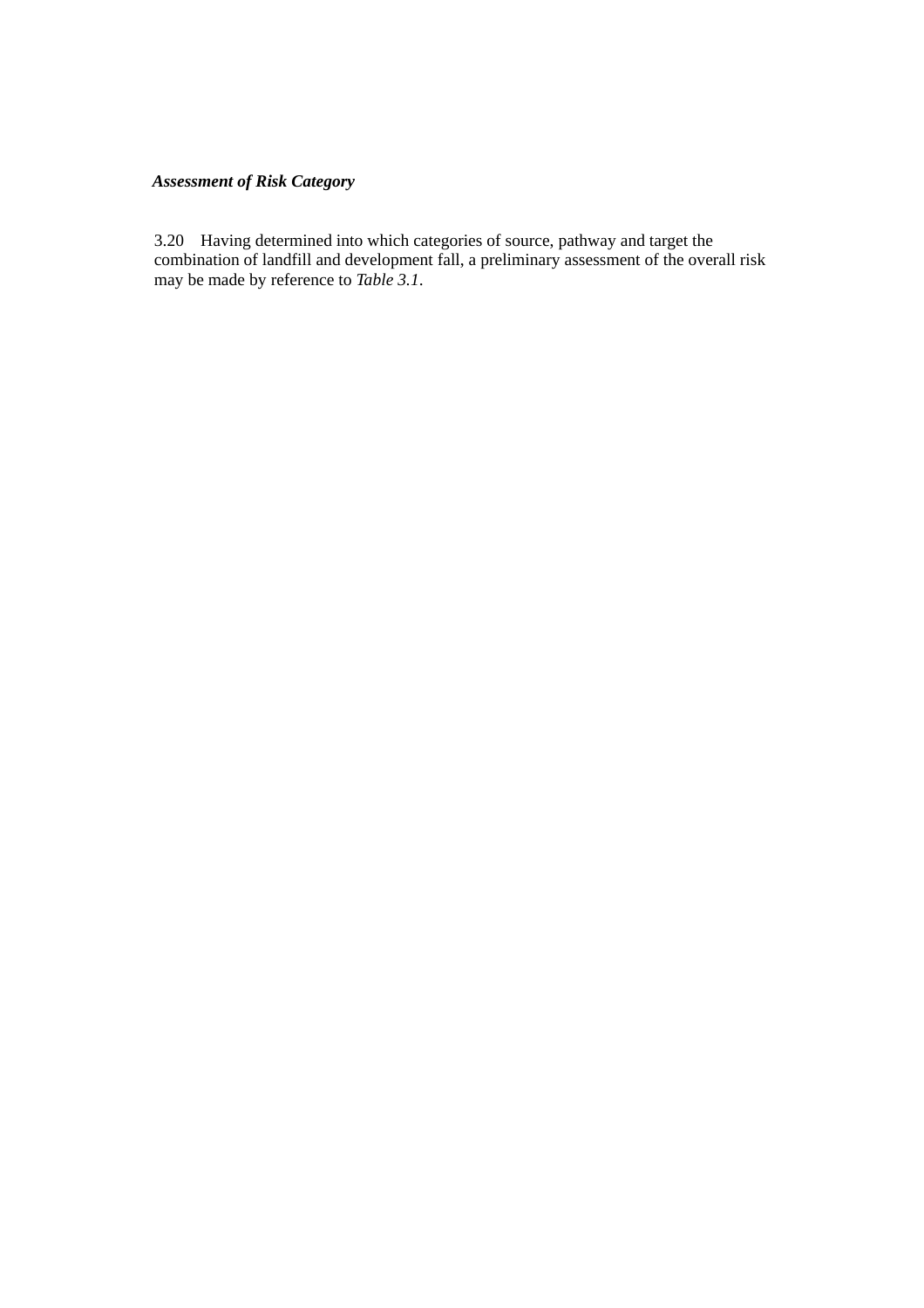# *Assessment of Risk Category*

3.20 Having determined into which categories of source, pathway and target the combination of landfill and development fall, a preliminary assessment of the overall risk may be made by reference to *Table 3.1*.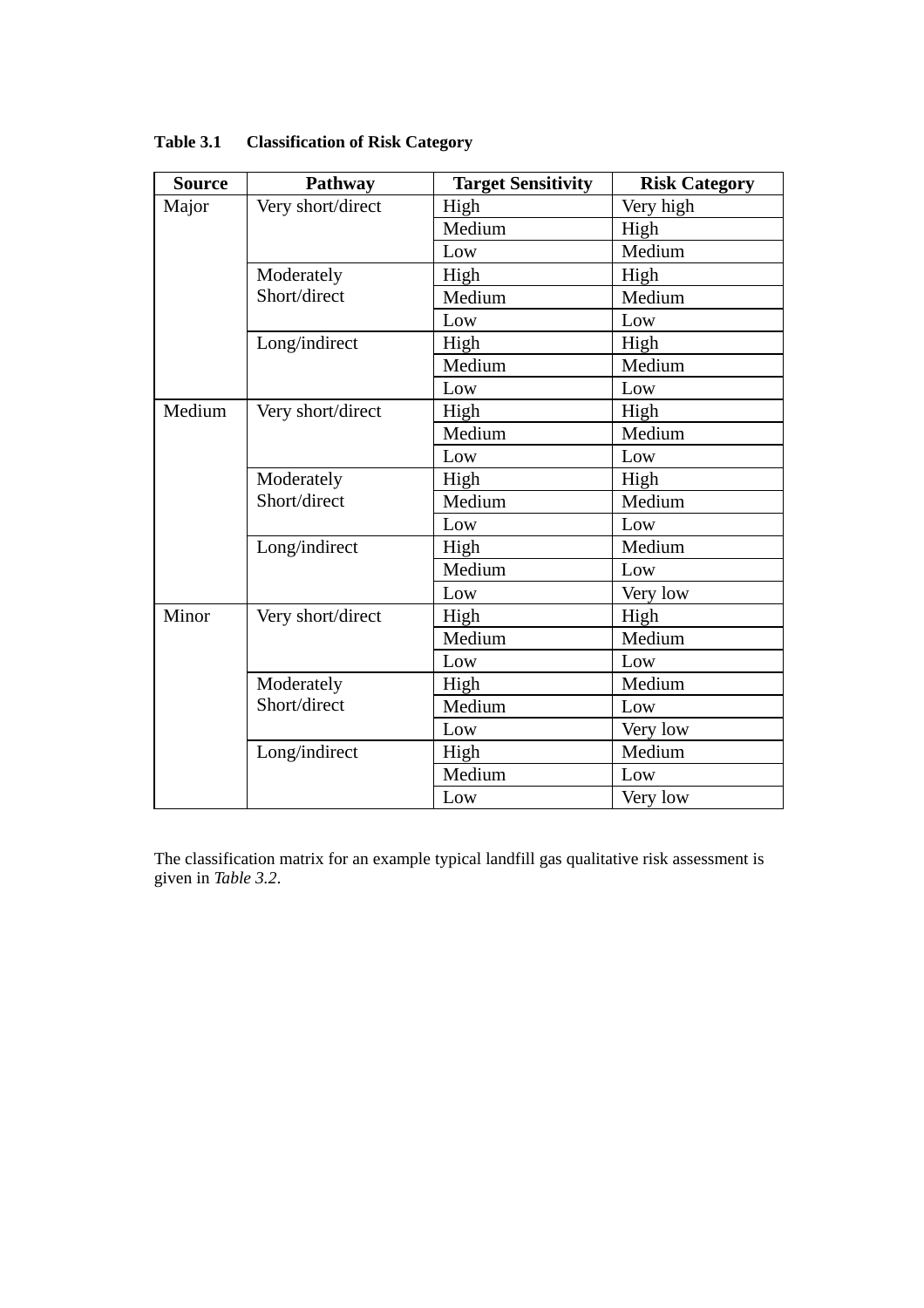| <b>Source</b> | Pathway           | <b>Target Sensitivity</b> | <b>Risk Category</b> |
|---------------|-------------------|---------------------------|----------------------|
| Major         | Very short/direct | High                      | Very high            |
|               |                   | Medium                    | High                 |
|               |                   | Low                       | Medium               |
|               | Moderately        | High                      | High                 |
|               | Short/direct      | Medium                    | Medium               |
|               |                   | Low                       | Low                  |
|               | Long/indirect     | High                      | High                 |
|               |                   | Medium                    | Medium               |
|               |                   | Low                       | Low                  |
| Medium        | Very short/direct | High                      | High                 |
|               |                   | Medium                    | Medium               |
|               |                   | Low                       | Low                  |
|               | Moderately        | High                      | High                 |
|               | Short/direct      | Medium                    | Medium               |
|               |                   | Low                       | Low                  |
|               | Long/indirect     | High                      | Medium               |
|               |                   | Medium                    | Low                  |
|               |                   | Low                       | Very low             |
| Minor         | Very short/direct | High                      | High                 |
|               |                   | Medium                    | Medium               |
|               |                   | Low                       | Low                  |
|               | Moderately        | High                      | Medium               |
|               | Short/direct      | Medium                    | Low                  |
|               |                   | Low                       | Very low             |
|               | Long/indirect     | High                      | Medium               |
|               |                   | Medium                    | Low                  |
|               |                   | Low                       | Very low             |

**Table 3.1 Classification of Risk Category** 

The classification matrix for an example typical landfill gas qualitative risk assessment is given in *Table 3.2*.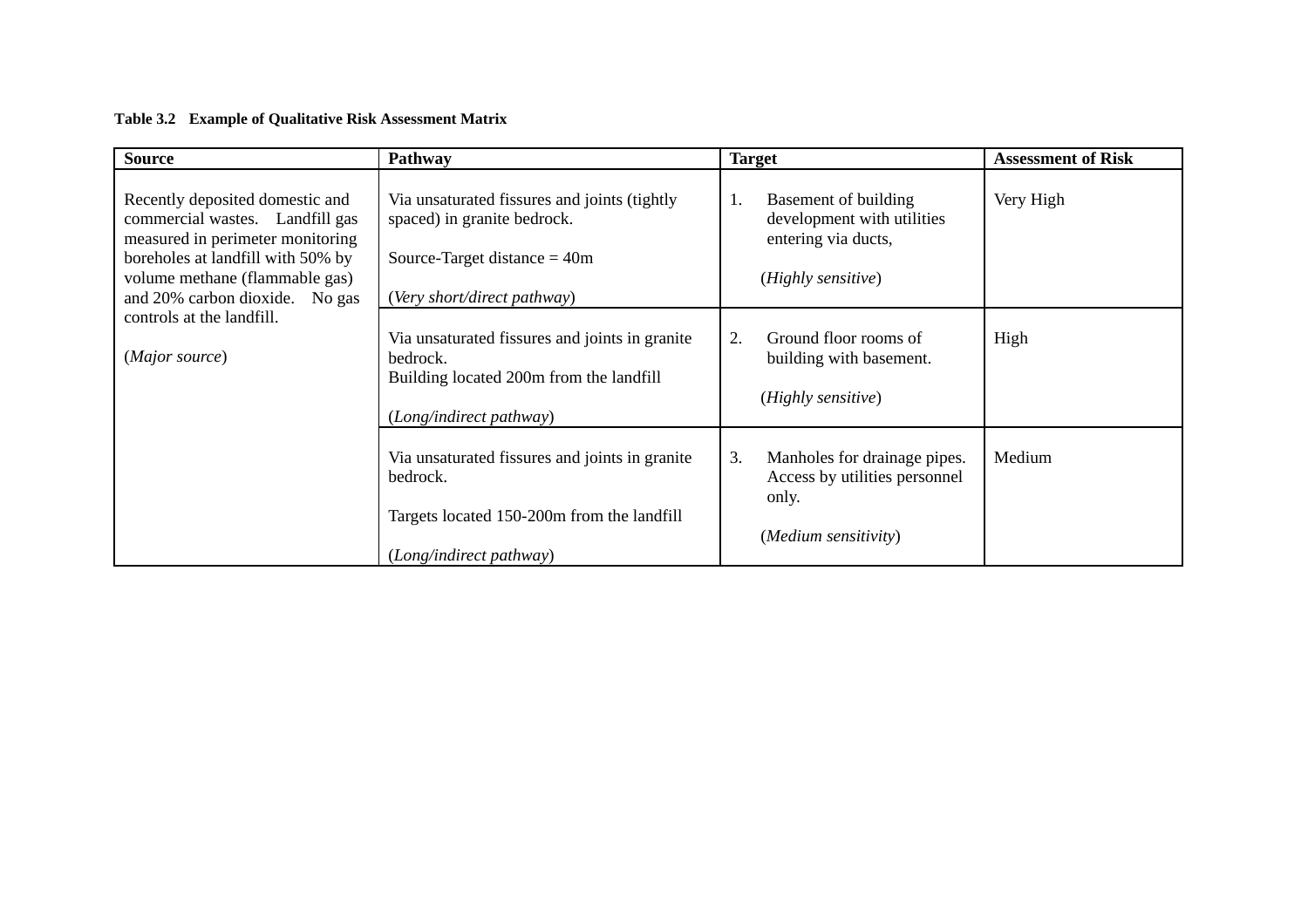# **Table 3.2 Example of Qualitative Risk Assessment Matrix**

| <b>Source</b>                                                                                                                                                                                                   | <b>Pathway</b>                                                                                                                               | <b>Target</b>                                                                                         | <b>Assessment of Risk</b> |
|-----------------------------------------------------------------------------------------------------------------------------------------------------------------------------------------------------------------|----------------------------------------------------------------------------------------------------------------------------------------------|-------------------------------------------------------------------------------------------------------|---------------------------|
| Recently deposited domestic and<br>commercial wastes. Landfill gas<br>measured in perimeter monitoring<br>boreholes at landfill with 50% by<br>volume methane (flammable gas)<br>and 20% carbon dioxide. No gas | Via unsaturated fissures and joints (tightly<br>spaced) in granite bedrock.<br>Source-Target distance $= 40m$<br>(Very short/direct pathway) | 1.<br>Basement of building<br>development with utilities<br>entering via ducts,<br>(Highly sensitive) | Very High                 |
| controls at the landfill.<br>(Major source)                                                                                                                                                                     | Via unsaturated fissures and joints in granite<br>bedrock.<br>Building located 200m from the landfill<br>(Long/indirect pathway)             | 2.<br>Ground floor rooms of<br>building with basement.<br>(Highly sensitive)                          | High                      |
|                                                                                                                                                                                                                 | Via unsaturated fissures and joints in granite<br>bedrock.<br>Targets located 150-200m from the landfill<br>(Long/indirect pathway)          | 3.<br>Manholes for drainage pipes.<br>Access by utilities personnel<br>only.<br>(Medium sensitivity)  | Medium                    |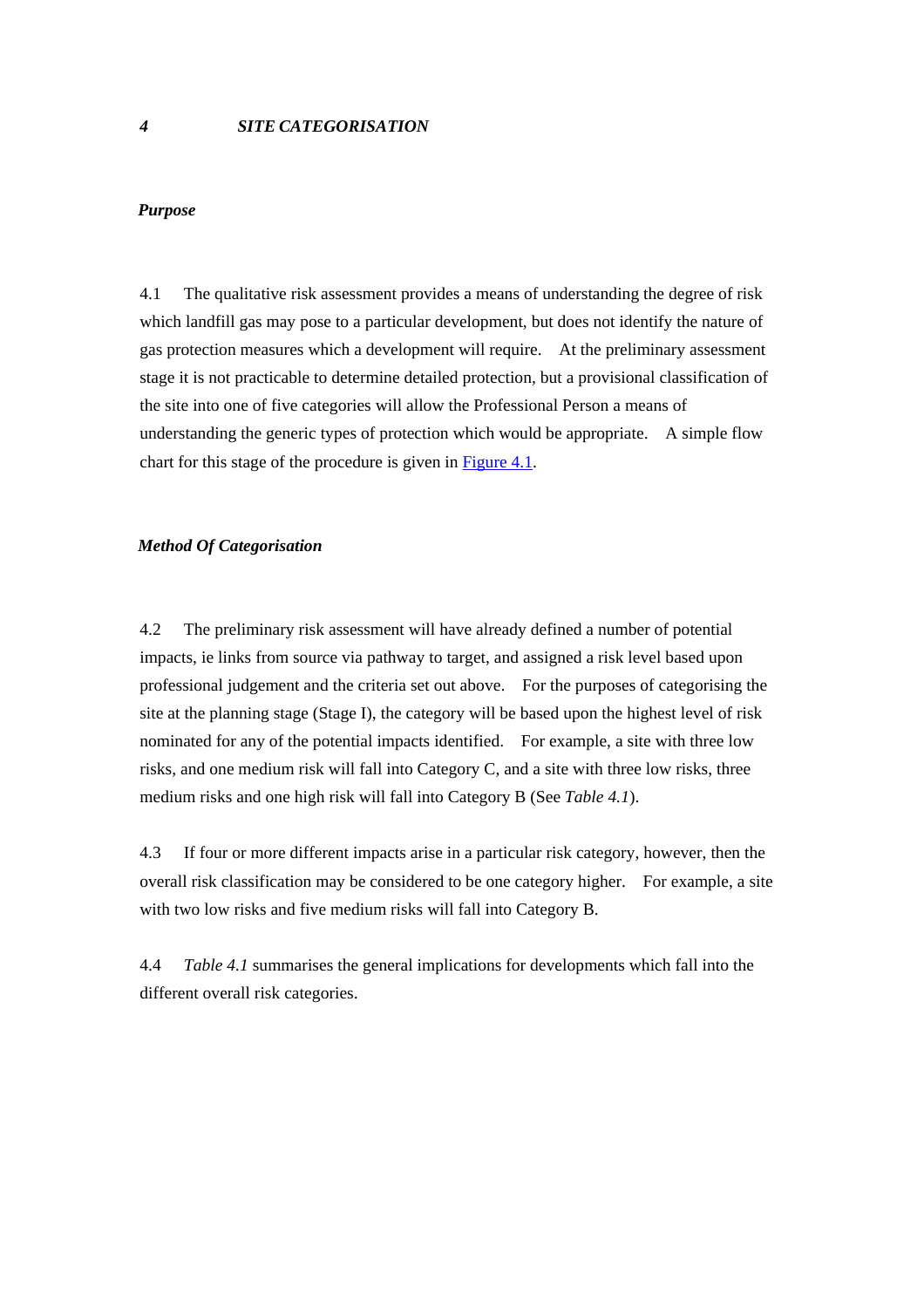#### <span id="page-24-0"></span>*Purpose*

4.1 The qualitative risk assessment provides a means of understanding the degree of risk which landfill gas may pose to a particular development, but does not identify the nature of gas protection measures which a development will require. At the preliminary assessment stage it is not practicable to determine detailed protection, but a provisional classification of the site into one of five categories will allow the Professional Person a means of understanding the generic types of protection which would be appropriate. A simple flow chart for this stage of the procedure is given in Figure 4.1.

#### *Method Of Categorisation*

4.2 The preliminary risk assessment will have already defined a number of potential impacts, ie links from source via pathway to target, and assigned a risk level based upon professional judgement and the criteria set out above. For the purposes of categorising the site at the planning stage (Stage I), the category will be based upon the highest level of risk nominated for any of the potential impacts identified. For example, a site with three low risks, and one medium risk will fall into Category C, and a site with three low risks, three medium risks and one high risk will fall into Category B (See *Table 4.1*).

4.3 If four or more different impacts arise in a particular risk category, however, then the overall risk classification may be considered to be one category higher. For example, a site with two low risks and five medium risks will fall into Category B.

4.4 *Table 4.1* summarises the general implications for developments which fall into the different overall risk categories.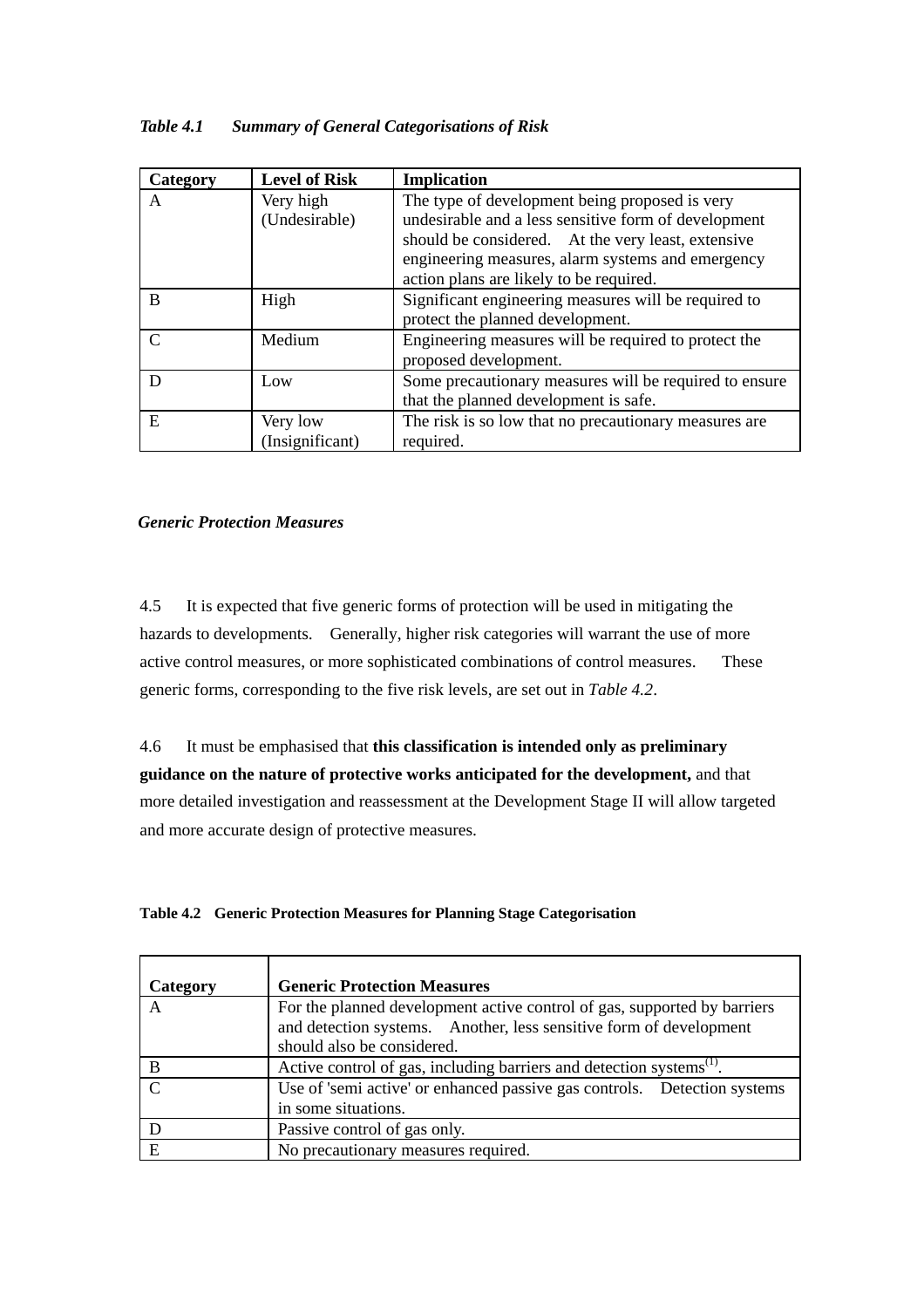| Table 4.1 |  | <b>Summary of General Categorisations of Risk</b> |  |
|-----------|--|---------------------------------------------------|--|
|           |  |                                                   |  |

| Category      | <b>Level of Risk</b> | <b>Implication</b>                                     |  |
|---------------|----------------------|--------------------------------------------------------|--|
| A             | Very high            | The type of development being proposed is very         |  |
|               | (Undesirable)        | undesirable and a less sensitive form of development   |  |
|               |                      | should be considered. At the very least, extensive     |  |
|               |                      | engineering measures, alarm systems and emergency      |  |
|               |                      | action plans are likely to be required.                |  |
| B             | High                 | Significant engineering measures will be required to   |  |
|               |                      | protect the planned development.                       |  |
| $\mathcal{C}$ | Medium               | Engineering measures will be required to protect the   |  |
|               |                      | proposed development.                                  |  |
| D             | Low                  | Some precautionary measures will be required to ensure |  |
|               |                      | that the planned development is safe.                  |  |
| E             | Very low             | The risk is so low that no precautionary measures are  |  |
|               | (Insignificant)      | required.                                              |  |

# *Generic Protection Measures*

4.5 It is expected that five generic forms of protection will be used in mitigating the hazards to developments. Generally, higher risk categories will warrant the use of more active control measures, or more sophisticated combinations of control measures. These generic forms, corresponding to the five risk levels, are set out in *Table 4.2*.

4.6 It must be emphasised that **this classification is intended only as preliminary guidance on the nature of protective works anticipated for the development,** and that more detailed investigation and reassessment at the Development Stage II will allow targeted and more accurate design of protective measures.

# **Table 4.2 Generic Protection Measures for Planning Stage Categorisation**

| Category | <b>Generic Protection Measures</b>                                                                                                                                           |
|----------|------------------------------------------------------------------------------------------------------------------------------------------------------------------------------|
| A        | For the planned development active control of gas, supported by barriers<br>and detection systems. Another, less sensitive form of development<br>should also be considered. |
| B        | Active control of gas, including barriers and detection systems <sup>(1)</sup> .                                                                                             |
| $\Gamma$ | Use of 'semi active' or enhanced passive gas controls. Detection systems<br>in some situations.                                                                              |
|          | Passive control of gas only.                                                                                                                                                 |
| E        | No precautionary measures required.                                                                                                                                          |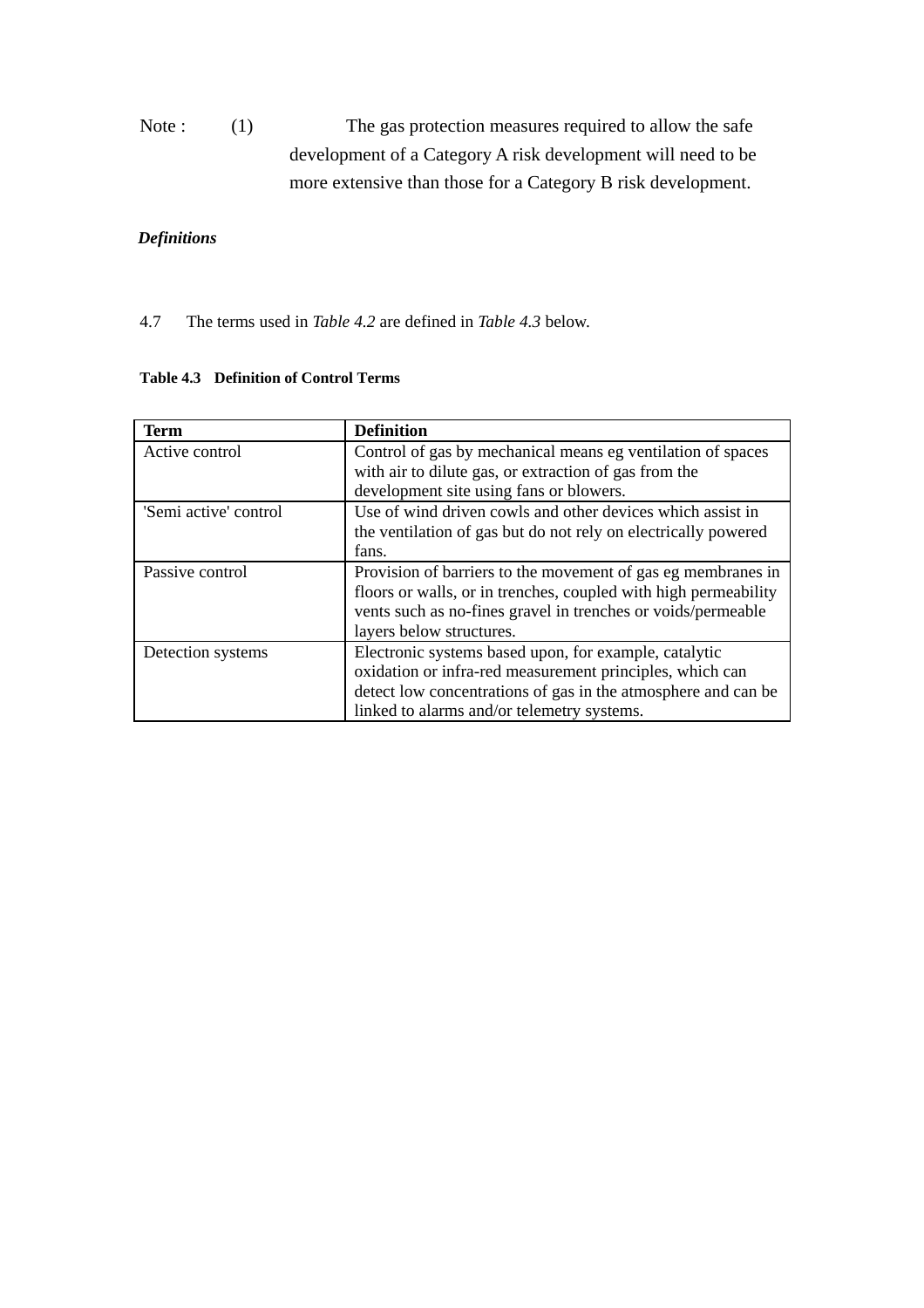Note : (1) The gas protection measures required to allow the safe development of a Category A risk development will need to be more extensive than those for a Category B risk development.

# *Definitions*

4.7 The terms used in *Table 4.2* are defined in *Table 4.3* below.

| <b>Term</b>           | <b>Definition</b>                                                                                                                                                                                                                |  |
|-----------------------|----------------------------------------------------------------------------------------------------------------------------------------------------------------------------------------------------------------------------------|--|
| Active control        | Control of gas by mechanical means eg ventilation of spaces<br>with air to dilute gas, or extraction of gas from the<br>development site using fans or blowers.                                                                  |  |
| 'Semi active' control | Use of wind driven cowls and other devices which assist in<br>the ventilation of gas but do not rely on electrically powered<br>fans.                                                                                            |  |
| Passive control       | Provision of barriers to the movement of gas eg membranes in<br>floors or walls, or in trenches, coupled with high permeability<br>vents such as no-fines gravel in trenches or voids/permeable<br>layers below structures.      |  |
| Detection systems     | Electronic systems based upon, for example, catalytic<br>oxidation or infra-red measurement principles, which can<br>detect low concentrations of gas in the atmosphere and can be<br>linked to alarms and/or telemetry systems. |  |

### **Table 4.3 Definition of Control Terms**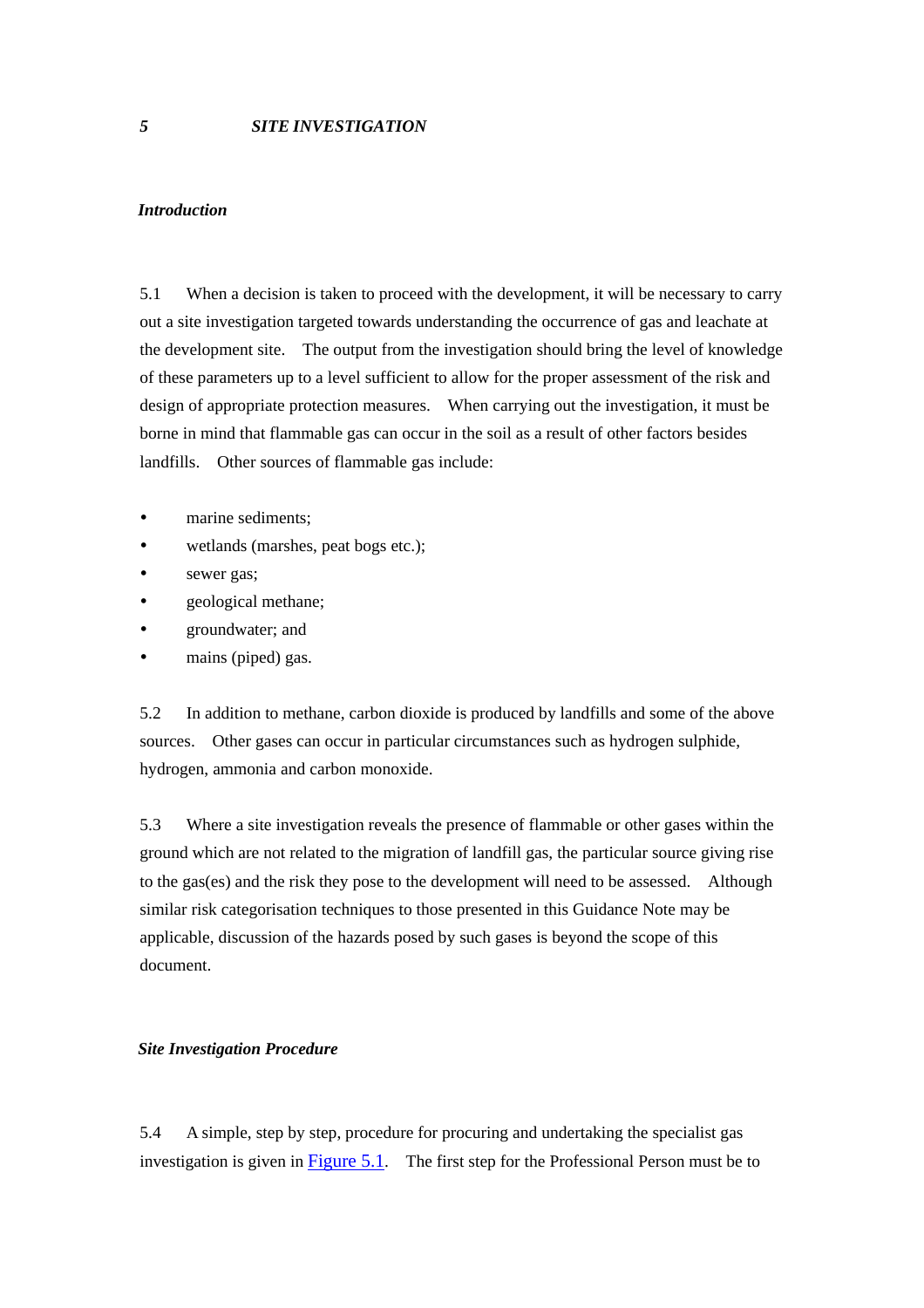#### <span id="page-27-0"></span>*Introduction*

5.1 When a decision is taken to proceed with the development, it will be necessary to carry out a site investigation targeted towards understanding the occurrence of gas and leachate at the development site. The output from the investigation should bring the level of knowledge of these parameters up to a level sufficient to allow for the proper assessment of the risk and design of appropriate protection measures. When carrying out the investigation, it must be borne in mind that flammable gas can occur in the soil as a result of other factors besides landfills. Other sources of flammable gas include:

- marine sediments:
- wetlands (marshes, peat bogs etc.);
- sewer gas;
- geological methane;
- y groundwater; and
- mains (piped) gas.

5.2 In addition to methane, carbon dioxide is produced by landfills and some of the above sources. Other gases can occur in particular circumstances such as hydrogen sulphide, hydrogen, ammonia and carbon monoxide.

5.3 Where a site investigation reveals the presence of flammable or other gases within the ground which are not related to the migration of landfill gas, the particular source giving rise to the gas(es) and the risk they pose to the development will need to be assessed. Although similar risk categorisation techniques to those presented in this Guidance Note may be applicable, discussion of the hazards posed by such gases is beyond the scope of this document.

#### *Site Investigation Procedure*

5.4 A simple, step by step, procedure for procuring and undertaking the specialist gas investigation is given in Figure 5.1. The first step for the Professional Person must be to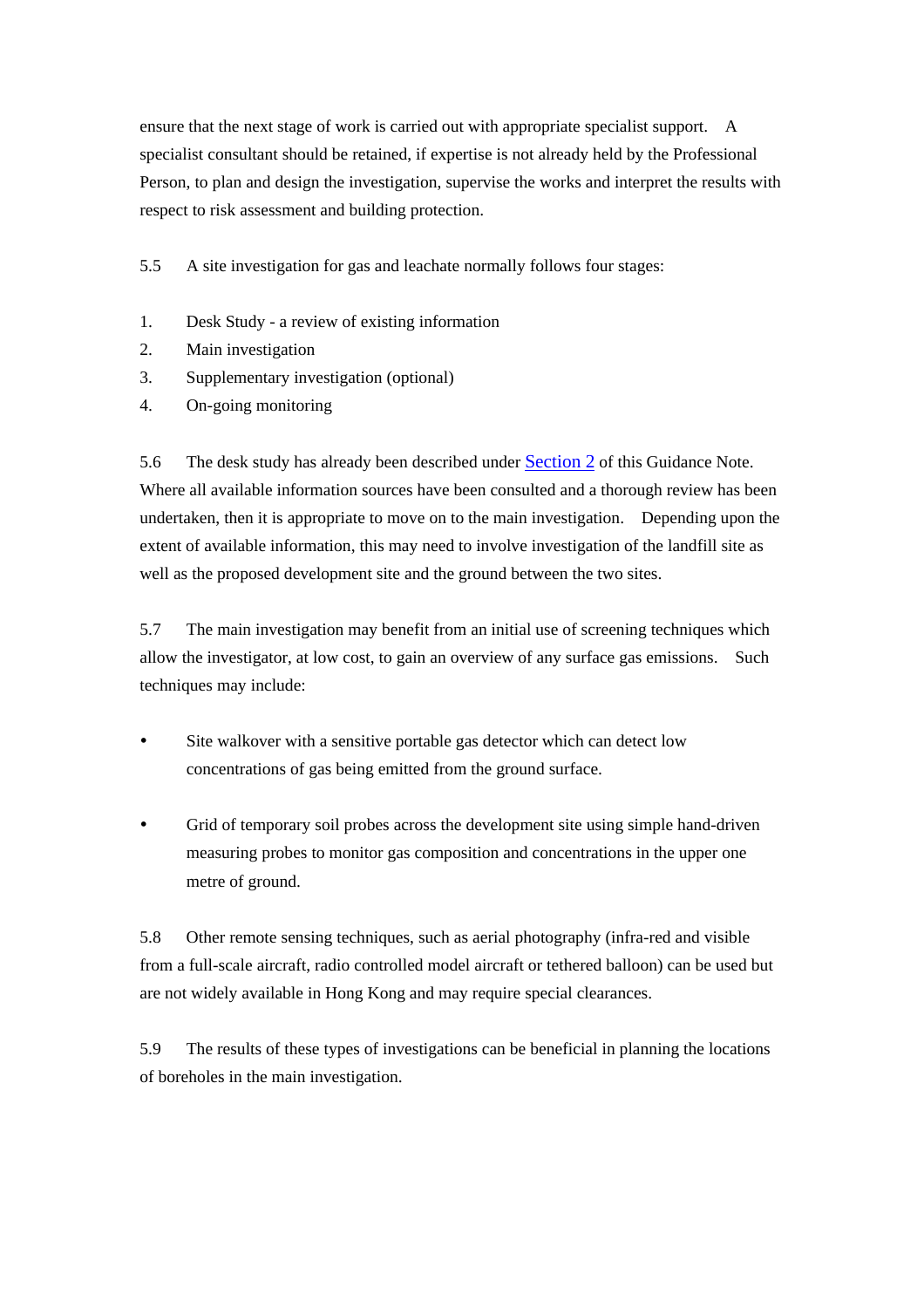ensure that the next stage of work is carried out with appropriate specialist support. A specialist consultant should be retained, if expertise is not already held by the Professional Person, to plan and design the investigation, supervise the works and interpret the results with respect to risk assessment and building protection.

5.5 A site investigation for gas and leachate normally follows four stages:

- 1. Desk Study a review of existing information
- 2. Main investigation
- 3. Supplementary investigation (optional)
- 4. On-going monitoring

5.6 The desk study has already been described under [Section 2](#page-11-0) of this Guidance Note. Where all available information sources have been consulted and a thorough review has been undertaken, then it is appropriate to move on to the main investigation. Depending upon the extent of available information, this may need to involve investigation of the landfill site as well as the proposed development site and the ground between the two sites.

5.7 The main investigation may benefit from an initial use of screening techniques which allow the investigator, at low cost, to gain an overview of any surface gas emissions. Such techniques may include:

- Site walkover with a sensitive portable gas detector which can detect low concentrations of gas being emitted from the ground surface.
- Grid of temporary soil probes across the development site using simple hand-driven measuring probes to monitor gas composition and concentrations in the upper one metre of ground.

5.8 Other remote sensing techniques, such as aerial photography (infra-red and visible from a full-scale aircraft, radio controlled model aircraft or tethered balloon) can be used but are not widely available in Hong Kong and may require special clearances.

5.9 The results of these types of investigations can be beneficial in planning the locations of boreholes in the main investigation.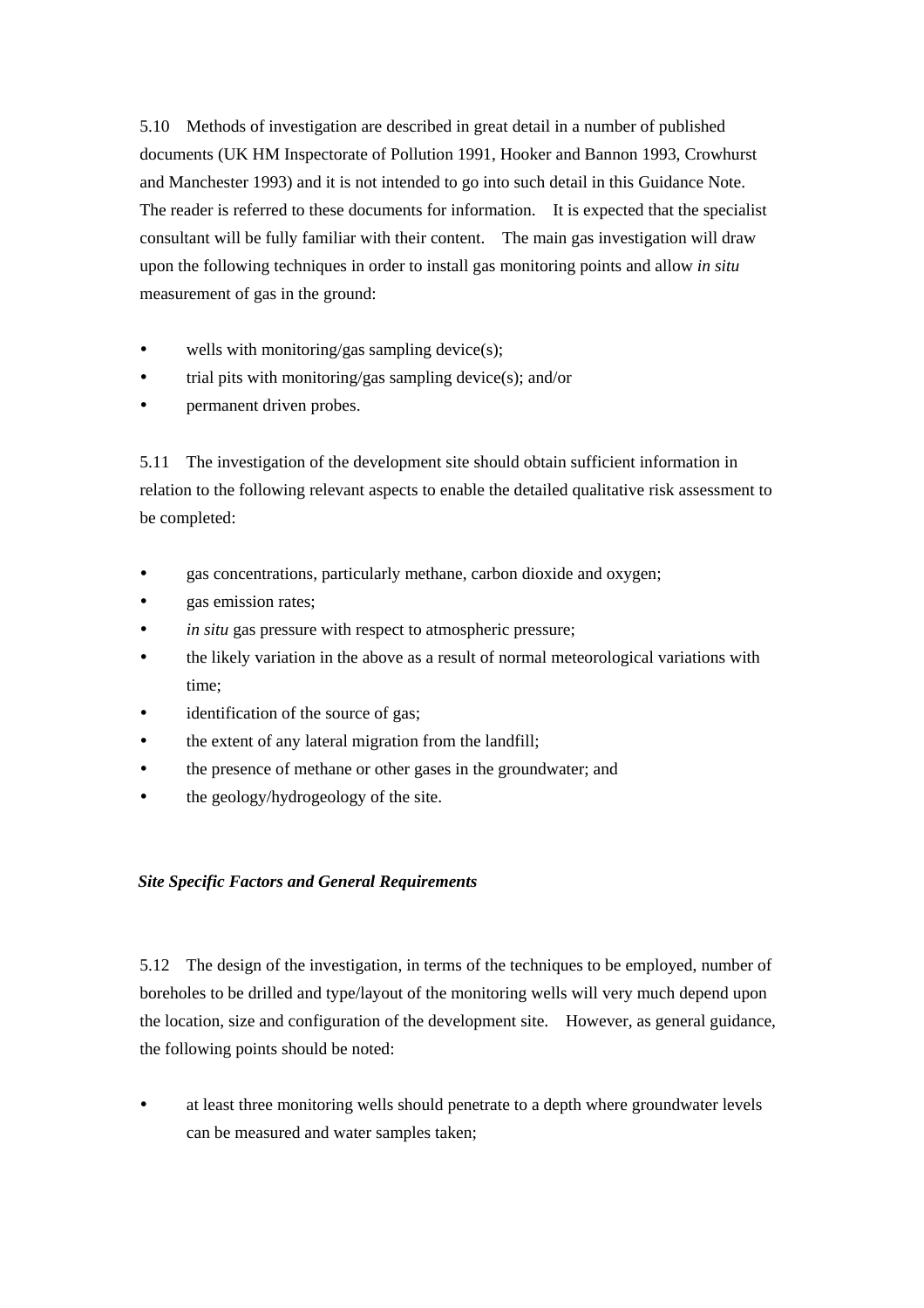5.10 Methods of investigation are described in great detail in a number of published documents (UK HM Inspectorate of Pollution 1991, Hooker and Bannon 1993, Crowhurst and Manchester 1993) and it is not intended to go into such detail in this Guidance Note. The reader is referred to these documents for information. It is expected that the specialist consultant will be fully familiar with their content. The main gas investigation will draw upon the following techniques in order to install gas monitoring points and allow *in situ* measurement of gas in the ground:

- wells with monitoring/gas sampling device(s):
- trial pits with monitoring/gas sampling device(s); and/or
- permanent driven probes.

5.11 The investigation of the development site should obtain sufficient information in relation to the following relevant aspects to enable the detailed qualitative risk assessment to be completed:

- y gas concentrations, particularly methane, carbon dioxide and oxygen;
- gas emission rates;
- *in situ* gas pressure with respect to atmospheric pressure;
- the likely variation in the above as a result of normal meteorological variations with time;
- identification of the source of gas;
- the extent of any lateral migration from the landfill:
- the presence of methane or other gases in the groundwater; and
- the geology/hydrogeology of the site.

# *Site Specific Factors and General Requirements*

5.12 The design of the investigation, in terms of the techniques to be employed, number of boreholes to be drilled and type/layout of the monitoring wells will very much depend upon the location, size and configuration of the development site. However, as general guidance, the following points should be noted:

at least three monitoring wells should penetrate to a depth where groundwater levels can be measured and water samples taken;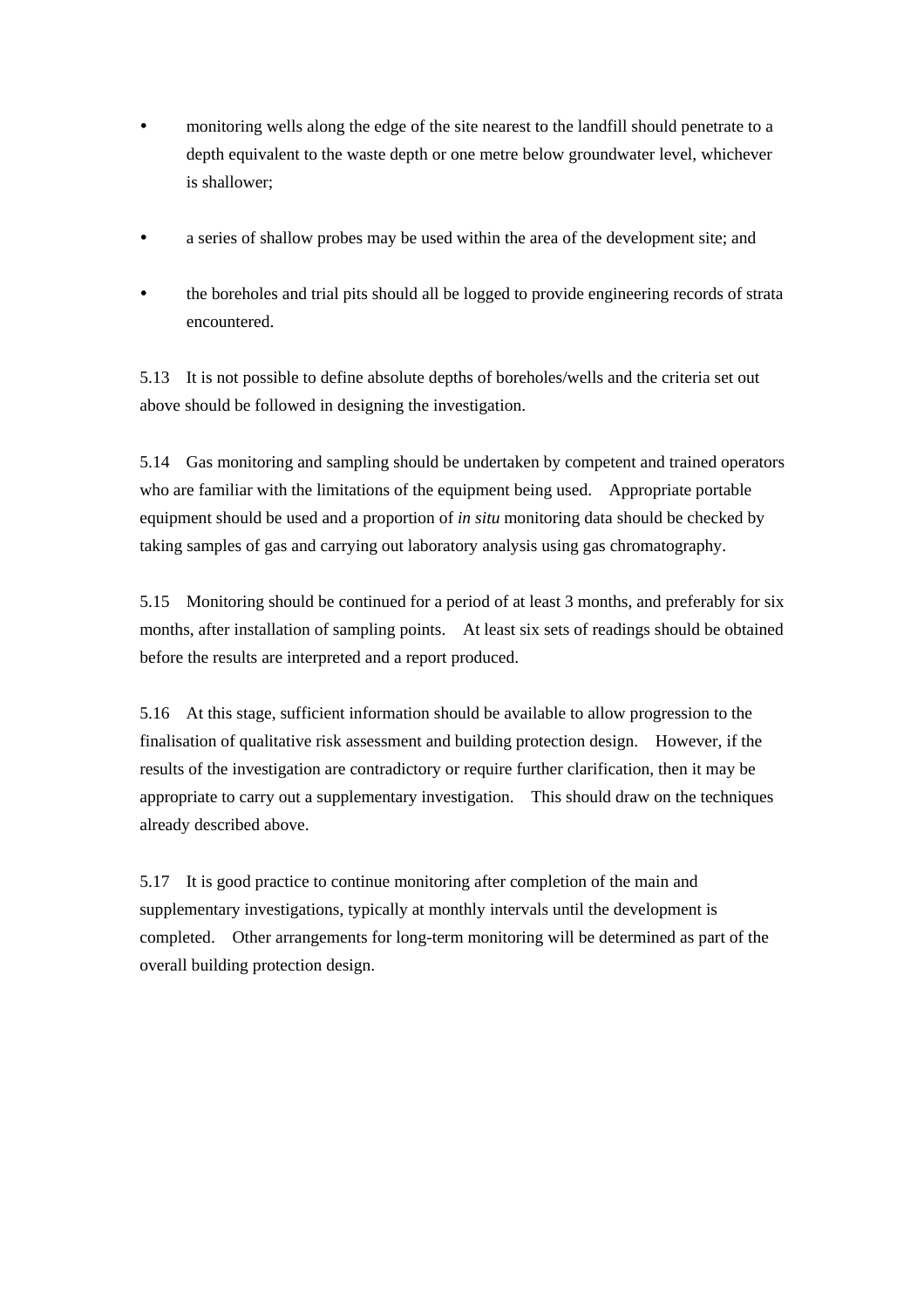- monitoring wells along the edge of the site nearest to the landfill should penetrate to a depth equivalent to the waste depth or one metre below groundwater level, whichever is shallower;
- a series of shallow probes may be used within the area of the development site; and
- the boreholes and trial pits should all be logged to provide engineering records of strata encountered.

5.13 It is not possible to define absolute depths of boreholes/wells and the criteria set out above should be followed in designing the investigation.

5.14 Gas monitoring and sampling should be undertaken by competent and trained operators who are familiar with the limitations of the equipment being used. Appropriate portable equipment should be used and a proportion of *in situ* monitoring data should be checked by taking samples of gas and carrying out laboratory analysis using gas chromatography.

5.15 Monitoring should be continued for a period of at least 3 months, and preferably for six months, after installation of sampling points. At least six sets of readings should be obtained before the results are interpreted and a report produced.

5.16 At this stage, sufficient information should be available to allow progression to the finalisation of qualitative risk assessment and building protection design. However, if the results of the investigation are contradictory or require further clarification, then it may be appropriate to carry out a supplementary investigation. This should draw on the techniques already described above.

5.17 It is good practice to continue monitoring after completion of the main and supplementary investigations, typically at monthly intervals until the development is completed. Other arrangements for long-term monitoring will be determined as part of the overall building protection design.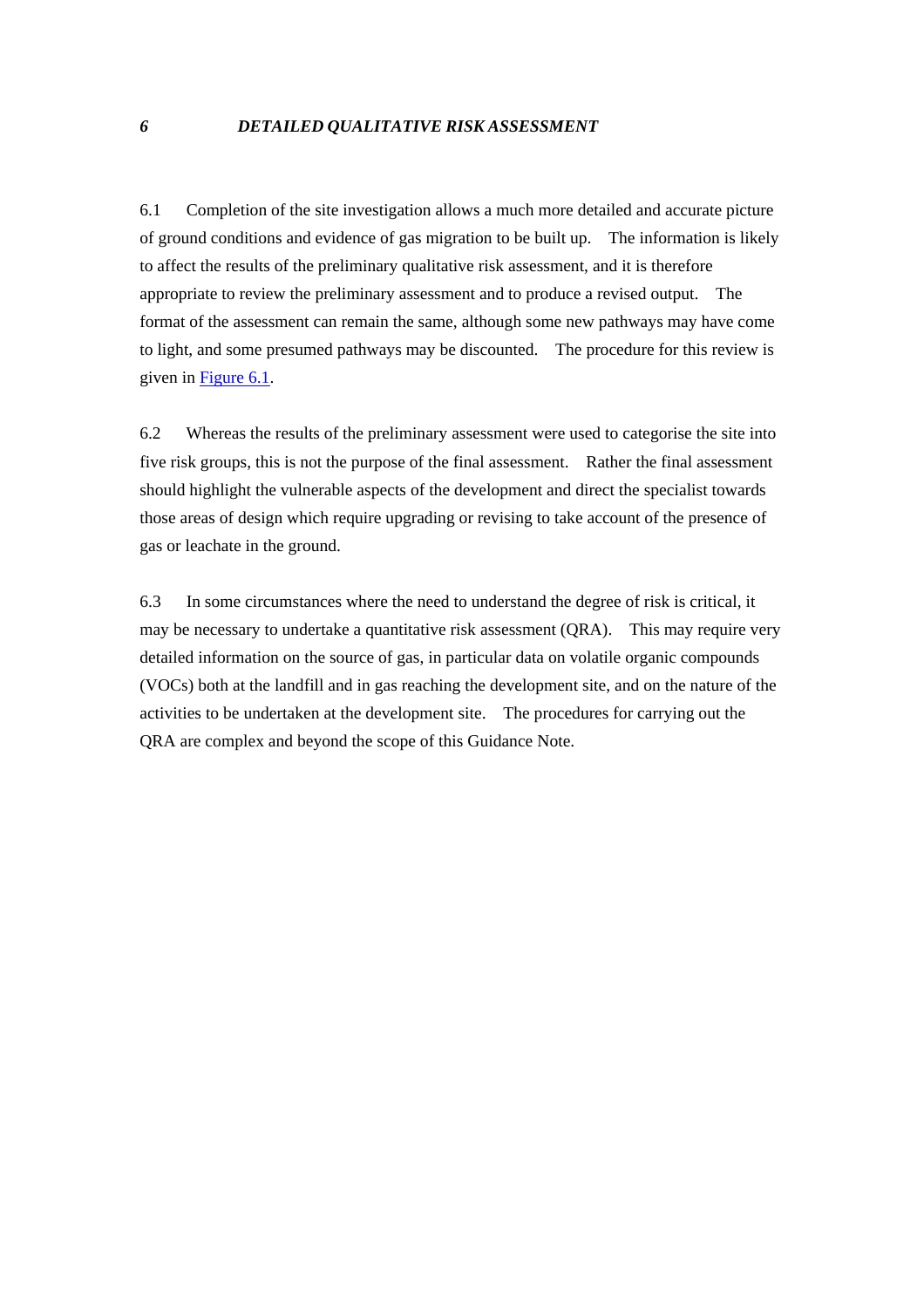<span id="page-31-0"></span>6.1 Completion of the site investigation allows a much more detailed and accurate picture of ground conditions and evidence of gas migration to be built up. The information is likely to affect the results of the preliminary qualitative risk assessment, and it is therefore appropriate to review the preliminary assessment and to produce a revised output. The format of the assessment can remain the same, although some new pathways may have come to light, and some presumed pathways may be discounted. The procedure for this review is given in Figure 6.1.

6.2 Whereas the results of the preliminary assessment were used to categorise the site into five risk groups, this is not the purpose of the final assessment. Rather the final assessment should highlight the vulnerable aspects of the development and direct the specialist towards those areas of design which require upgrading or revising to take account of the presence of gas or leachate in the ground.

6.3 In some circumstances where the need to understand the degree of risk is critical, it may be necessary to undertake a quantitative risk assessment (QRA). This may require very detailed information on the source of gas, in particular data on volatile organic compounds (VOCs) both at the landfill and in gas reaching the development site, and on the nature of the activities to be undertaken at the development site. The procedures for carrying out the QRA are complex and beyond the scope of this Guidance Note.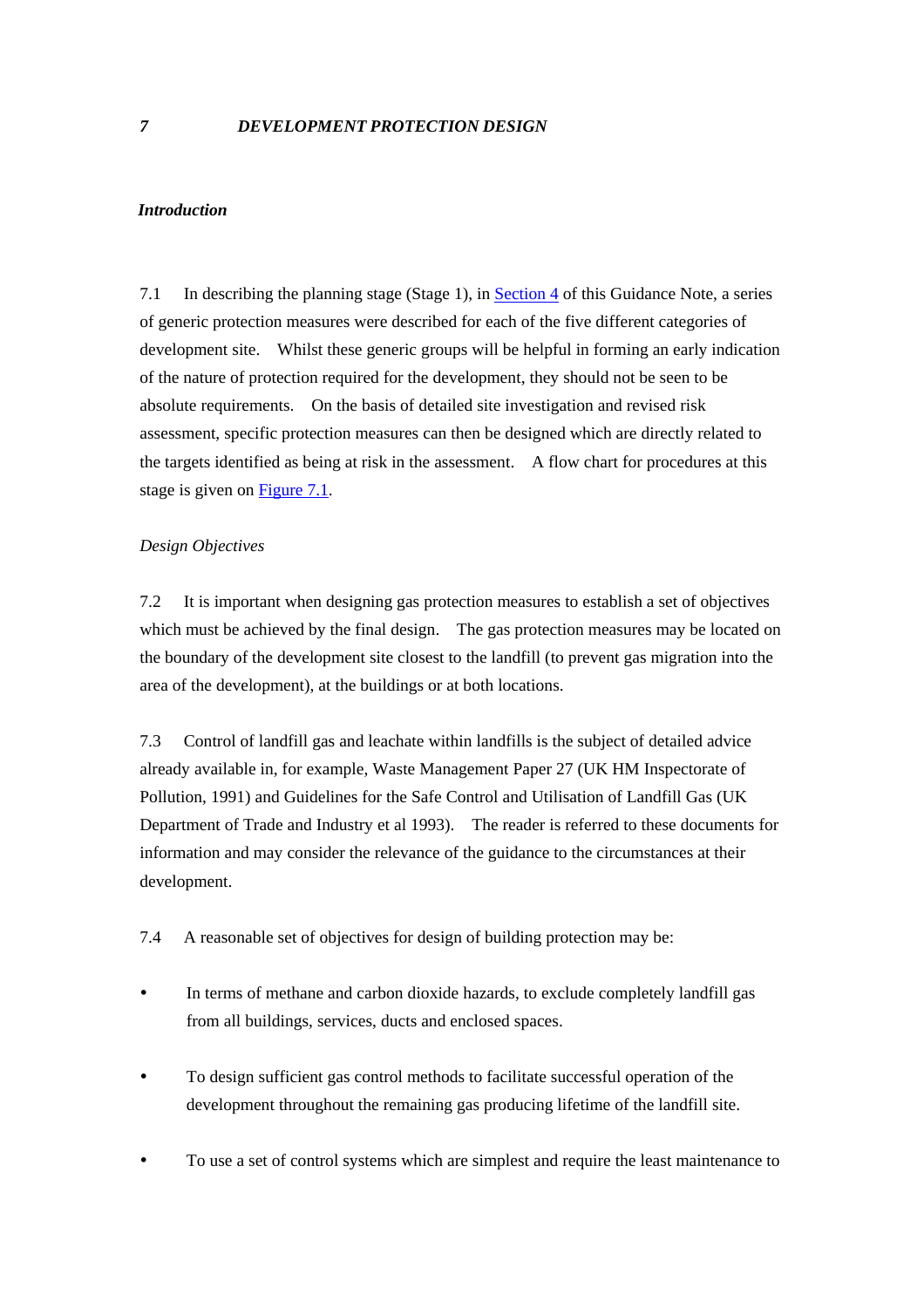#### <span id="page-32-0"></span>*Introduction*

7.1 In describing the planning stage (Stage 1), in [Section 4](#page-24-0) of this Guidance Note, a series of generic protection measures were described for each of the five different categories of development site. Whilst these generic groups will be helpful in forming an early indication of the nature of protection required for the development, they should not be seen to be absolute requirements. On the basis of detailed site investigation and revised risk assessment, specific protection measures can then be designed which are directly related to the targets identified as being at risk in the assessment. A flow chart for procedures at this stage is given on Figure 7.1.

#### *Design Objectives*

7.2 It is important when designing gas protection measures to establish a set of objectives which must be achieved by the final design. The gas protection measures may be located on the boundary of the development site closest to the landfill (to prevent gas migration into the area of the development), at the buildings or at both locations.

7.3 Control of landfill gas and leachate within landfills is the subject of detailed advice already available in, for example, Waste Management Paper 27 (UK HM Inspectorate of Pollution, 1991) and Guidelines for the Safe Control and Utilisation of Landfill Gas (UK Department of Trade and Industry et al 1993). The reader is referred to these documents for information and may consider the relevance of the guidance to the circumstances at their development.

7.4 A reasonable set of objectives for design of building protection may be:

- In terms of methane and carbon dioxide hazards, to exclude completely landfill gas from all buildings, services, ducts and enclosed spaces.
- y To design sufficient gas control methods to facilitate successful operation of the development throughout the remaining gas producing lifetime of the landfill site.
- To use a set of control systems which are simplest and require the least maintenance to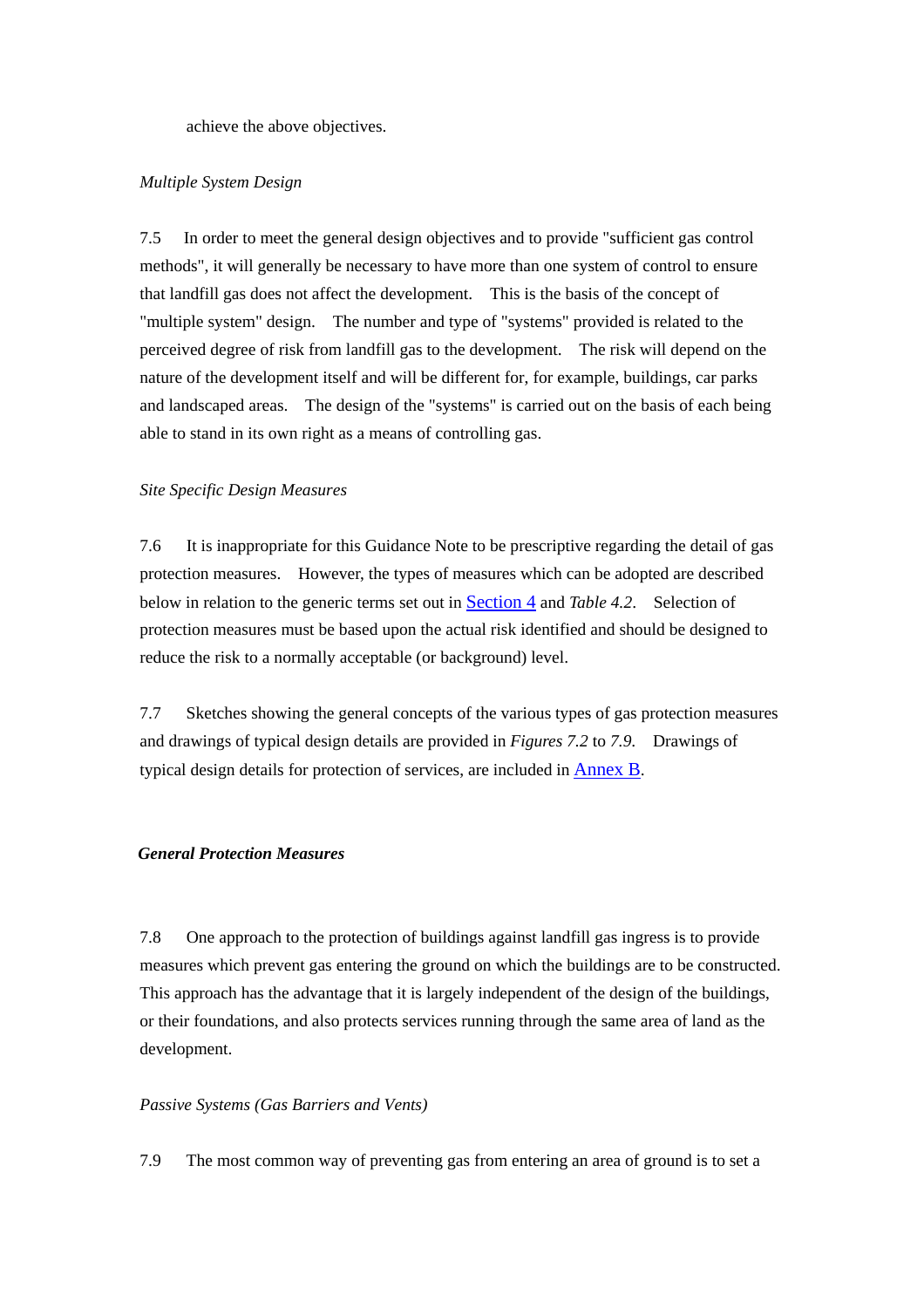achieve the above objectives.

#### *Multiple System Design*

7.5 In order to meet the general design objectives and to provide "sufficient gas control methods", it will generally be necessary to have more than one system of control to ensure that landfill gas does not affect the development. This is the basis of the concept of "multiple system" design. The number and type of "systems" provided is related to the perceived degree of risk from landfill gas to the development. The risk will depend on the nature of the development itself and will be different for, for example, buildings, car parks and landscaped areas. The design of the "systems" is carried out on the basis of each being able to stand in its own right as a means of controlling gas.

#### *Site Specific Design Measures*

7.6 It is inappropriate for this Guidance Note to be prescriptive regarding the detail of gas protection measures. However, the types of measures which can be adopted are described below in relation to the generic terms set out i[n Section 4 a](#page-24-0)nd *Table 4.2*. Selection of protection measures must be based upon the actual risk identified and should be designed to reduce the risk to a normally acceptable (or background) level.

7.7 Sketches showing the general concepts of the various types of gas protection measures and drawings of typical design details are provided in *Figures 7.2* to *7.9*. Drawings of typical design details for protection of services, are included in [Annex B.](#page-55-0) 

#### *General Protection Measures*

7.8 One approach to the protection of buildings against landfill gas ingress is to provide measures which prevent gas entering the ground on which the buildings are to be constructed. This approach has the advantage that it is largely independent of the design of the buildings, or their foundations, and also protects services running through the same area of land as the development.

#### *Passive Systems (Gas Barriers and Vents)*

7.9 The most common way of preventing gas from entering an area of ground is to set a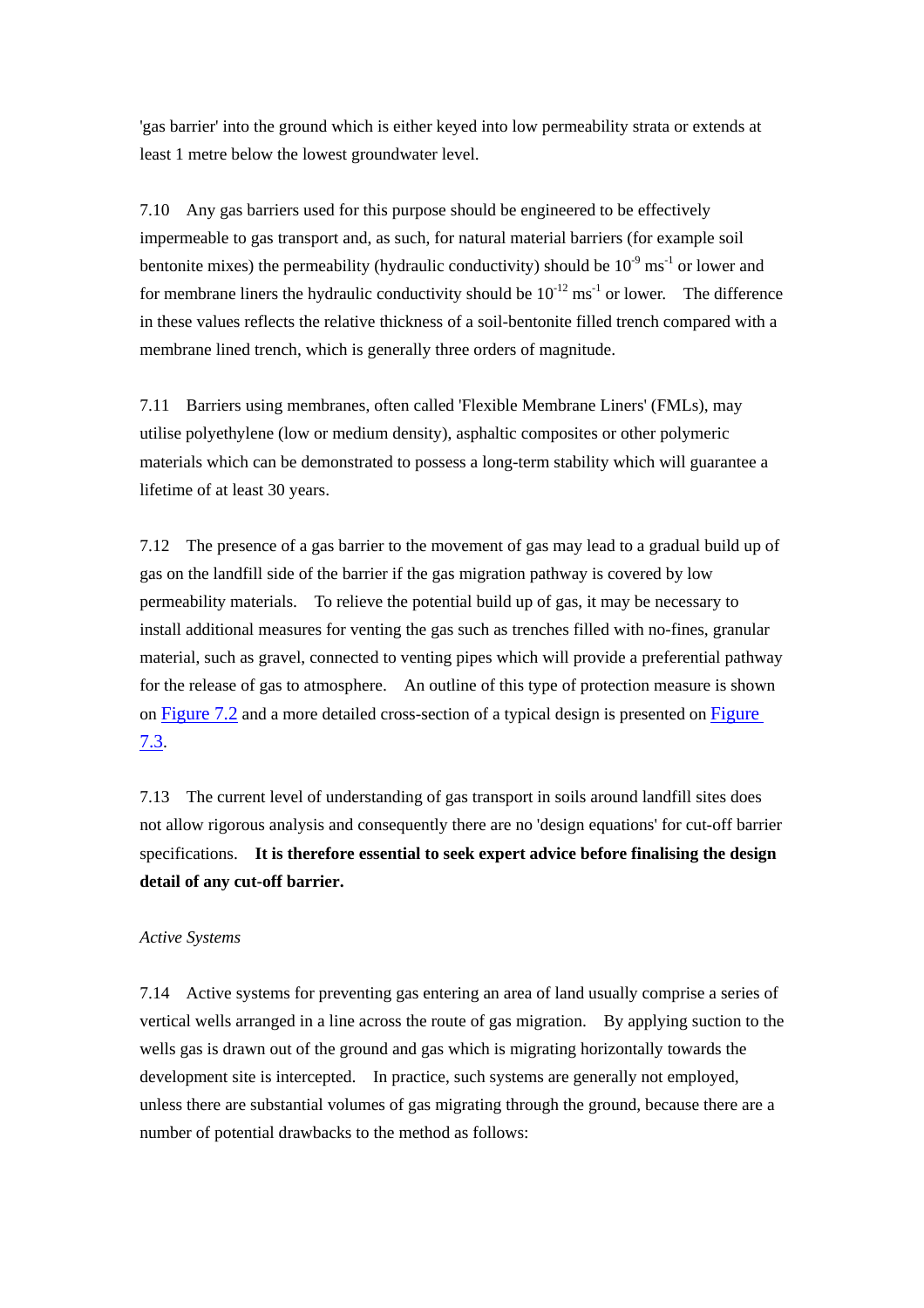'gas barrier' into the ground which is either keyed into low permeability strata or extends at least 1 metre below the lowest groundwater level.

7.10 Any gas barriers used for this purpose should be engineered to be effectively impermeable to gas transport and, as such, for natural material barriers (for example soil bentonite mixes) the permeability (hydraulic conductivity) should be  $10^{-9}$  ms<sup>-1</sup> or lower and for membrane liners the hydraulic conductivity should be  $10^{-12}$  ms<sup>-1</sup> or lower. The difference in these values reflects the relative thickness of a soil-bentonite filled trench compared with a membrane lined trench, which is generally three orders of magnitude.

7.11 Barriers using membranes, often called 'Flexible Membrane Liners' (FMLs), may utilise polyethylene (low or medium density), asphaltic composites or other polymeric materials which can be demonstrated to possess a long-term stability which will guarantee a lifetime of at least 30 years.

7.12 The presence of a gas barrier to the movement of gas may lead to a gradual build up of gas on the landfill side of the barrier if the gas migration pathway is covered by low permeability materials. To relieve the potential build up of gas, it may be necessary to install additional measures for venting the gas such as trenches filled with no-fines, granular material, such as gravel, connected to venting pipes which will provide a preferential pathway for the release of gas to atmosphere. An outline of this type of protection measure is shown on Figure 7.2 and a more detailed cross-section of a typical design is presented on Figure 7.3.

7.13 The current level of understanding of gas transport in soils around landfill sites does not allow rigorous analysis and consequently there are no 'design equations' for cut-off barrier specifications. **It is therefore essential to seek expert advice before finalising the design detail of any cut-off barrier.**

# *Active Systems*

7.14 Active systems for preventing gas entering an area of land usually comprise a series of vertical wells arranged in a line across the route of gas migration. By applying suction to the wells gas is drawn out of the ground and gas which is migrating horizontally towards the development site is intercepted. In practice, such systems are generally not employed, unless there are substantial volumes of gas migrating through the ground, because there are a number of potential drawbacks to the method as follows: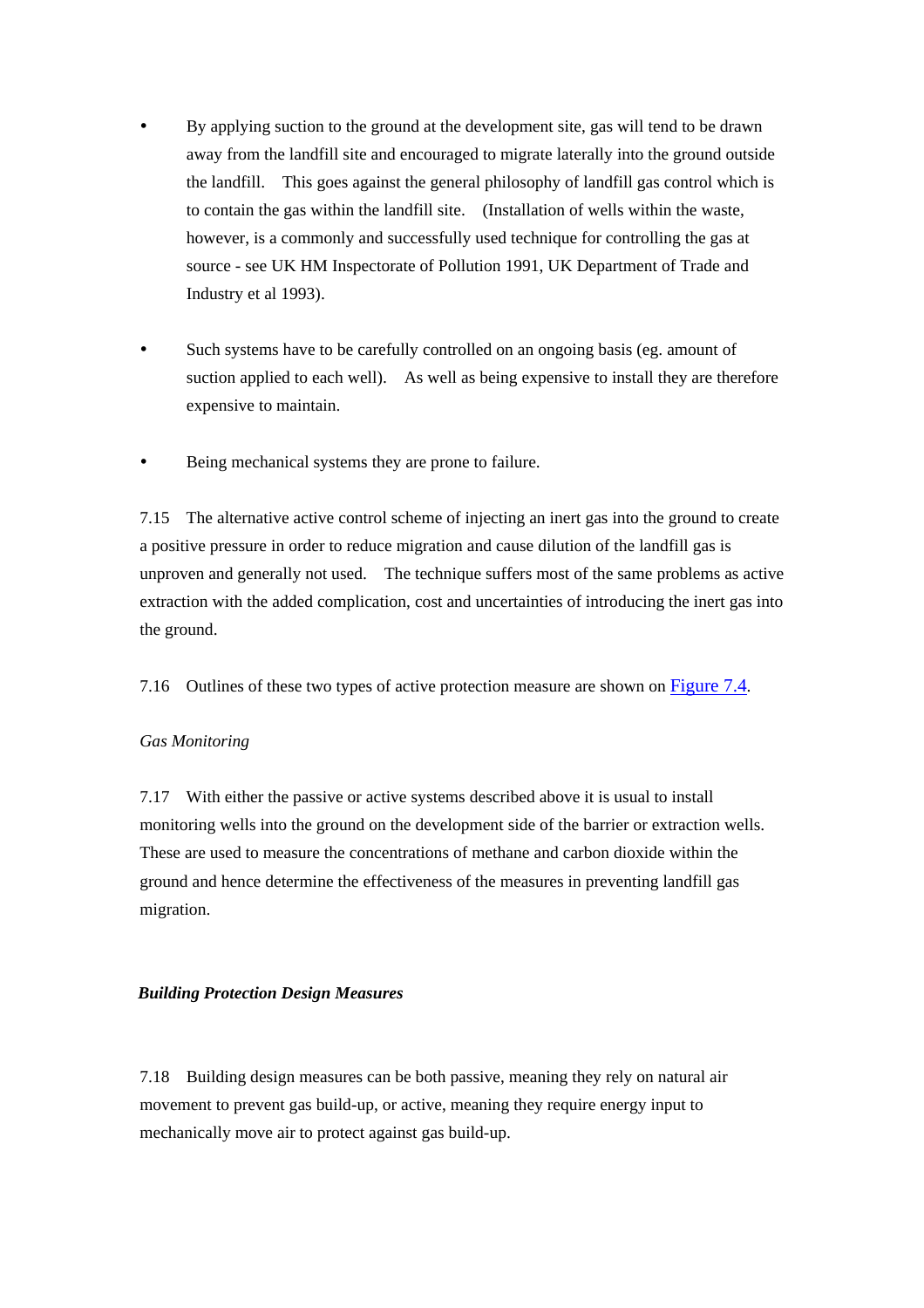- y By applying suction to the ground at the development site, gas will tend to be drawn away from the landfill site and encouraged to migrate laterally into the ground outside the landfill. This goes against the general philosophy of landfill gas control which is to contain the gas within the landfill site. (Installation of wells within the waste, however, is a commonly and successfully used technique for controlling the gas at source - see UK HM Inspectorate of Pollution 1991, UK Department of Trade and Industry et al 1993).
- Such systems have to be carefully controlled on an ongoing basis (eg. amount of suction applied to each well). As well as being expensive to install they are therefore expensive to maintain.
- Being mechanical systems they are prone to failure.

7.15 The alternative active control scheme of injecting an inert gas into the ground to create a positive pressure in order to reduce migration and cause dilution of the landfill gas is unproven and generally not used. The technique suffers most of the same problems as active extraction with the added complication, cost and uncertainties of introducing the inert gas into the ground.

7.16 Outlines of these two types of active protection measure are shown on Figure 7.4.

#### *Gas Monitoring*

7.17 With either the passive or active systems described above it is usual to install monitoring wells into the ground on the development side of the barrier or extraction wells. These are used to measure the concentrations of methane and carbon dioxide within the ground and hence determine the effectiveness of the measures in preventing landfill gas migration.

#### *Building Protection Design Measures*

7.18 Building design measures can be both passive, meaning they rely on natural air movement to prevent gas build-up, or active, meaning they require energy input to mechanically move air to protect against gas build-up.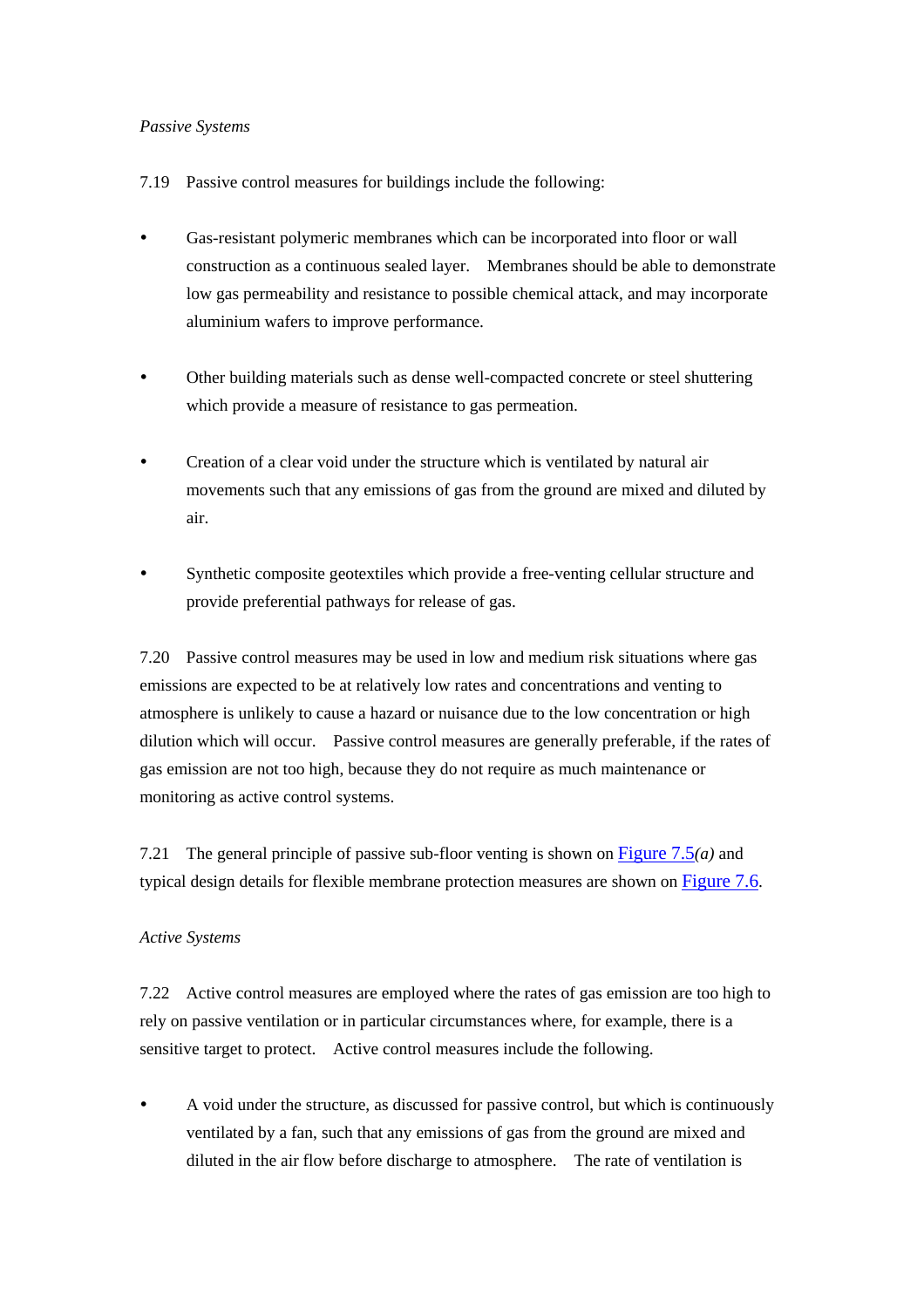#### *Passive Systems*

- 7.19 Passive control measures for buildings include the following:
- y Gas-resistant polymeric membranes which can be incorporated into floor or wall construction as a continuous sealed layer. Membranes should be able to demonstrate low gas permeability and resistance to possible chemical attack, and may incorporate aluminium wafers to improve performance.
- Other building materials such as dense well-compacted concrete or steel shuttering which provide a measure of resistance to gas permeation.
- Creation of a clear void under the structure which is ventilated by natural air movements such that any emissions of gas from the ground are mixed and diluted by air.
- y Synthetic composite geotextiles which provide a free-venting cellular structure and provide preferential pathways for release of gas.

7.20 Passive control measures may be used in low and medium risk situations where gas emissions are expected to be at relatively low rates and concentrations and venting to atmosphere is unlikely to cause a hazard or nuisance due to the low concentration or high dilution which will occur. Passive control measures are generally preferable, if the rates of gas emission are not too high, because they do not require as much maintenance or monitoring as active control systems.

7.21 The general principle of passive sub-floor venting is shown on Figure 7.5*(a)* and typical design details for flexible membrane protection measures are shown on Figure 7.6.

#### *Active Systems*

7.22 Active control measures are employed where the rates of gas emission are too high to rely on passive ventilation or in particular circumstances where, for example, there is a sensitive target to protect. Active control measures include the following.

A void under the structure, as discussed for passive control, but which is continuously ventilated by a fan, such that any emissions of gas from the ground are mixed and diluted in the air flow before discharge to atmosphere. The rate of ventilation is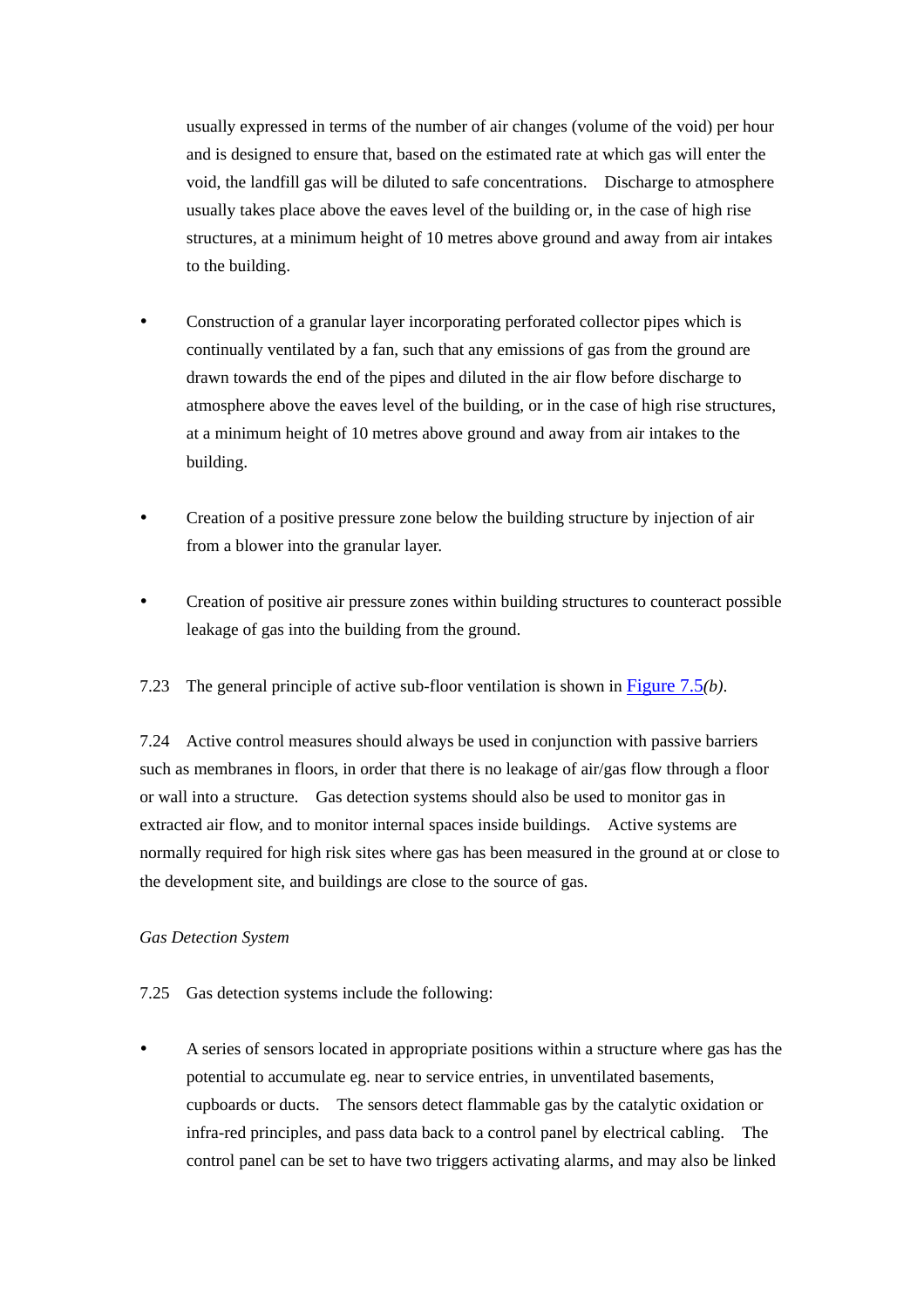usually expressed in terms of the number of air changes (volume of the void) per hour and is designed to ensure that, based on the estimated rate at which gas will enter the void, the landfill gas will be diluted to safe concentrations. Discharge to atmosphere usually takes place above the eaves level of the building or, in the case of high rise structures, at a minimum height of 10 metres above ground and away from air intakes to the building.

- Construction of a granular layer incorporating perforated collector pipes which is continually ventilated by a fan, such that any emissions of gas from the ground are drawn towards the end of the pipes and diluted in the air flow before discharge to atmosphere above the eaves level of the building, or in the case of high rise structures, at a minimum height of 10 metres above ground and away from air intakes to the building.
- Creation of a positive pressure zone below the building structure by injection of air from a blower into the granular layer.
- Creation of positive air pressure zones within building structures to counteract possible leakage of gas into the building from the ground.
- 7.23 The general principle of active sub-floor ventilation is shown in Figure 7.5*(b)*.

7.24 Active control measures should always be used in conjunction with passive barriers such as membranes in floors, in order that there is no leakage of air/gas flow through a floor or wall into a structure. Gas detection systems should also be used to monitor gas in extracted air flow, and to monitor internal spaces inside buildings. Active systems are normally required for high risk sites where gas has been measured in the ground at or close to the development site, and buildings are close to the source of gas.

#### *Gas Detection System*

- 7.25 Gas detection systems include the following:
- A series of sensors located in appropriate positions within a structure where gas has the potential to accumulate eg. near to service entries, in unventilated basements, cupboards or ducts. The sensors detect flammable gas by the catalytic oxidation or infra-red principles, and pass data back to a control panel by electrical cabling. The control panel can be set to have two triggers activating alarms, and may also be linked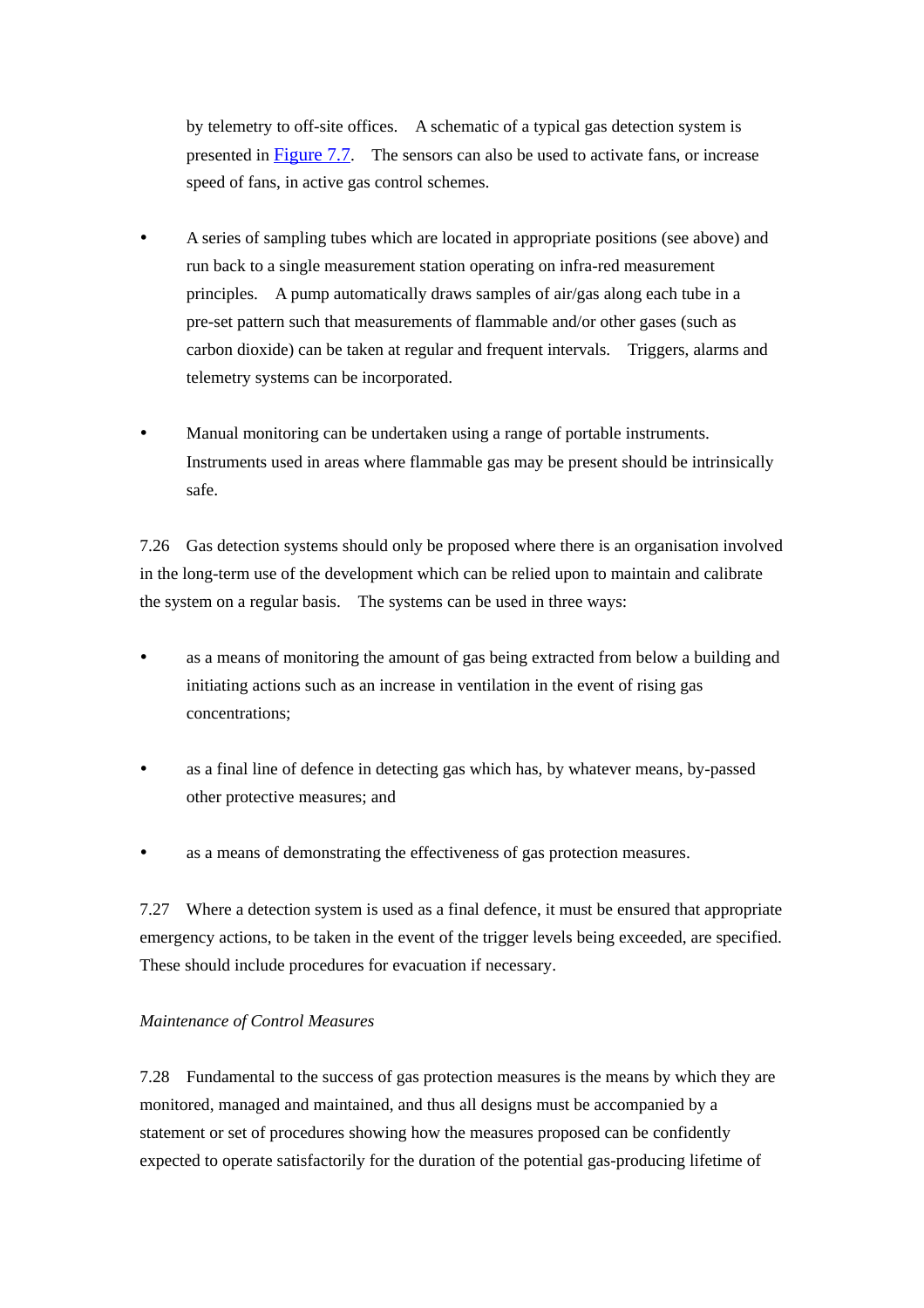by telemetry to off-site offices. A schematic of a typical gas detection system is presented in Figure 7.7. The sensors can also be used to activate fans, or increase speed of fans, in active gas control schemes.

- y A series of sampling tubes which are located in appropriate positions (see above) and run back to a single measurement station operating on infra-red measurement principles. A pump automatically draws samples of air/gas along each tube in a pre-set pattern such that measurements of flammable and/or other gases (such as carbon dioxide) can be taken at regular and frequent intervals. Triggers, alarms and telemetry systems can be incorporated.
- Manual monitoring can be undertaken using a range of portable instruments. Instruments used in areas where flammable gas may be present should be intrinsically safe.

7.26 Gas detection systems should only be proposed where there is an organisation involved in the long-term use of the development which can be relied upon to maintain and calibrate the system on a regular basis. The systems can be used in three ways:

- as a means of monitoring the amount of gas being extracted from below a building and initiating actions such as an increase in ventilation in the event of rising gas concentrations;
- as a final line of defence in detecting gas which has, by whatever means, by-passed other protective measures; and
- y as a means of demonstrating the effectiveness of gas protection measures.

7.27 Where a detection system is used as a final defence, it must be ensured that appropriate emergency actions, to be taken in the event of the trigger levels being exceeded, are specified. These should include procedures for evacuation if necessary.

#### *Maintenance of Control Measures*

7.28 Fundamental to the success of gas protection measures is the means by which they are monitored, managed and maintained, and thus all designs must be accompanied by a statement or set of procedures showing how the measures proposed can be confidently expected to operate satisfactorily for the duration of the potential gas-producing lifetime of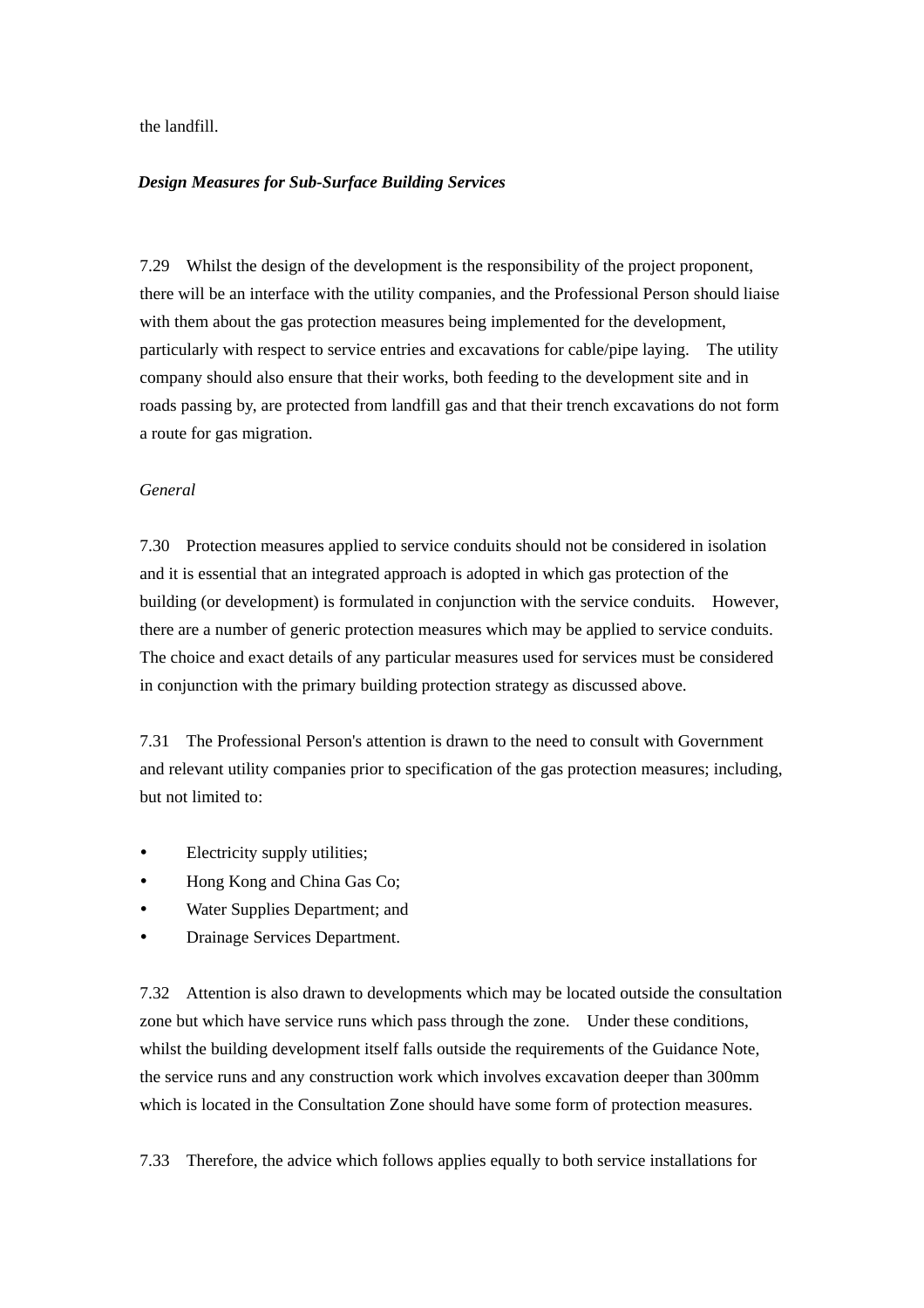the landfill.

#### *Design Measures for Sub-Surface Building Services*

7.29 Whilst the design of the development is the responsibility of the project proponent, there will be an interface with the utility companies, and the Professional Person should liaise with them about the gas protection measures being implemented for the development, particularly with respect to service entries and excavations for cable/pipe laying. The utility company should also ensure that their works, both feeding to the development site and in roads passing by, are protected from landfill gas and that their trench excavations do not form a route for gas migration.

#### *General*

7.30 Protection measures applied to service conduits should not be considered in isolation and it is essential that an integrated approach is adopted in which gas protection of the building (or development) is formulated in conjunction with the service conduits. However, there are a number of generic protection measures which may be applied to service conduits. The choice and exact details of any particular measures used for services must be considered in conjunction with the primary building protection strategy as discussed above.

7.31 The Professional Person's attention is drawn to the need to consult with Government and relevant utility companies prior to specification of the gas protection measures; including, but not limited to:

- Electricity supply utilities;
- Hong Kong and China Gas Co:
- Water Supplies Department; and
- Drainage Services Department.

7.32 Attention is also drawn to developments which may be located outside the consultation zone but which have service runs which pass through the zone. Under these conditions, whilst the building development itself falls outside the requirements of the Guidance Note, the service runs and any construction work which involves excavation deeper than 300mm which is located in the Consultation Zone should have some form of protection measures.

7.33 Therefore, the advice which follows applies equally to both service installations for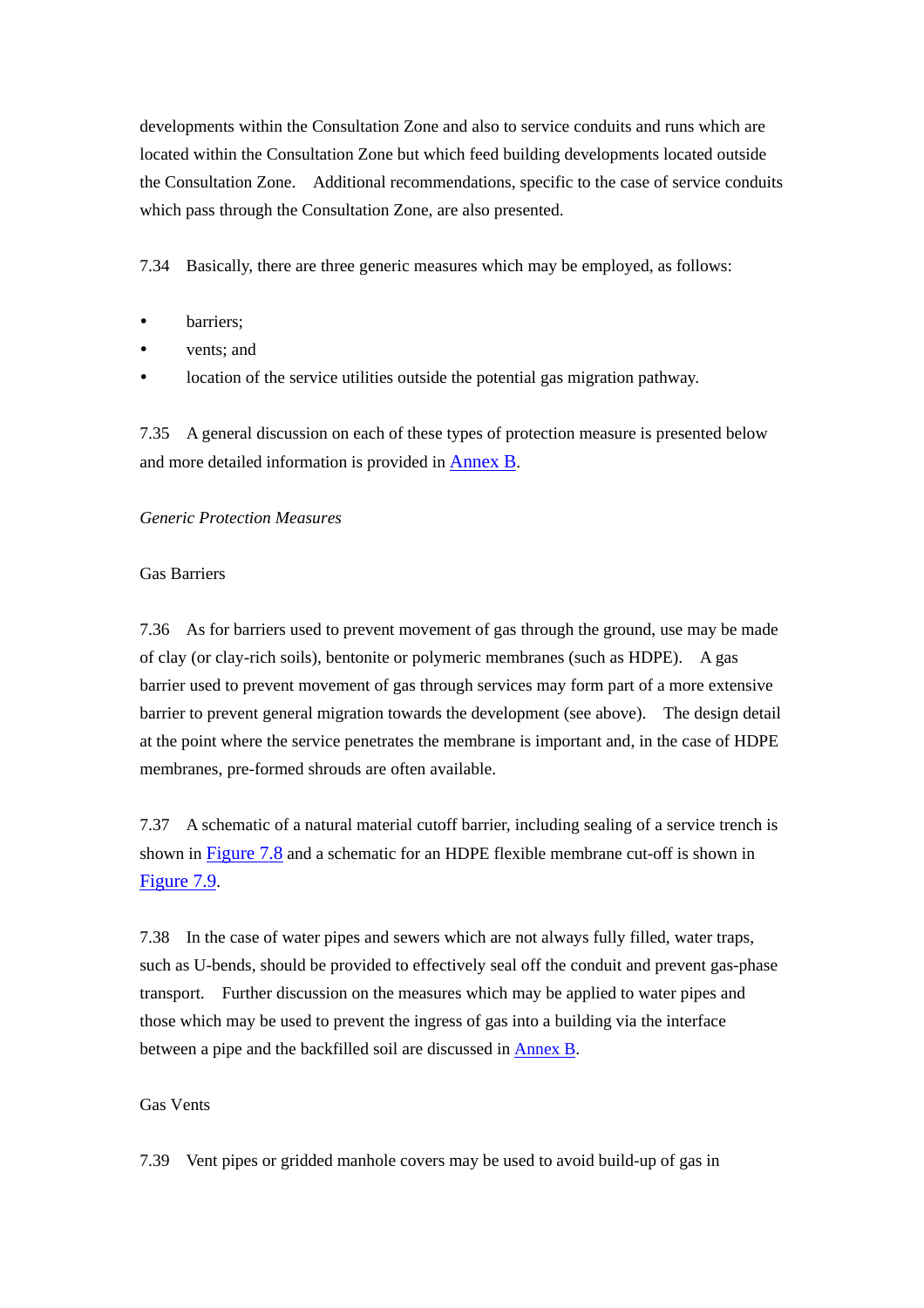developments within the Consultation Zone and also to service conduits and runs which are located within the Consultation Zone but which feed building developments located outside the Consultation Zone. Additional recommendations, specific to the case of service conduits which pass through the Consultation Zone, are also presented.

7.34 Basically, there are three generic measures which may be employed, as follows:

- barriers:
- vents: and
- location of the service utilities outside the potential gas migration pathway.

7.35 A general discussion on each of these types of protection measure is presented below and more detailed information is provided i[n Annex B.](#page-55-0) 

#### *Generic Protection Measures*

#### Gas Barriers

7.36 As for barriers used to prevent movement of gas through the ground, use may be made of clay (or clay-rich soils), bentonite or polymeric membranes (such as HDPE). A gas barrier used to prevent movement of gas through services may form part of a more extensive barrier to prevent general migration towards the development (see above). The design detail at the point where the service penetrates the membrane is important and, in the case of HDPE membranes, pre-formed shrouds are often available.

7.37 A schematic of a natural material cutoff barrier, including sealing of a service trench is shown in Figure 7.8 and a schematic for an HDPE flexible membrane cut-off is shown in Figure 7.9.

7.38 In the case of water pipes and sewers which are not always fully filled, water traps, such as U-bends, should be provided to effectively seal off the conduit and prevent gas-phase transport. Further discussion on the measures which may be applied to water pipes and those which may be used to prevent the ingress of gas into a building via the interface between a pipe and the backfilled soil are discussed i[n Annex B.](#page-55-0)

#### Gas Vents

7.39 Vent pipes or gridded manhole covers may be used to avoid build-up of gas in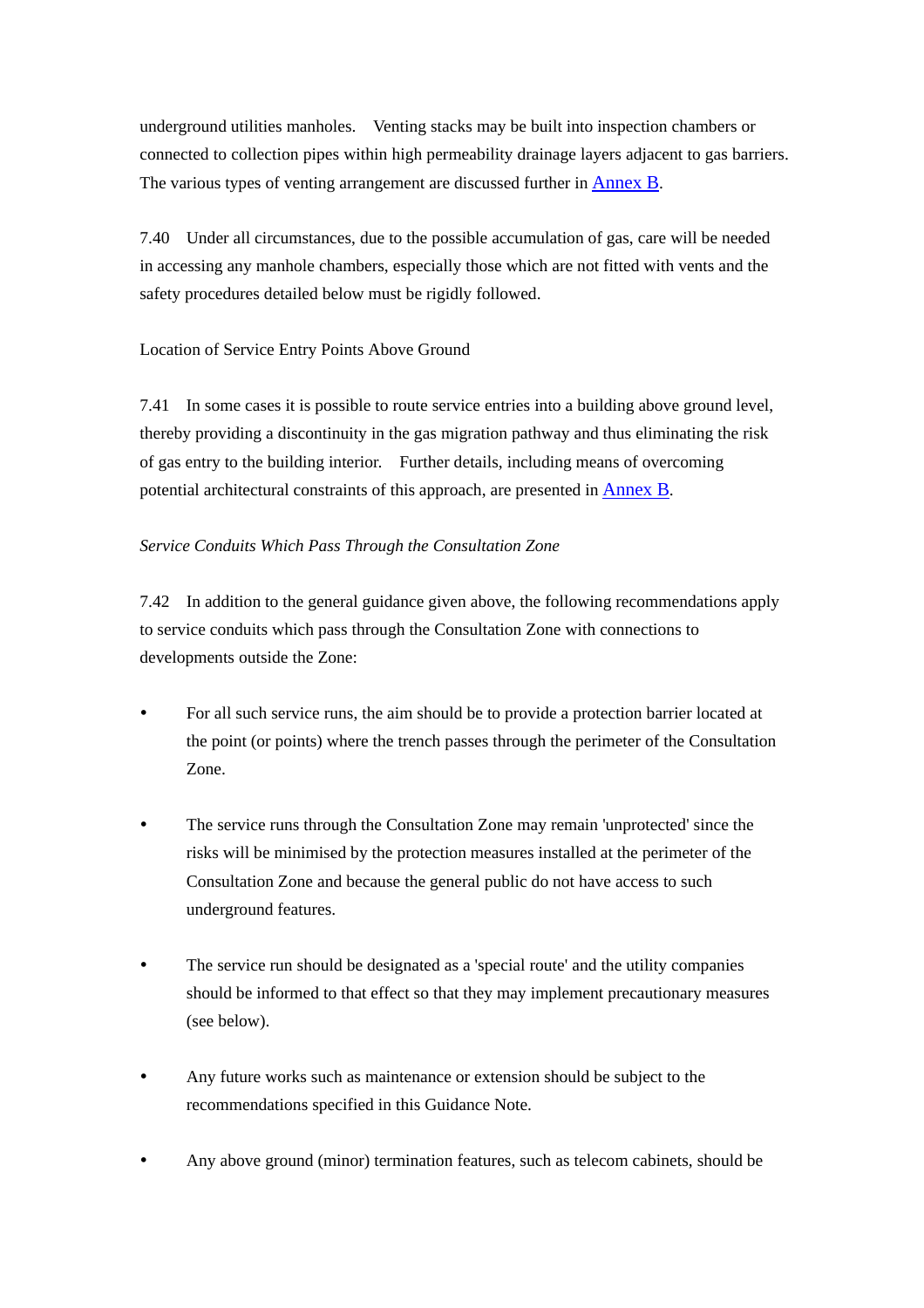underground utilities manholes. Venting stacks may be built into inspection chambers or connected to collection pipes within high permeability drainage layers adjacent to gas barriers. The various types of venting arrangement are discussed further in [Annex B.](#page-55-0) 

7.40 Under all circumstances, due to the possible accumulation of gas, care will be needed in accessing any manhole chambers, especially those which are not fitted with vents and the safety procedures detailed below must be rigidly followed.

## Location of Service Entry Points Above Ground

7.41 In some cases it is possible to route service entries into a building above ground level, thereby providing a discontinuity in the gas migration pathway and thus eliminating the risk of gas entry to the building interior. Further details, including means of overcoming potential architectural constraints of this approach, are presented i[n Annex B.](#page-55-0) 

## *Service Conduits Which Pass Through the Consultation Zone*

7.42 In addition to the general guidance given above, the following recommendations apply to service conduits which pass through the Consultation Zone with connections to developments outside the Zone:

- For all such service runs, the aim should be to provide a protection barrier located at the point (or points) where the trench passes through the perimeter of the Consultation Zone.
- The service runs through the Consultation Zone may remain 'unprotected' since the risks will be minimised by the protection measures installed at the perimeter of the Consultation Zone and because the general public do not have access to such underground features.
- The service run should be designated as a 'special route' and the utility companies should be informed to that effect so that they may implement precautionary measures (see below).
- Any future works such as maintenance or extension should be subject to the recommendations specified in this Guidance Note.
- Any above ground (minor) termination features, such as telecom cabinets, should be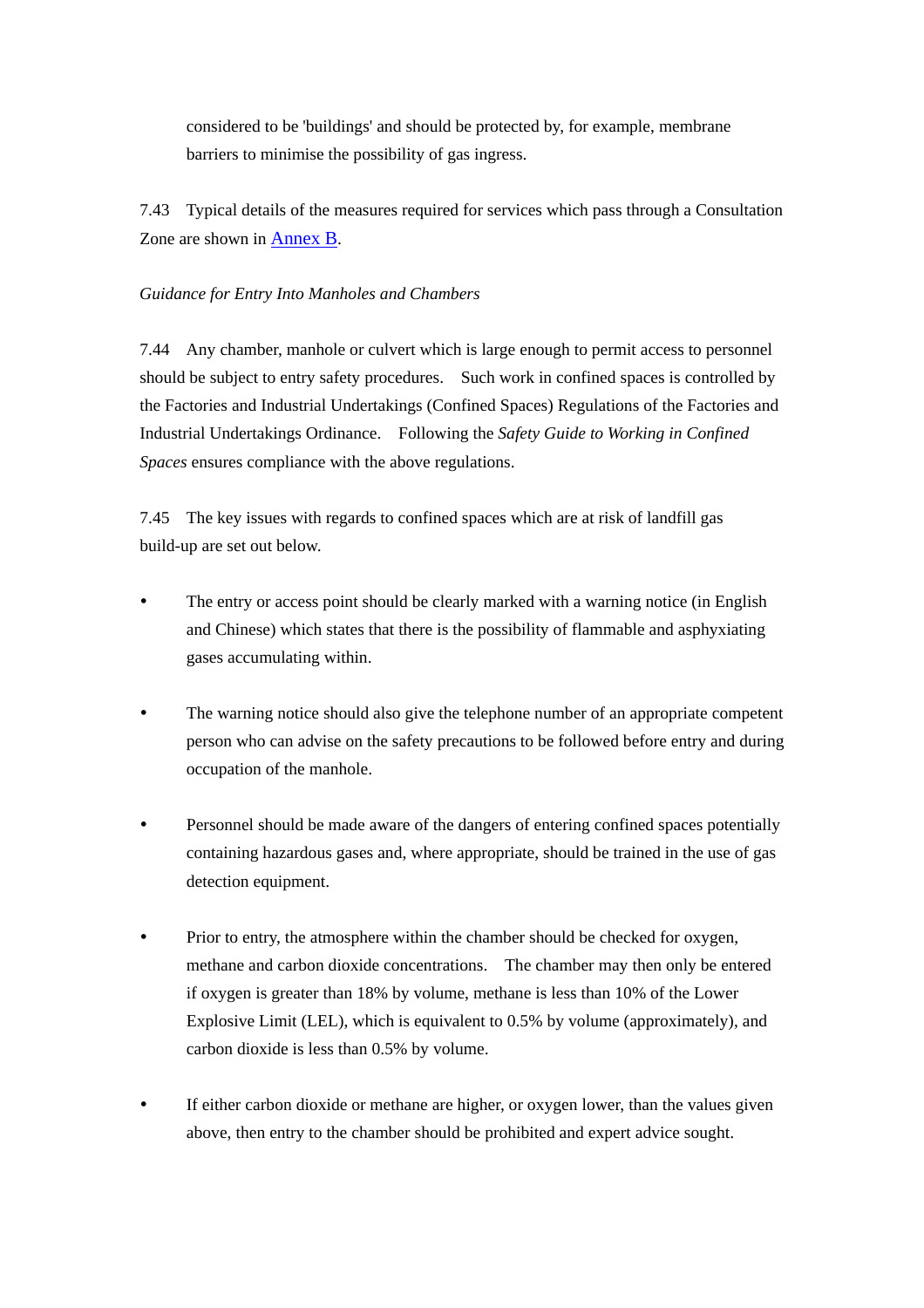considered to be 'buildings' and should be protected by, for example, membrane barriers to minimise the possibility of gas ingress.

7.43 Typical details of the measures required for services which pass through a Consultation Zone are shown in [Annex B.](#page-55-0)

### *Guidance for Entry Into Manholes and Chambers*

7.44 Any chamber, manhole or culvert which is large enough to permit access to personnel should be subject to entry safety procedures. Such work in confined spaces is controlled by the Factories and Industrial Undertakings (Confined Spaces) Regulations of the Factories and Industrial Undertakings Ordinance. Following the *Safety Guide to Working in Confined Spaces* ensures compliance with the above regulations.

7.45 The key issues with regards to confined spaces which are at risk of landfill gas build-up are set out below.

- The entry or access point should be clearly marked with a warning notice (in English and Chinese) which states that there is the possibility of flammable and asphyxiating gases accumulating within.
- The warning notice should also give the telephone number of an appropriate competent person who can advise on the safety precautions to be followed before entry and during occupation of the manhole.
- Personnel should be made aware of the dangers of entering confined spaces potentially containing hazardous gases and, where appropriate, should be trained in the use of gas detection equipment.
- Prior to entry, the atmosphere within the chamber should be checked for oxygen, methane and carbon dioxide concentrations. The chamber may then only be entered if oxygen is greater than 18% by volume, methane is less than 10% of the Lower Explosive Limit (LEL), which is equivalent to 0.5% by volume (approximately), and carbon dioxide is less than 0.5% by volume.
- If either carbon dioxide or methane are higher, or oxygen lower, than the values given above, then entry to the chamber should be prohibited and expert advice sought.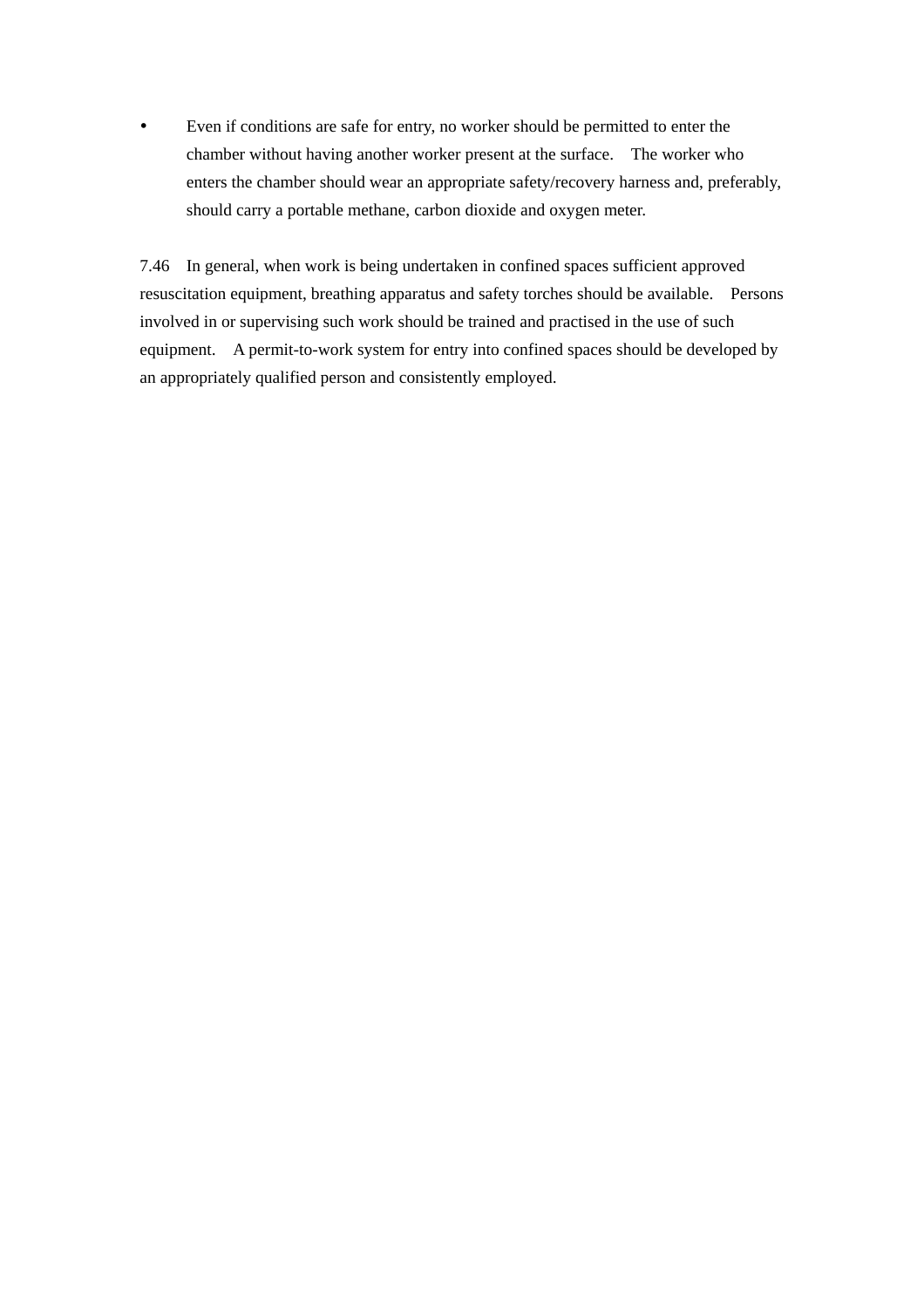y Even if conditions are safe for entry, no worker should be permitted to enter the chamber without having another worker present at the surface. The worker who enters the chamber should wear an appropriate safety/recovery harness and, preferably, should carry a portable methane, carbon dioxide and oxygen meter.

7.46 In general, when work is being undertaken in confined spaces sufficient approved resuscitation equipment, breathing apparatus and safety torches should be available. Persons involved in or supervising such work should be trained and practised in the use of such equipment. A permit-to-work system for entry into confined spaces should be developed by an appropriately qualified person and consistently employed.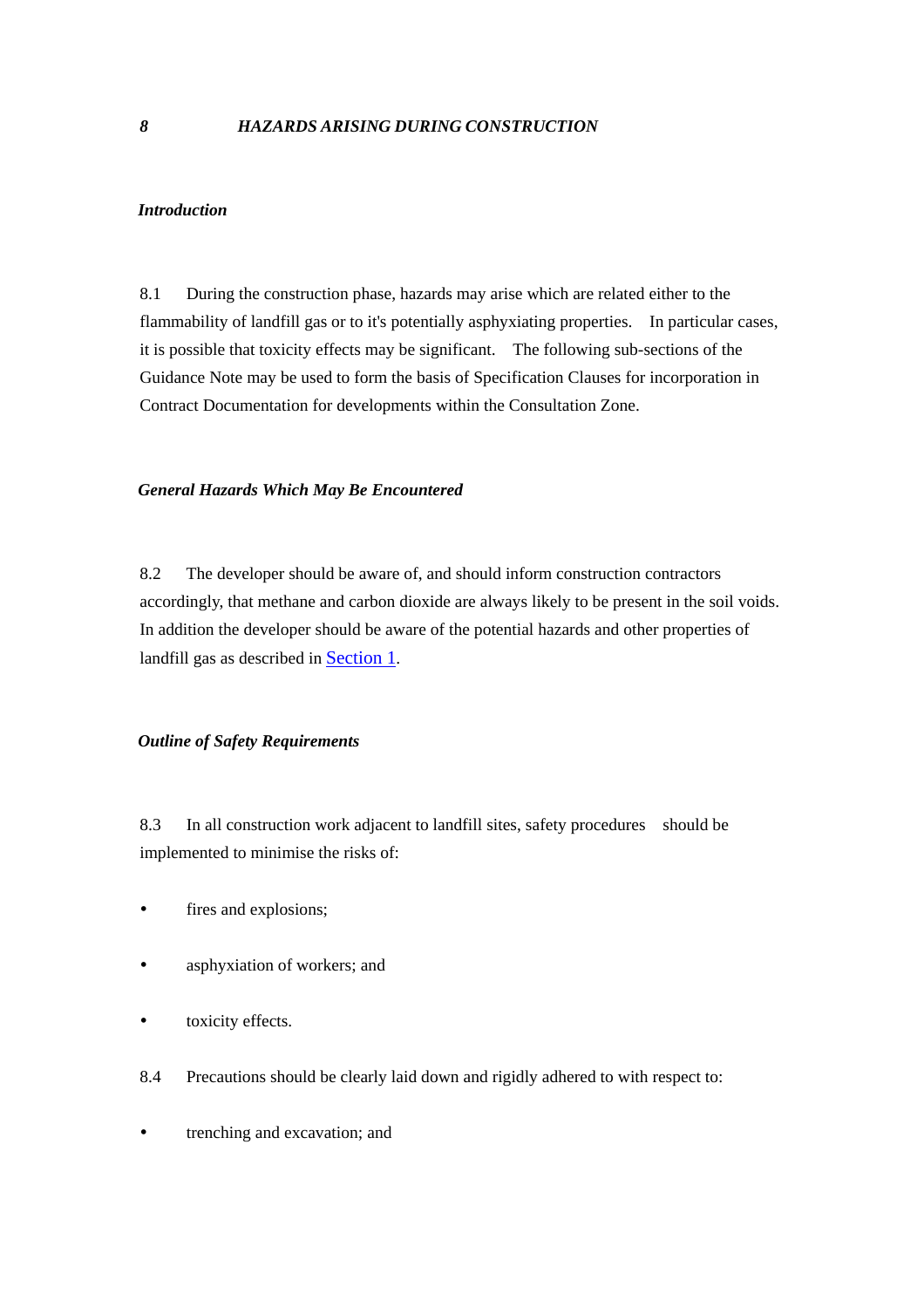#### <span id="page-44-0"></span>*Introduction*

8.1 During the construction phase, hazards may arise which are related either to the flammability of landfill gas or to it's potentially asphyxiating properties. In particular cases, it is possible that toxicity effects may be significant. The following sub-sections of the Guidance Note may be used to form the basis of Specification Clauses for incorporation in Contract Documentation for developments within the Consultation Zone.

#### *General Hazards Which May Be Encountered*

8.2 The developer should be aware of, and should inform construction contractors accordingly, that methane and carbon dioxide are always likely to be present in the soil voids. In addition the developer should be aware of the potential hazards and other properties of landfill gas as described in [Section 1.](#page-6-0)

#### *Outline of Safety Requirements*

8.3 In all construction work adjacent to landfill sites, safety procedures should be implemented to minimise the risks of:

- fires and explosions;
- asphyxiation of workers; and
- toxicity effects.
- 8.4 Precautions should be clearly laid down and rigidly adhered to with respect to:
- trenching and excavation; and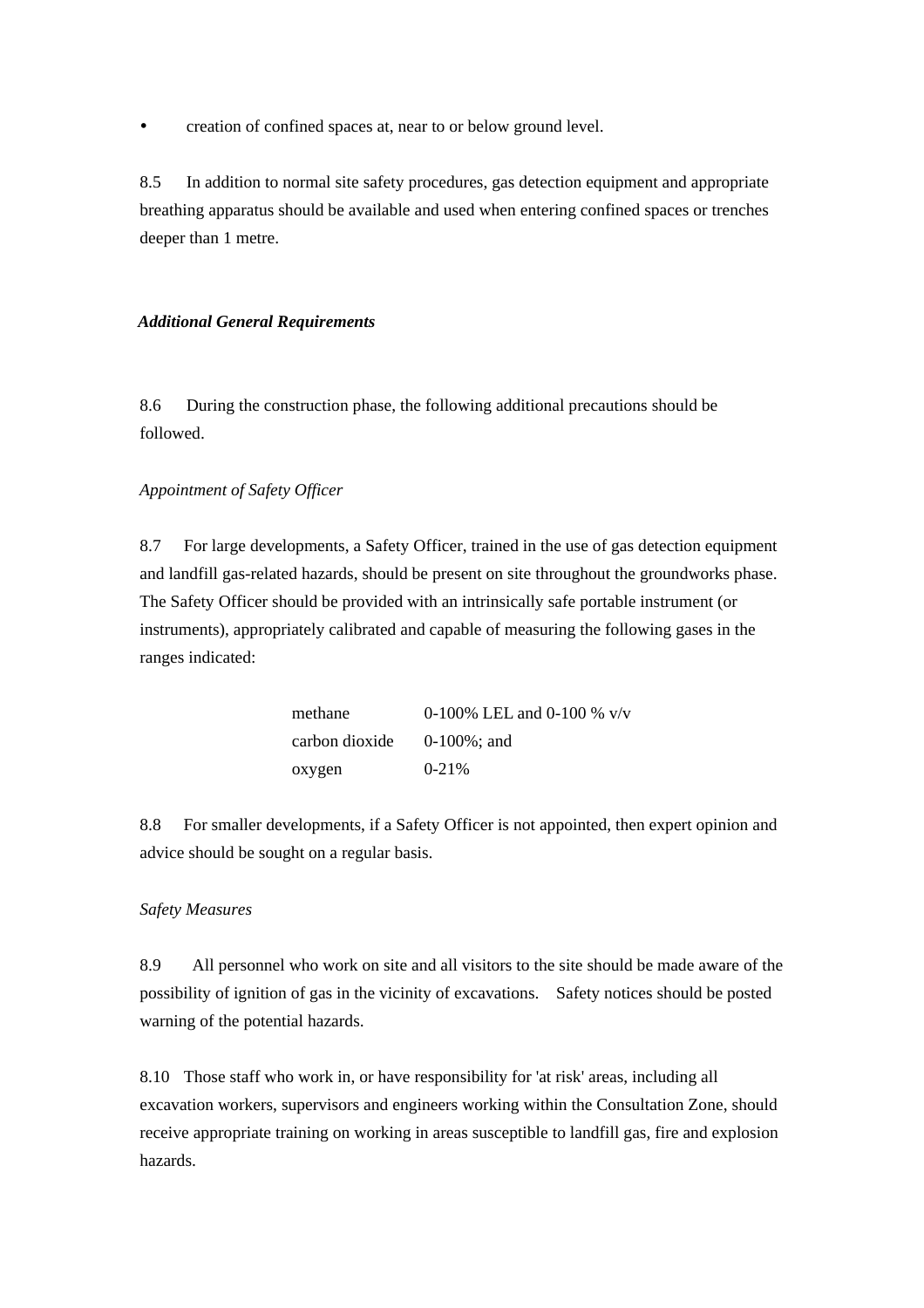• creation of confined spaces at, near to or below ground level.

8.5 In addition to normal site safety procedures, gas detection equipment and appropriate breathing apparatus should be available and used when entering confined spaces or trenches deeper than 1 metre.

#### *Additional General Requirements*

8.6 During the construction phase, the following additional precautions should be followed.

#### *Appointment of Safety Officer*

8.7 For large developments, a Safety Officer, trained in the use of gas detection equipment and landfill gas-related hazards, should be present on site throughout the groundworks phase. The Safety Officer should be provided with an intrinsically safe portable instrument (or instruments), appropriately calibrated and capable of measuring the following gases in the ranges indicated:

| methane        | 0-100% LEL and 0-100 % $v/v$ |
|----------------|------------------------------|
| carbon dioxide | $0-100\%$ : and              |
| oxygen         | $0 - 21\%$                   |

8.8 For smaller developments, if a Safety Officer is not appointed, then expert opinion and advice should be sought on a regular basis.

#### *Safety Measures*

8.9 All personnel who work on site and all visitors to the site should be made aware of the possibility of ignition of gas in the vicinity of excavations. Safety notices should be posted warning of the potential hazards.

8.10 Those staff who work in, or have responsibility for 'at risk' areas, including all excavation workers, supervisors and engineers working within the Consultation Zone, should receive appropriate training on working in areas susceptible to landfill gas, fire and explosion hazards.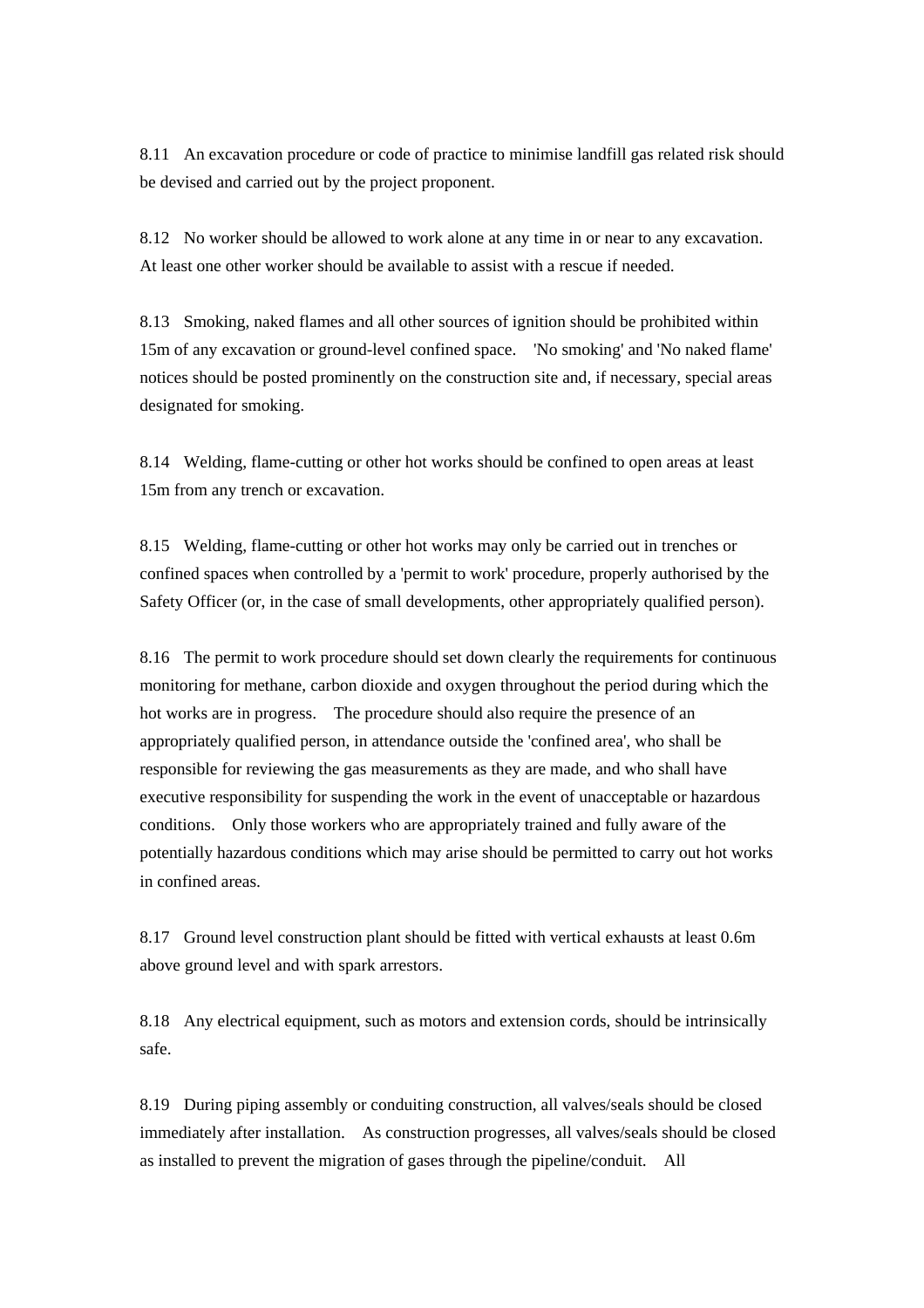8.11 An excavation procedure or code of practice to minimise landfill gas related risk should be devised and carried out by the project proponent.

8.12 No worker should be allowed to work alone at any time in or near to any excavation. At least one other worker should be available to assist with a rescue if needed.

8.13 Smoking, naked flames and all other sources of ignition should be prohibited within 15m of any excavation or ground-level confined space. 'No smoking' and 'No naked flame' notices should be posted prominently on the construction site and, if necessary, special areas designated for smoking.

8.14 Welding, flame-cutting or other hot works should be confined to open areas at least 15m from any trench or excavation.

8.15 Welding, flame-cutting or other hot works may only be carried out in trenches or confined spaces when controlled by a 'permit to work' procedure, properly authorised by the Safety Officer (or, in the case of small developments, other appropriately qualified person).

8.16 The permit to work procedure should set down clearly the requirements for continuous monitoring for methane, carbon dioxide and oxygen throughout the period during which the hot works are in progress. The procedure should also require the presence of an appropriately qualified person, in attendance outside the 'confined area', who shall be responsible for reviewing the gas measurements as they are made, and who shall have executive responsibility for suspending the work in the event of unacceptable or hazardous conditions. Only those workers who are appropriately trained and fully aware of the potentially hazardous conditions which may arise should be permitted to carry out hot works in confined areas.

8.17 Ground level construction plant should be fitted with vertical exhausts at least 0.6m above ground level and with spark arrestors.

8.18 Any electrical equipment, such as motors and extension cords, should be intrinsically safe.

8.19 During piping assembly or conduiting construction, all valves/seals should be closed immediately after installation. As construction progresses, all valves/seals should be closed as installed to prevent the migration of gases through the pipeline/conduit. All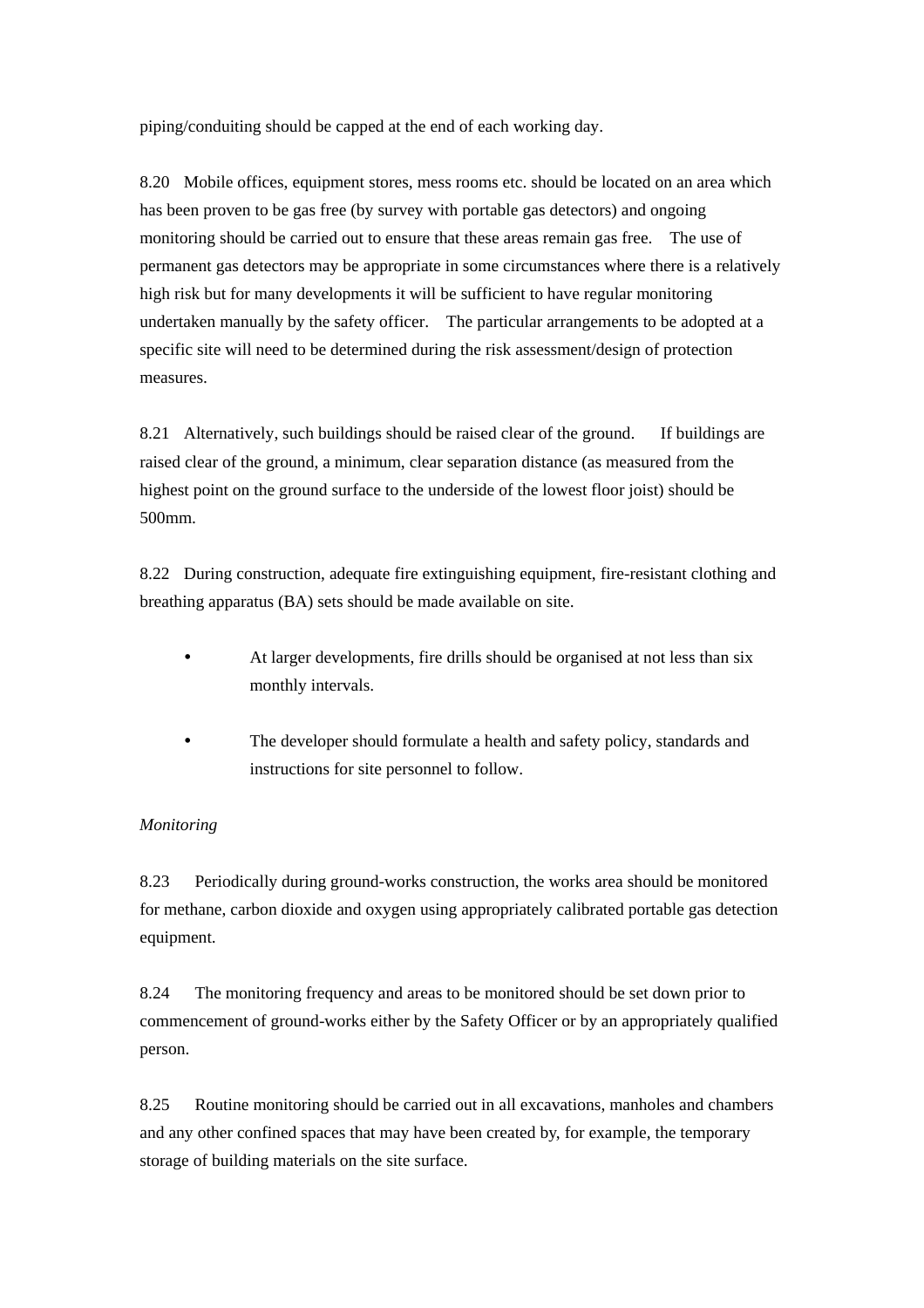piping/conduiting should be capped at the end of each working day.

8.20 Mobile offices, equipment stores, mess rooms etc. should be located on an area which has been proven to be gas free (by survey with portable gas detectors) and ongoing monitoring should be carried out to ensure that these areas remain gas free. The use of permanent gas detectors may be appropriate in some circumstances where there is a relatively high risk but for many developments it will be sufficient to have regular monitoring undertaken manually by the safety officer. The particular arrangements to be adopted at a specific site will need to be determined during the risk assessment/design of protection measures.

8.21 Alternatively, such buildings should be raised clear of the ground. If buildings are raised clear of the ground, a minimum, clear separation distance (as measured from the highest point on the ground surface to the underside of the lowest floor joist) should be 500mm.

8.22 During construction, adequate fire extinguishing equipment, fire-resistant clothing and breathing apparatus (BA) sets should be made available on site.

- At larger developments, fire drills should be organised at not less than six monthly intervals.
- The developer should formulate a health and safety policy, standards and instructions for site personnel to follow.

#### *Monitoring*

8.23 Periodically during ground-works construction, the works area should be monitored for methane, carbon dioxide and oxygen using appropriately calibrated portable gas detection equipment.

8.24 The monitoring frequency and areas to be monitored should be set down prior to commencement of ground-works either by the Safety Officer or by an appropriately qualified person.

8.25 Routine monitoring should be carried out in all excavations, manholes and chambers and any other confined spaces that may have been created by, for example, the temporary storage of building materials on the site surface.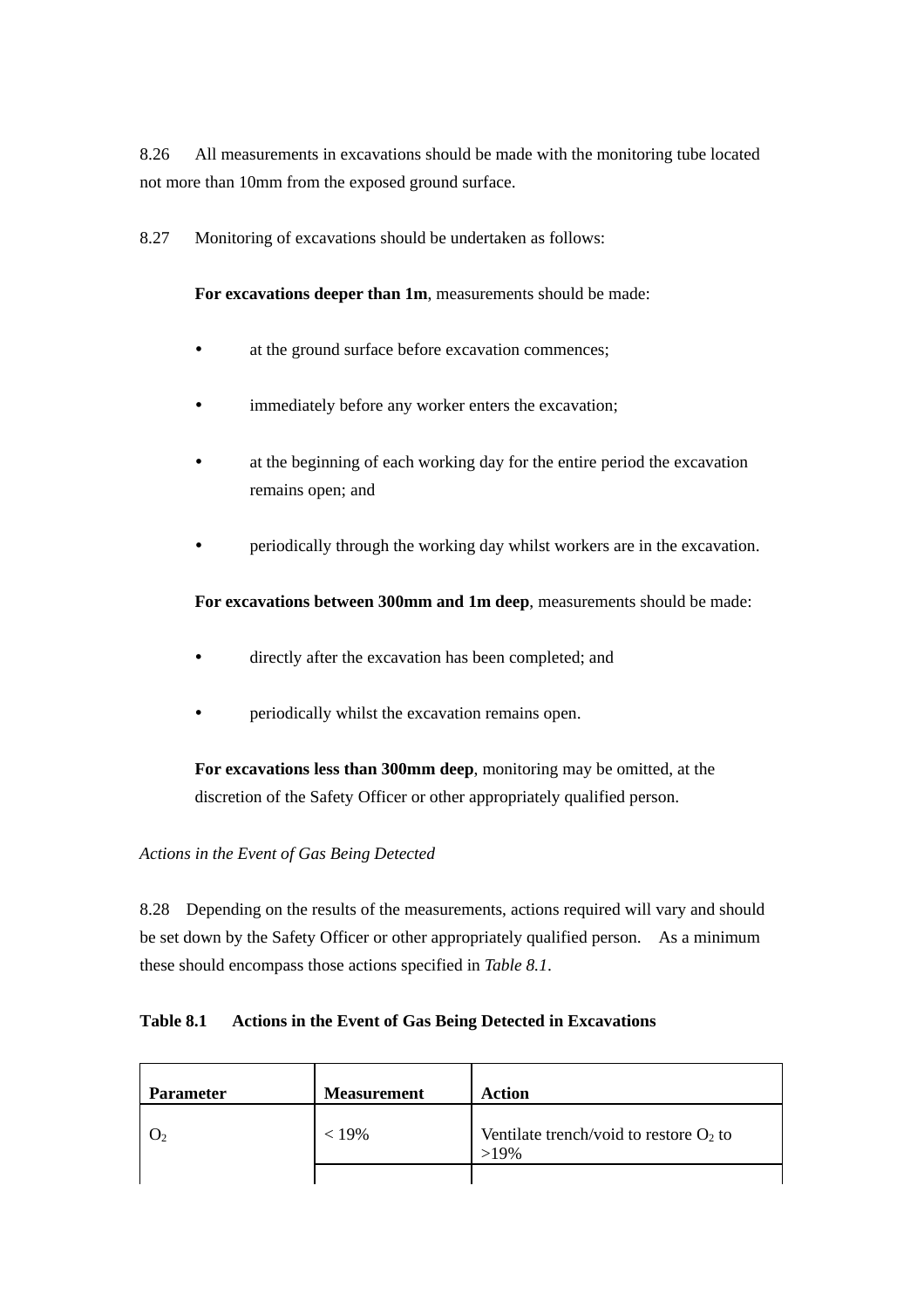8.26 All measurements in excavations should be made with the monitoring tube located not more than 10mm from the exposed ground surface.

8.27 Monitoring of excavations should be undertaken as follows:

**For excavations deeper than 1m**, measurements should be made:

- at the ground surface before excavation commences:
- immediately before any worker enters the excavation;
- at the beginning of each working day for the entire period the excavation remains open; and
- y periodically through the working day whilst workers are in the excavation.

## **For excavations between 300mm and 1m deep**, measurements should be made:

- directly after the excavation has been completed; and
- periodically whilst the excavation remains open.

 **For excavations less than 300mm deep**, monitoring may be omitted, at the discretion of the Safety Officer or other appropriately qualified person.

#### *Actions in the Event of Gas Being Detected*

8.28 Depending on the results of the measurements, actions required will vary and should be set down by the Safety Officer or other appropriately qualified person. As a minimum these should encompass those actions specified in *Table 8.1*.

#### **Table 8.1 Actions in the Event of Gas Being Detected in Excavations**

| <b>Parameter</b> | <b>Measurement</b> | <b>Action</b>                                        |
|------------------|--------------------|------------------------------------------------------|
|                  | $< 19\%$           | Ventilate trench/void to restore $O_2$ to<br>$>19\%$ |
|                  |                    |                                                      |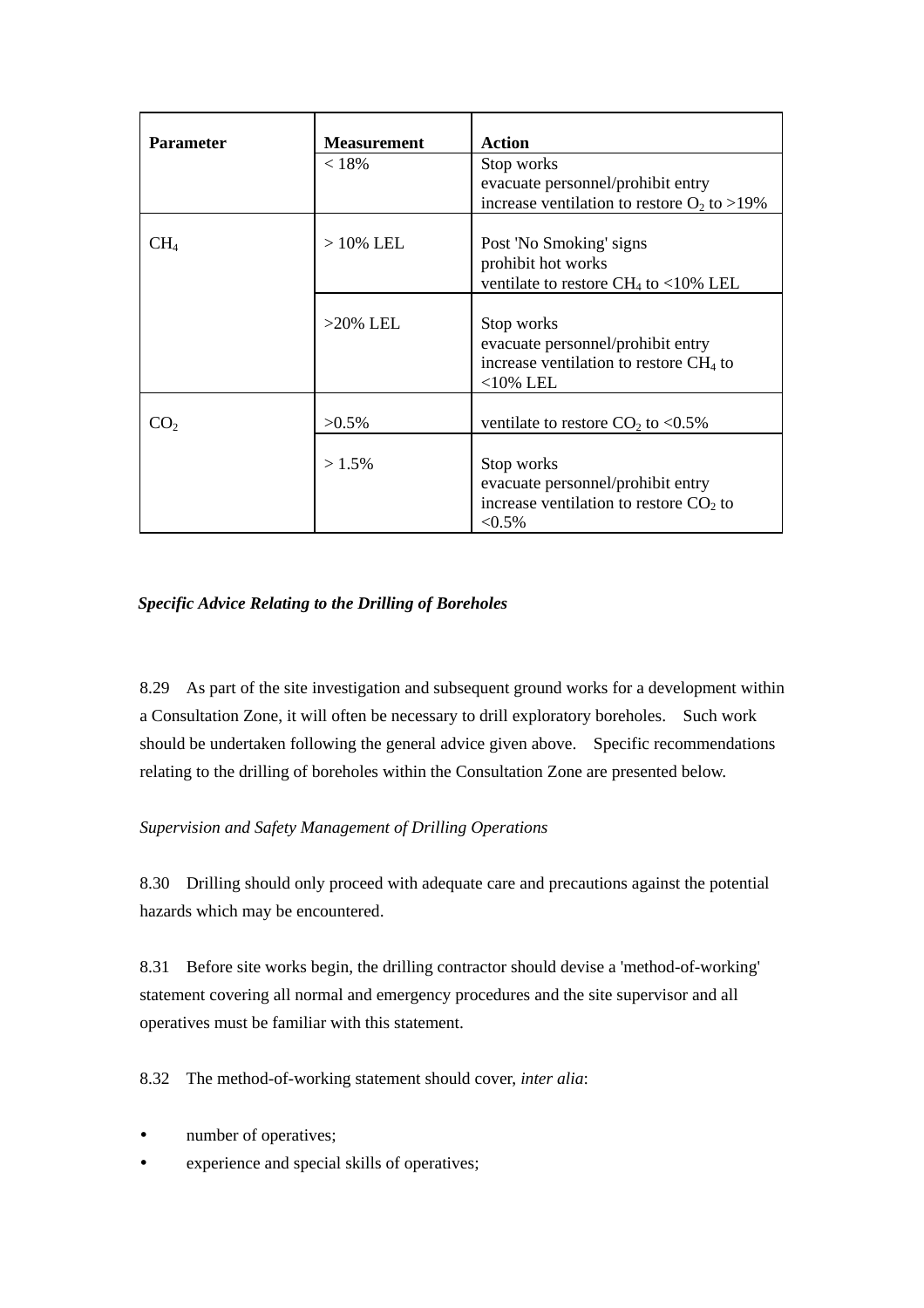| <b>Parameter</b> | <b>Measurement</b> | <b>Action</b>                                                                                              |
|------------------|--------------------|------------------------------------------------------------------------------------------------------------|
|                  | < 18%              | Stop works                                                                                                 |
|                  |                    | evacuate personnel/prohibit entry                                                                          |
|                  |                    | increase ventilation to restore $O_2$ to >19%                                                              |
| CH <sub>4</sub>  | $>10\%$ LEL        | Post 'No Smoking' signs<br>prohibit hot works<br>ventilate to restore CH <sub>4</sub> to <10% LEL          |
|                  | $>20\%$ LEL        | Stop works<br>evacuate personnel/prohibit entry<br>increase ventilation to restore $CH4$ to<br>$<$ 10% LEL |
| CO <sub>2</sub>  | $>0.5\%$           | ventilate to restore $CO2$ to <0.5%                                                                        |
|                  | $>1.5\%$           | Stop works<br>evacuate personnel/prohibit entry<br>increase ventilation to restore $CO2$ to<br>${<}0.5\%$  |

## *Specific Advice Relating to the Drilling of Boreholes*

8.29 As part of the site investigation and subsequent ground works for a development within a Consultation Zone, it will often be necessary to drill exploratory boreholes. Such work should be undertaken following the general advice given above. Specific recommendations relating to the drilling of boreholes within the Consultation Zone are presented below.

## *Supervision and Safety Management of Drilling Operations*

8.30 Drilling should only proceed with adequate care and precautions against the potential hazards which may be encountered.

8.31 Before site works begin, the drilling contractor should devise a 'method-of-working' statement covering all normal and emergency procedures and the site supervisor and all operatives must be familiar with this statement.

8.32 The method-of-working statement should cover, *inter alia*:

- number of operatives;
- experience and special skills of operatives;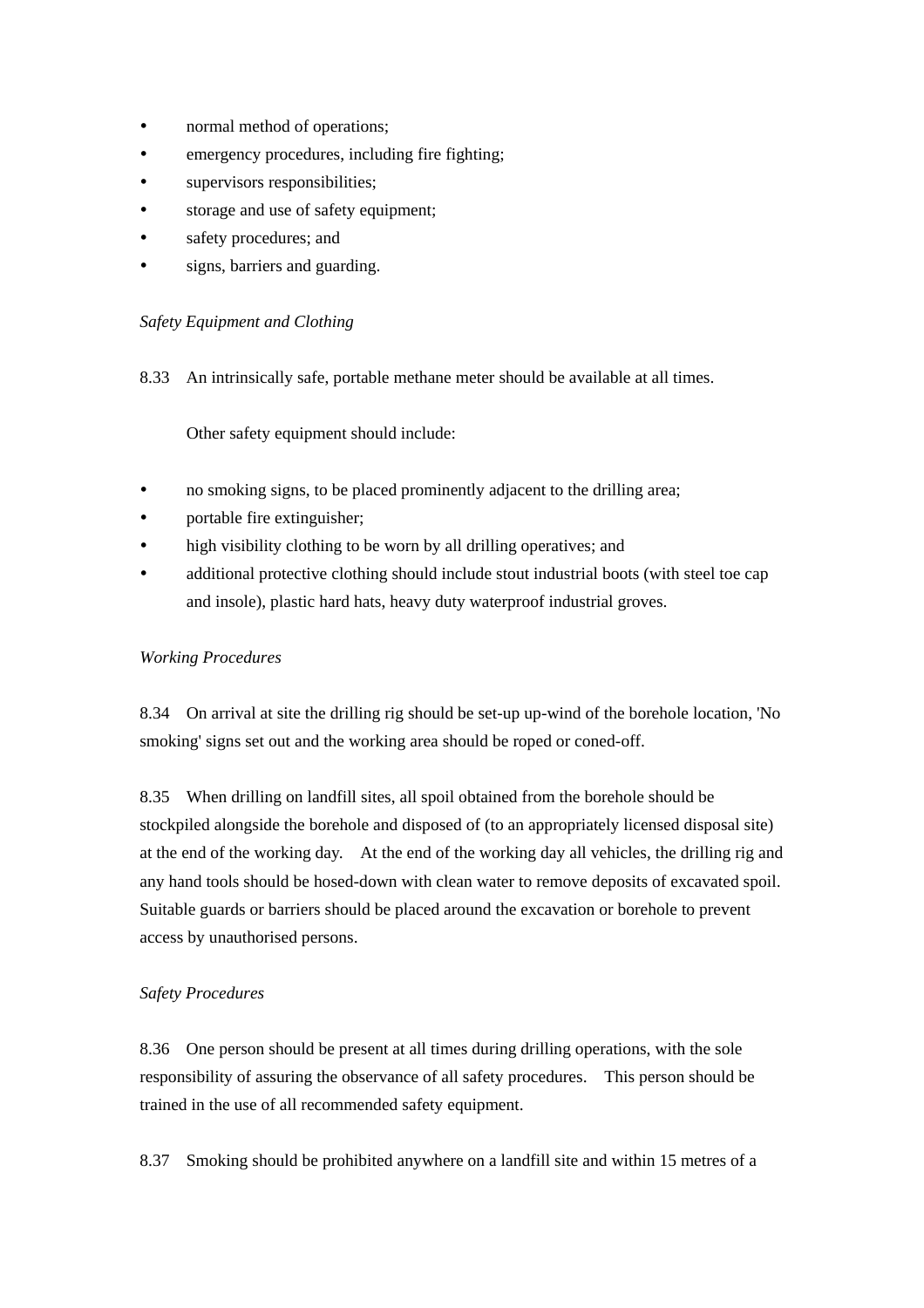- normal method of operations;
- emergency procedures, including fire fighting;
- supervisors responsibilities;
- storage and use of safety equipment;
- safety procedures; and
- signs, barriers and guarding.

## *Safety Equipment and Clothing*

8.33 An intrinsically safe, portable methane meter should be available at all times.

Other safety equipment should include:

- no smoking signs, to be placed prominently adjacent to the drilling area;
- portable fire extinguisher;
- high visibility clothing to be worn by all drilling operatives; and
- additional protective clothing should include stout industrial boots (with steel toe cap and insole), plastic hard hats, heavy duty waterproof industrial groves.

#### *Working Procedures*

8.34 On arrival at site the drilling rig should be set-up up-wind of the borehole location, 'No smoking' signs set out and the working area should be roped or coned-off.

8.35 When drilling on landfill sites, all spoil obtained from the borehole should be stockpiled alongside the borehole and disposed of (to an appropriately licensed disposal site) at the end of the working day. At the end of the working day all vehicles, the drilling rig and any hand tools should be hosed-down with clean water to remove deposits of excavated spoil. Suitable guards or barriers should be placed around the excavation or borehole to prevent access by unauthorised persons.

#### *Safety Procedures*

8.36 One person should be present at all times during drilling operations, with the sole responsibility of assuring the observance of all safety procedures. This person should be trained in the use of all recommended safety equipment.

8.37 Smoking should be prohibited anywhere on a landfill site and within 15 metres of a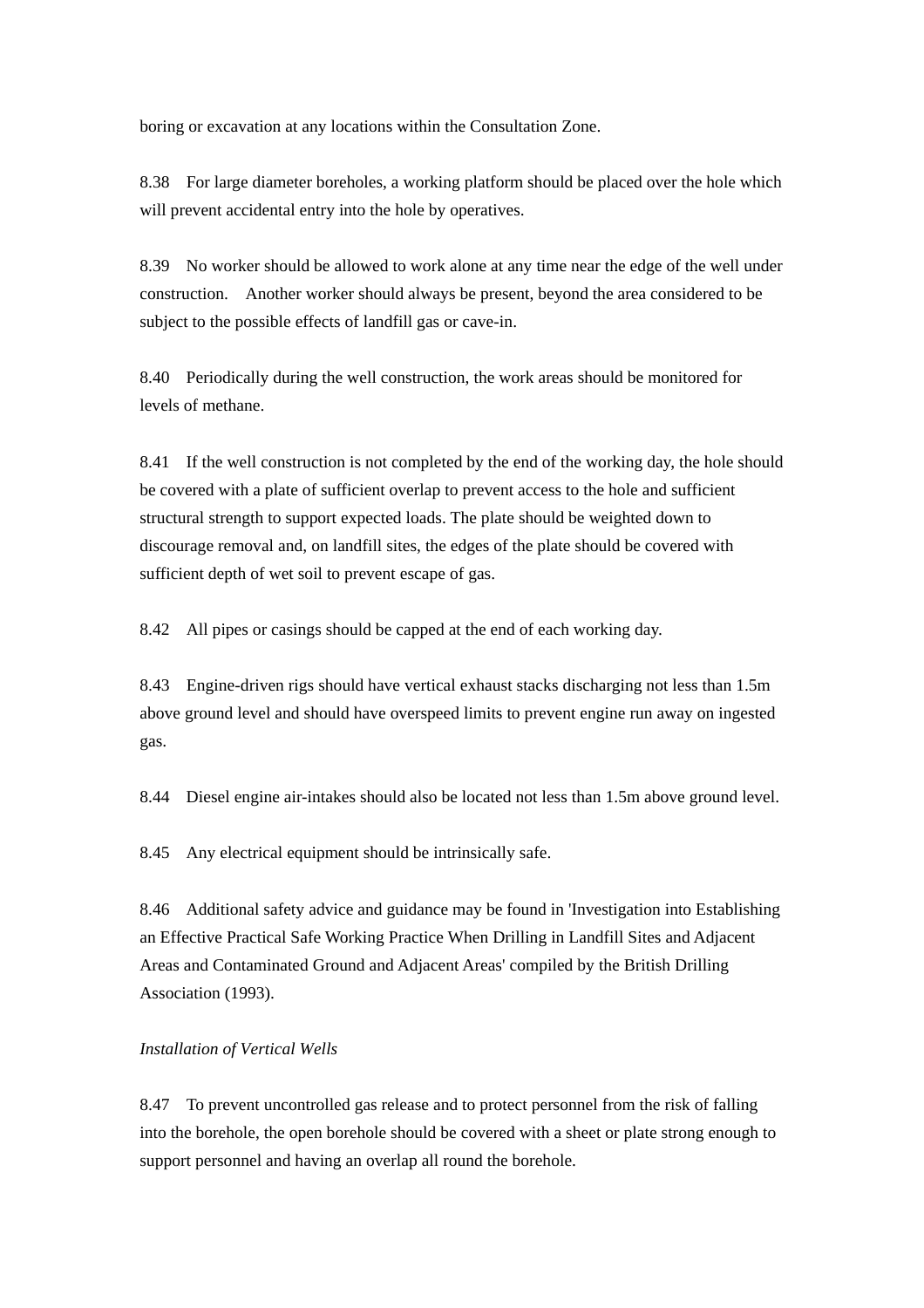boring or excavation at any locations within the Consultation Zone.

8.38 For large diameter boreholes, a working platform should be placed over the hole which will prevent accidental entry into the hole by operatives.

8.39 No worker should be allowed to work alone at any time near the edge of the well under construction. Another worker should always be present, beyond the area considered to be subject to the possible effects of landfill gas or cave-in.

8.40 Periodically during the well construction, the work areas should be monitored for levels of methane.

8.41 If the well construction is not completed by the end of the working day, the hole should be covered with a plate of sufficient overlap to prevent access to the hole and sufficient structural strength to support expected loads. The plate should be weighted down to discourage removal and, on landfill sites, the edges of the plate should be covered with sufficient depth of wet soil to prevent escape of gas.

8.42 All pipes or casings should be capped at the end of each working day.

8.43 Engine-driven rigs should have vertical exhaust stacks discharging not less than 1.5m above ground level and should have overspeed limits to prevent engine run away on ingested gas.

8.44 Diesel engine air-intakes should also be located not less than 1.5m above ground level.

8.45 Any electrical equipment should be intrinsically safe.

8.46 Additional safety advice and guidance may be found in 'Investigation into Establishing an Effective Practical Safe Working Practice When Drilling in Landfill Sites and Adjacent Areas and Contaminated Ground and Adjacent Areas' compiled by the British Drilling Association (1993).

#### *Installation of Vertical Wells*

8.47 To prevent uncontrolled gas release and to protect personnel from the risk of falling into the borehole, the open borehole should be covered with a sheet or plate strong enough to support personnel and having an overlap all round the borehole.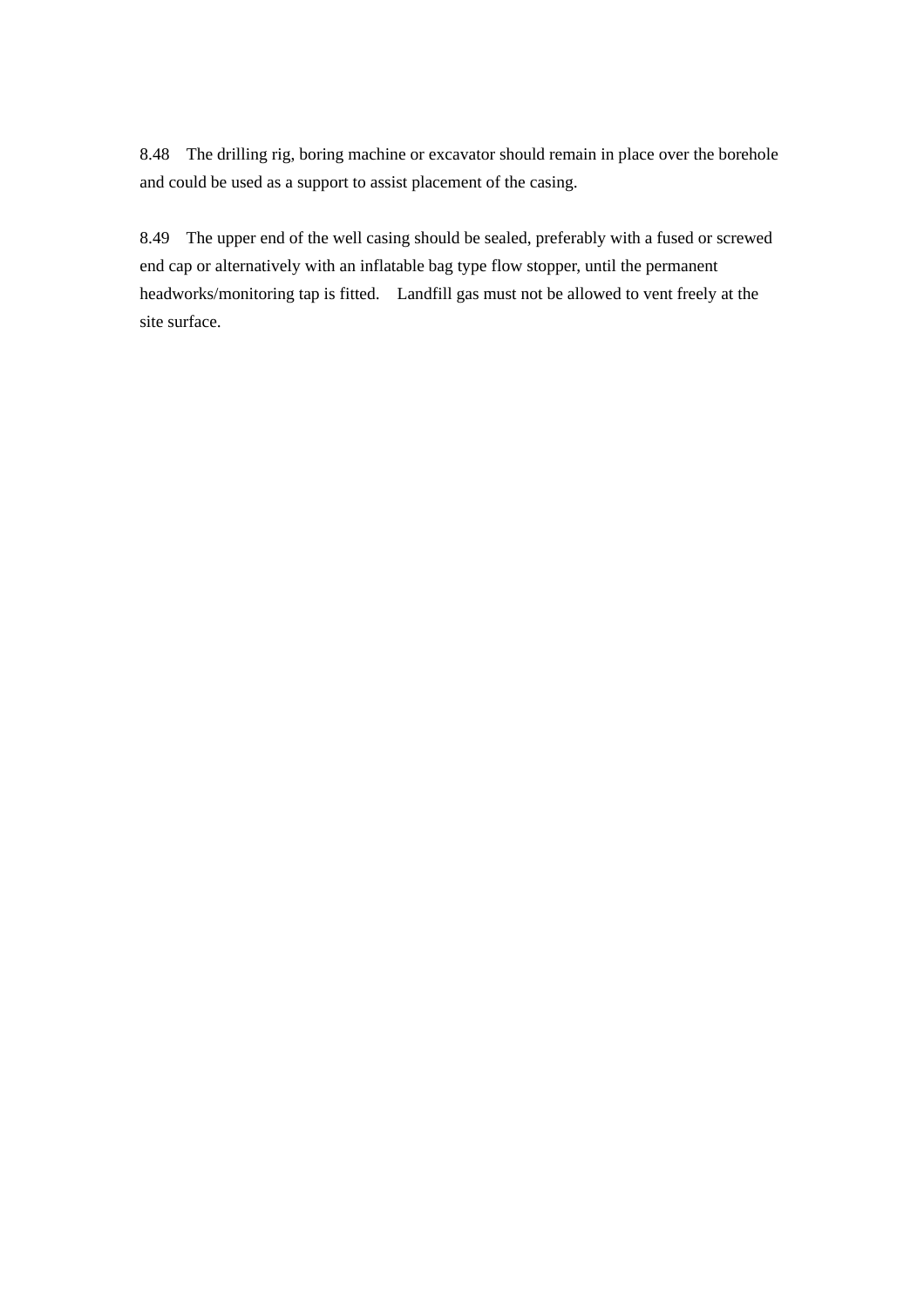8.48 The drilling rig, boring machine or excavator should remain in place over the borehole and could be used as a support to assist placement of the casing.

8.49 The upper end of the well casing should be sealed, preferably with a fused or screwed end cap or alternatively with an inflatable bag type flow stopper, until the permanent headworks/monitoring tap is fitted. Landfill gas must not be allowed to vent freely at the site surface.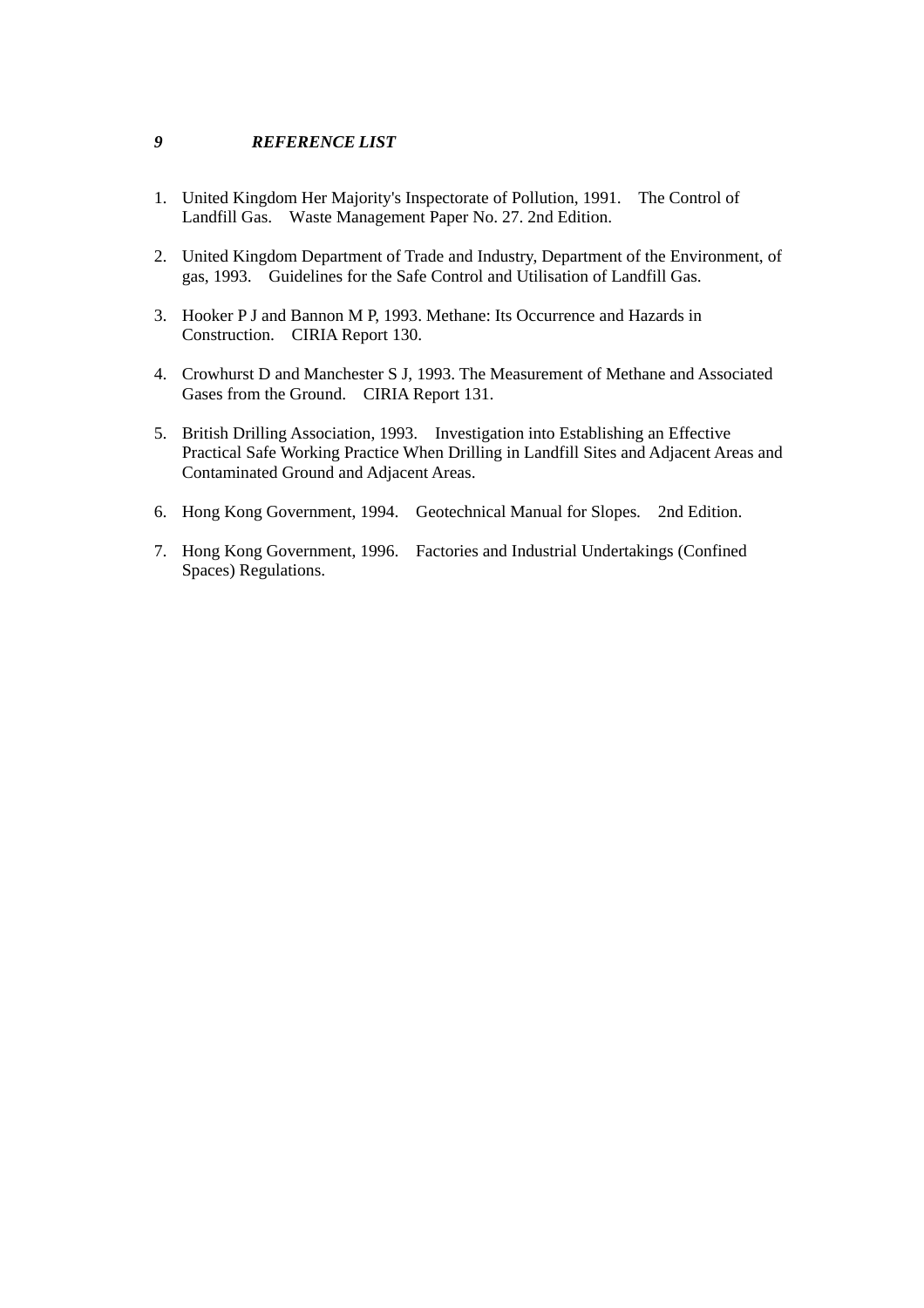#### *9 REFERENCE LIST*

- 1. United Kingdom Her Majority's Inspectorate of Pollution, 1991. The Control of Landfill Gas. Waste Management Paper No. 27. 2nd Edition.
- 2. United Kingdom Department of Trade and Industry, Department of the Environment, of gas, 1993. Guidelines for the Safe Control and Utilisation of Landfill Gas.
- 3. Hooker P J and Bannon M P, 1993. Methane: Its Occurrence and Hazards in Construction. CIRIA Report 130.
- 4. Crowhurst D and Manchester S J, 1993. The Measurement of Methane and Associated Gases from the Ground. CIRIA Report 131.
- 5. British Drilling Association, 1993. Investigation into Establishing an Effective Practical Safe Working Practice When Drilling in Landfill Sites and Adjacent Areas and Contaminated Ground and Adjacent Areas.
- 6. Hong Kong Government, 1994. Geotechnical Manual for Slopes. 2nd Edition.
- 7. Hong Kong Government, 1996. Factories and Industrial Undertakings (Confined Spaces) Regulations.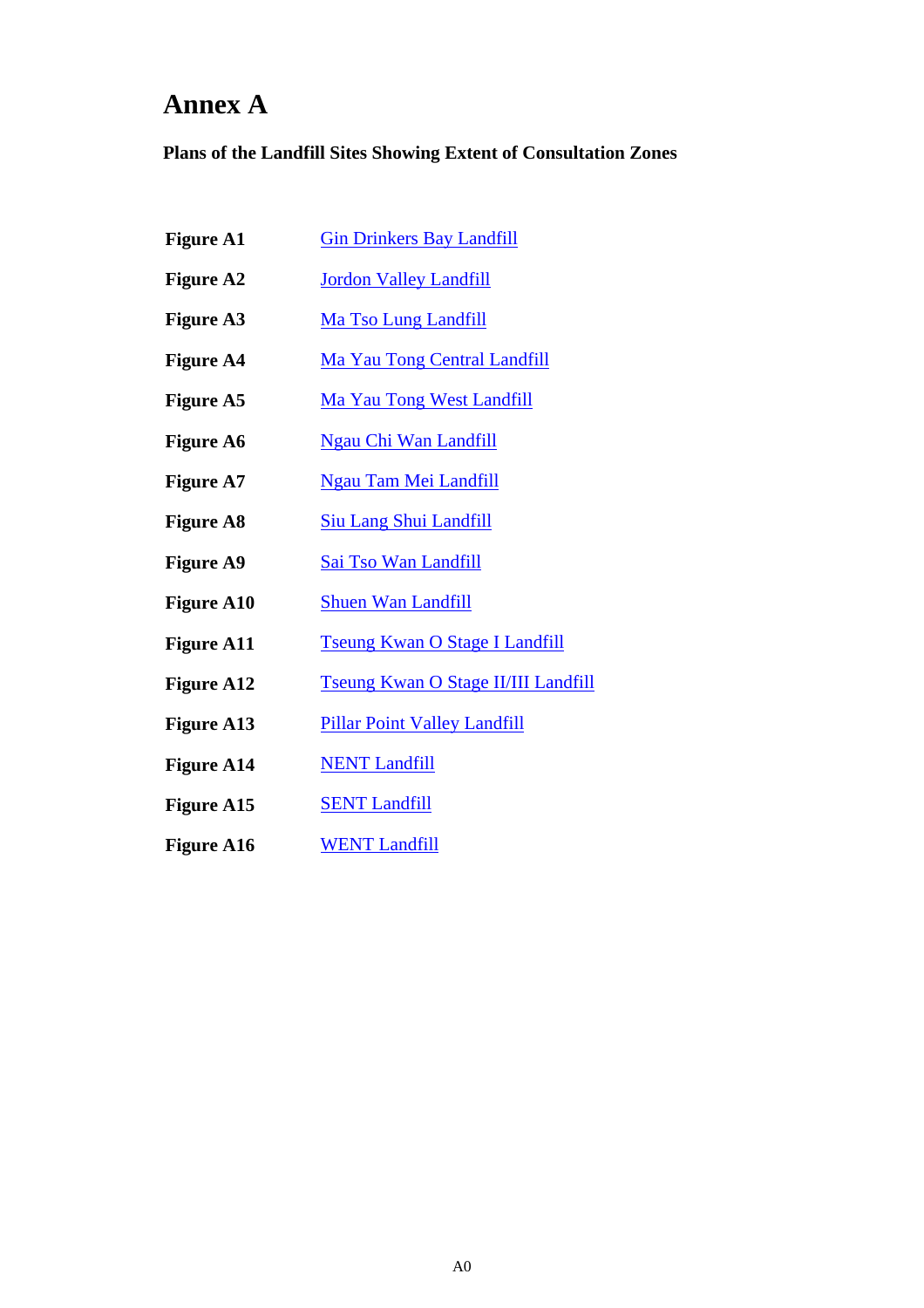# **Annex A**

**Plans of the Landfill Sites Showing Extent of Consultation Zones** 

- **Figure A1**  Gin Drinkers Bay Landfill
- **Figure A2**  Jordon Valley Landfill
- **Figure A3**  Ma Tso Lung Landfill
- **Figure A4**  Ma Yau Tong Central Landfill
- **Figure A5**  Ma Yau Tong West Landfill
- **Figure A6**  Ngau Chi Wan Landfill
- **Figure A7**  Ngau Tam Mei Landfill
- **Figure A8**  Siu Lang Shui Landfill
- **Figure A9**  Sai Tso Wan Landfill
- **Figure A10**  Shuen Wan Landfill
- **Figure A11**  Tseung Kwan O Stage I Landfill
- **Figure A12**  Tseung Kwan O Stage II/III Landfill
- **Figure A13**  Pillar Point Valley Landfill
- **Figure A14 NENT Landfill**
- **Figure A15 SENT Landfill**
- **Figure A16 WENT Landfill**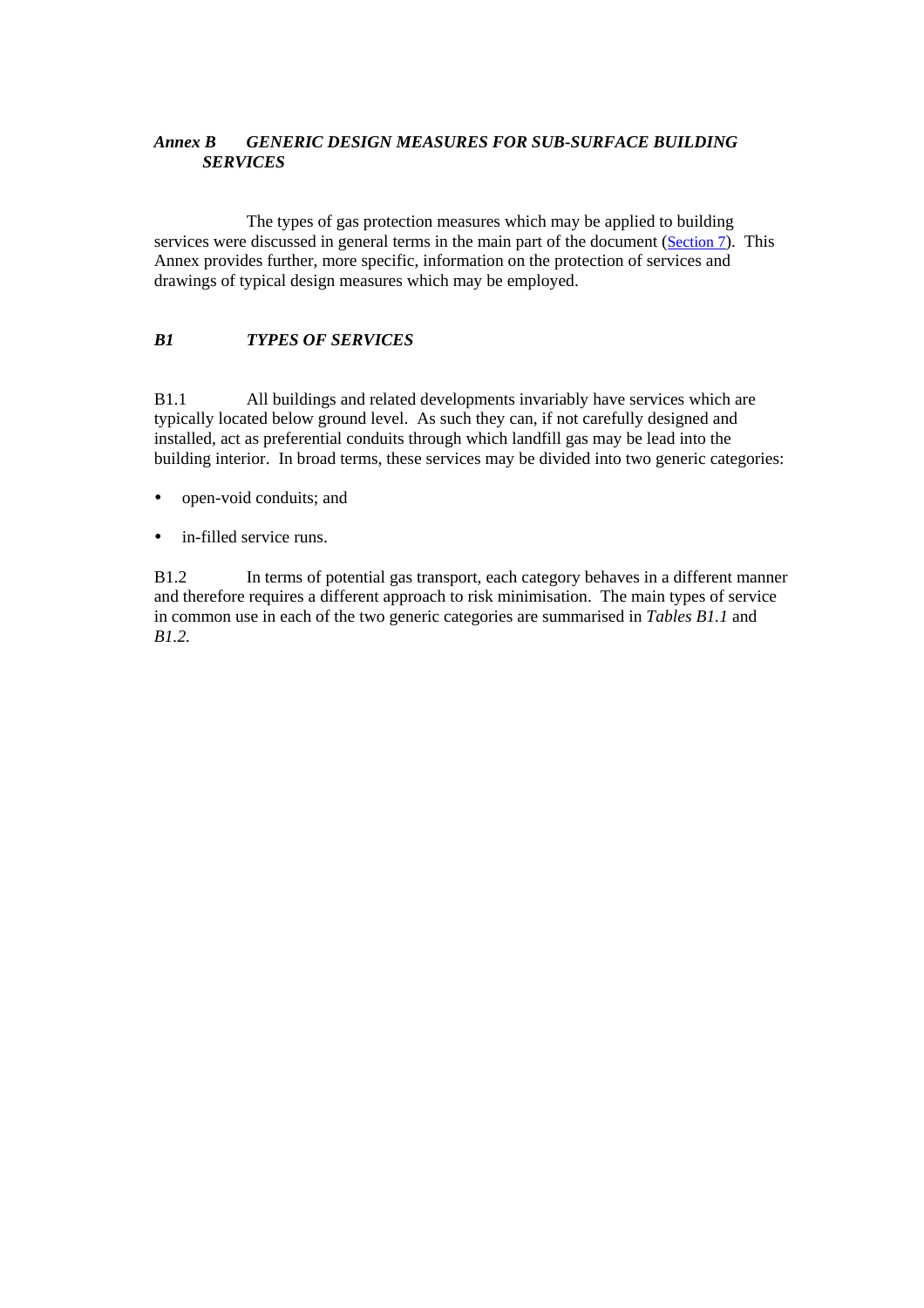### <span id="page-55-0"></span>*Annex B GENERIC DESIGN MEASURES FOR SUB-SURFACE BUILDING SERVICES*

 The types of gas protection measures which may be applied to building services were discussed in general terms in the main part of the document [\(Section 7\)](#page-32-0). This Annex provides further, more specific, information on the protection of services and drawings of typical design measures which may be employed.

## *B1 TYPES OF SERVICES*

B1.1 All buildings and related developments invariably have services which are typically located below ground level. As such they can, if not carefully designed and installed, act as preferential conduits through which landfill gas may be lead into the building interior. In broad terms, these services may be divided into two generic categories:

- open-void conduits; and
- $\bullet$  in-filled service runs.

B1.2 In terms of potential gas transport, each category behaves in a different manner and therefore requires a different approach to risk minimisation. The main types of service in common use in each of the two generic categories are summarised in *Tables B1.1* and *B1.2.*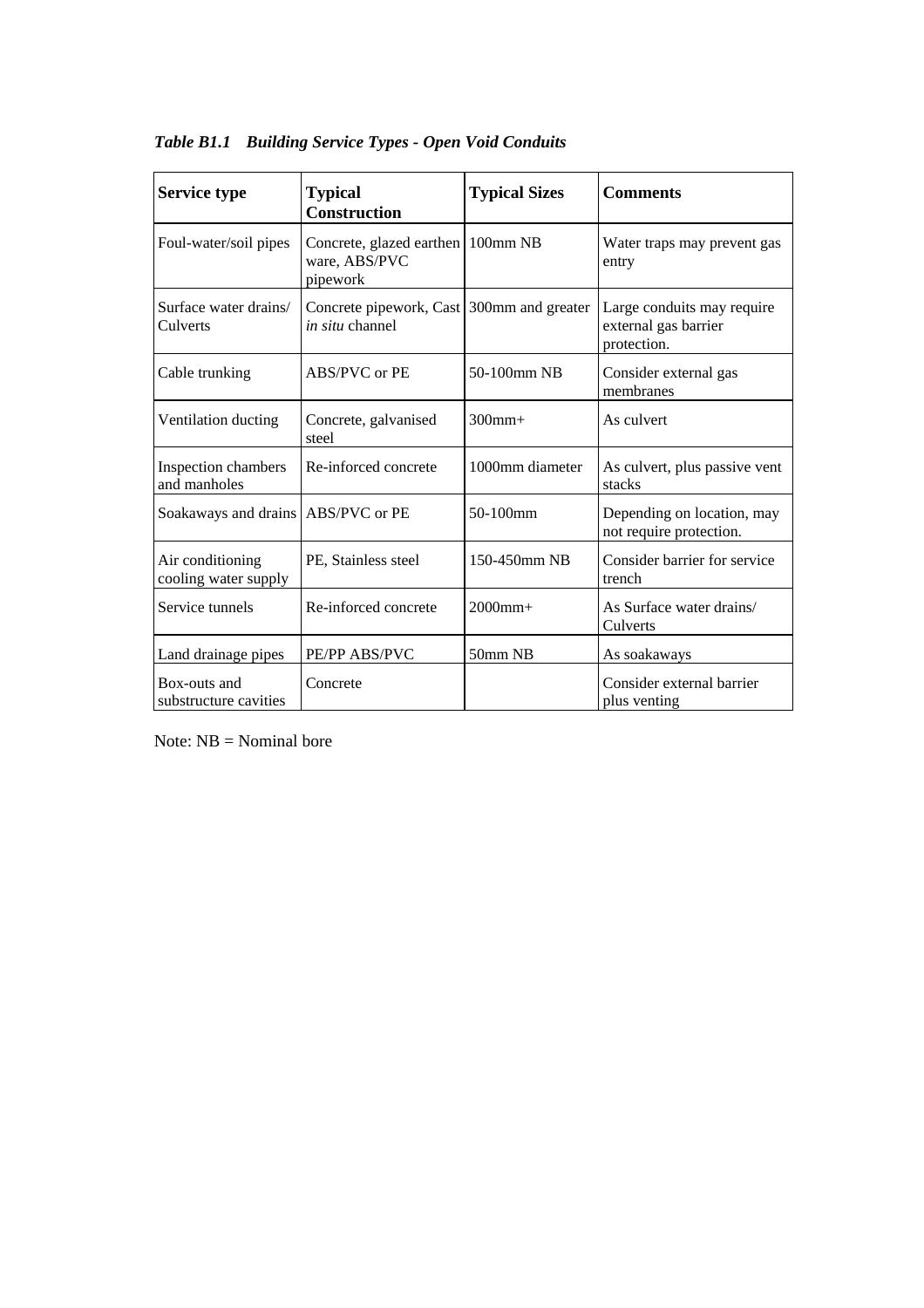| <b>Service type</b>                      | <b>Typical</b><br><b>Construction</b>                               | <b>Typical Sizes</b> | <b>Comments</b>                                                   |
|------------------------------------------|---------------------------------------------------------------------|----------------------|-------------------------------------------------------------------|
| Foul-water/soil pipes                    | Concrete, glazed earthen<br>ware, ABS/PVC<br>pipework               | 100mm NB             | Water traps may prevent gas<br>entry                              |
| Surface water drains/<br>Culverts        | Concrete pipework, Cast 300mm and greater<br><i>in situ</i> channel |                      | Large conduits may require<br>external gas barrier<br>protection. |
| Cable trunking                           | ABS/PVC or PE                                                       | 50-100mm NB          | Consider external gas<br>membranes                                |
| Ventilation ducting                      | Concrete, galvanised<br>steel                                       | $300$ mm $+$         | As culvert                                                        |
| Inspection chambers<br>and manholes      | Re-inforced concrete                                                | 1000mm diameter      | As culvert, plus passive vent<br>stacks                           |
| Soakaways and drains   ABS/PVC or PE     |                                                                     | 50-100mm             | Depending on location, may<br>not require protection.             |
| Air conditioning<br>cooling water supply | PE, Stainless steel                                                 | 150-450mm NB         | Consider barrier for service<br>trench                            |
| Service tunnels                          | Re-inforced concrete                                                | $2000$ mm+           | As Surface water drains/<br>Culverts                              |
| Land drainage pipes                      | PE/PP ABS/PVC                                                       | 50mm NB              | As soakaways                                                      |
| Box-outs and<br>substructure cavities    | Concrete                                                            |                      | Consider external barrier<br>plus venting                         |

*Table B1.1 Building Service Types - Open Void Conduits*

Note:  $NB = Nominal bore$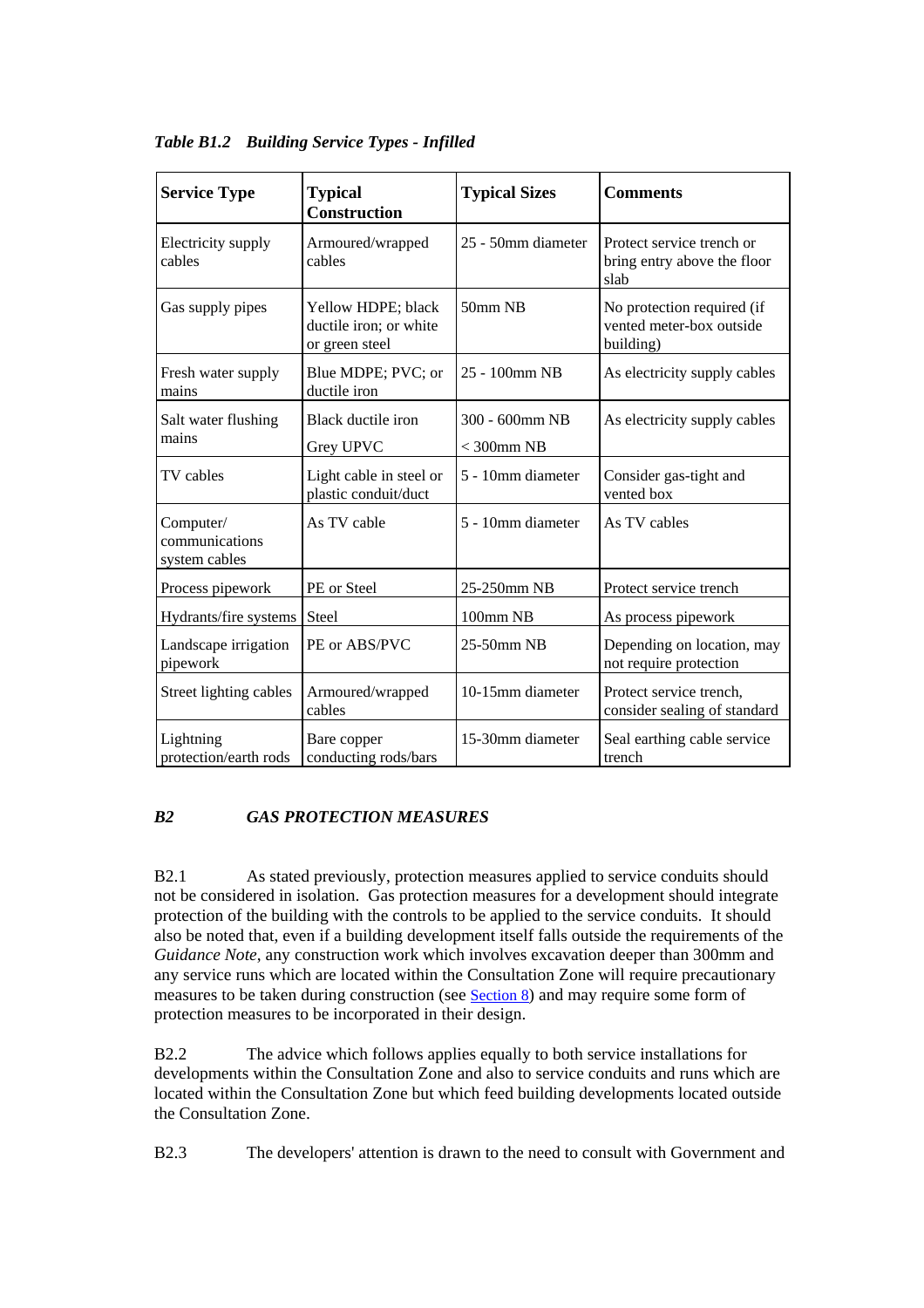| <b>Service Type</b>                          | <b>Typical</b><br><b>Construction</b>                          | <b>Typical Sizes</b>              | <b>Comments</b>                                                     |
|----------------------------------------------|----------------------------------------------------------------|-----------------------------------|---------------------------------------------------------------------|
| Electricity supply<br>cables                 | Armoured/wrapped<br>cables                                     | 25 - 50mm diameter                | Protect service trench or<br>bring entry above the floor<br>slab    |
| Gas supply pipes                             | Yellow HDPE; black<br>ductile iron; or white<br>or green steel | 50mm NB                           | No protection required (if<br>vented meter-box outside<br>building) |
| Fresh water supply<br>mains                  | Blue MDPE; PVC; or<br>ductile iron                             | 25 - 100mm NB                     | As electricity supply cables                                        |
| Salt water flushing<br>mains                 | Black ductile iron<br>Grey UPVC                                | 300 - 600mm NB<br>$<$ 300 $mm$ NB | As electricity supply cables                                        |
| TV cables                                    | Light cable in steel or<br>plastic conduit/duct                | 5 - 10mm diameter                 | Consider gas-tight and<br>vented box                                |
| Computer/<br>communications<br>system cables | As TV cable                                                    | 5 - 10mm diameter                 | As TV cables                                                        |
| Process pipework                             | PE or Steel                                                    | 25-250mm NB                       | Protect service trench                                              |
| Hydrants/fire systems                        | Steel                                                          | 100mm NB                          | As process pipework                                                 |
| Landscape irrigation<br>pipework             | PE or ABS/PVC                                                  | 25-50mm NB                        | Depending on location, may<br>not require protection                |
| Street lighting cables                       | Armoured/wrapped<br>cables                                     | 10-15mm diameter                  | Protect service trench,<br>consider sealing of standard             |
| Lightning<br>protection/earth rods           | Bare copper<br>conducting rods/bars                            | 15-30mm diameter                  | Seal earthing cable service<br>trench                               |

*Table B1.2 Building Service Types - Infilled*

## *B2 GAS PROTECTION MEASURES*

B2.1 As stated previously, protection measures applied to service conduits should not be considered in isolation. Gas protection measures for a development should integrate protection of the building with the controls to be applied to the service conduits. It should also be noted that, even if a building development itself falls outside the requirements of the *Guidance Note*, any construction work which involves excavation deeper than 300mm and any service runs which are located within the Consultation Zone will require precautionary measures to be taken during construction (see [Section 8\)](#page-44-0) and may require some form of protection measures to be incorporated in their design.

B2.2 The advice which follows applies equally to both service installations for developments within the Consultation Zone and also to service conduits and runs which are located within the Consultation Zone but which feed building developments located outside the Consultation Zone.

B2.3 The developers' attention is drawn to the need to consult with Government and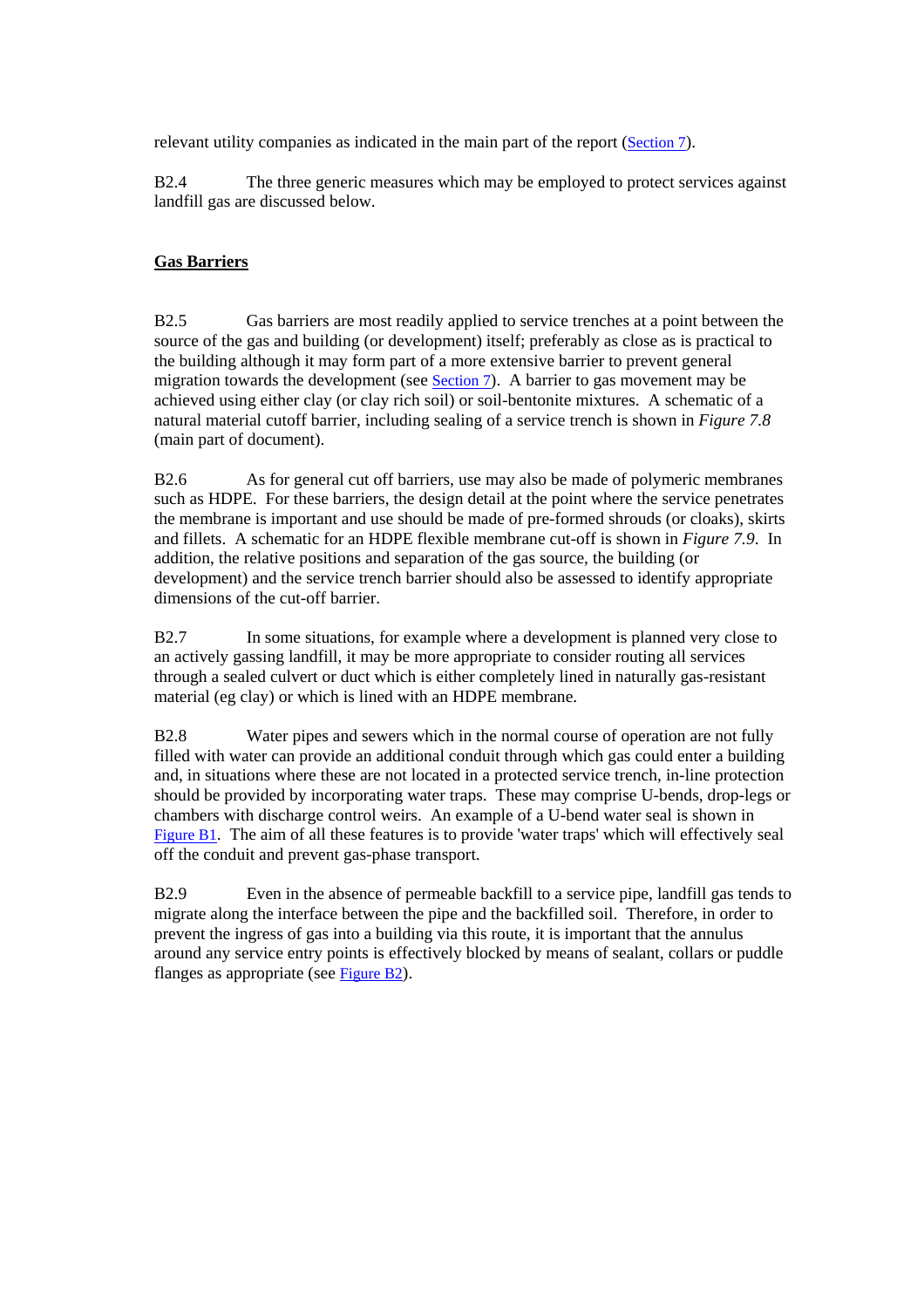relevant utility companies as indicated in the main part of the repor[t \(Section 7\).](#page-32-0)

B2.4 The three generic measures which may be employed to protect services against landfill gas are discussed below.

## **Gas Barriers**

B2.5 Gas barriers are most readily applied to service trenches at a point between the source of the gas and building (or development) itself; preferably as close as is practical to the building although it may form part of a more extensive barrier to prevent general migration towards the development (se[e Section 7\)](#page-32-0). A barrier to gas movement may be achieved using either clay (or clay rich soil) or soil-bentonite mixtures. A schematic of a natural material cutoff barrier, including sealing of a service trench is shown in *Figure 7.8* (main part of document).

B2.6 As for general cut off barriers, use may also be made of polymeric membranes such as HDPE. For these barriers, the design detail at the point where the service penetrates the membrane is important and use should be made of pre-formed shrouds (or cloaks), skirts and fillets. A schematic for an HDPE flexible membrane cut-off is shown in *Figure 7.9*. In addition, the relative positions and separation of the gas source, the building (or development) and the service trench barrier should also be assessed to identify appropriate dimensions of the cut-off barrier.

B2.7 In some situations, for example where a development is planned very close to an actively gassing landfill, it may be more appropriate to consider routing all services through a sealed culvert or duct which is either completely lined in naturally gas-resistant material (eg clay) or which is lined with an HDPE membrane.

B2.8 Water pipes and sewers which in the normal course of operation are not fully filled with water can provide an additional conduit through which gas could enter a building and, in situations where these are not located in a protected service trench, in-line protection should be provided by incorporating water traps. These may comprise U-bends, drop-legs or chambers with discharge control weirs. An example of a U-bend water seal is shown in Figure B1. The aim of all these features is to provide 'water traps' which will effectively seal off the conduit and prevent gas-phase transport.

B2.9 Even in the absence of permeable backfill to a service pipe, landfill gas tends to migrate along the interface between the pipe and the backfilled soil. Therefore, in order to prevent the ingress of gas into a building via this route, it is important that the annulus around any service entry points is effectively blocked by means of sealant, collars or puddle flanges as appropriate (see Figure B2).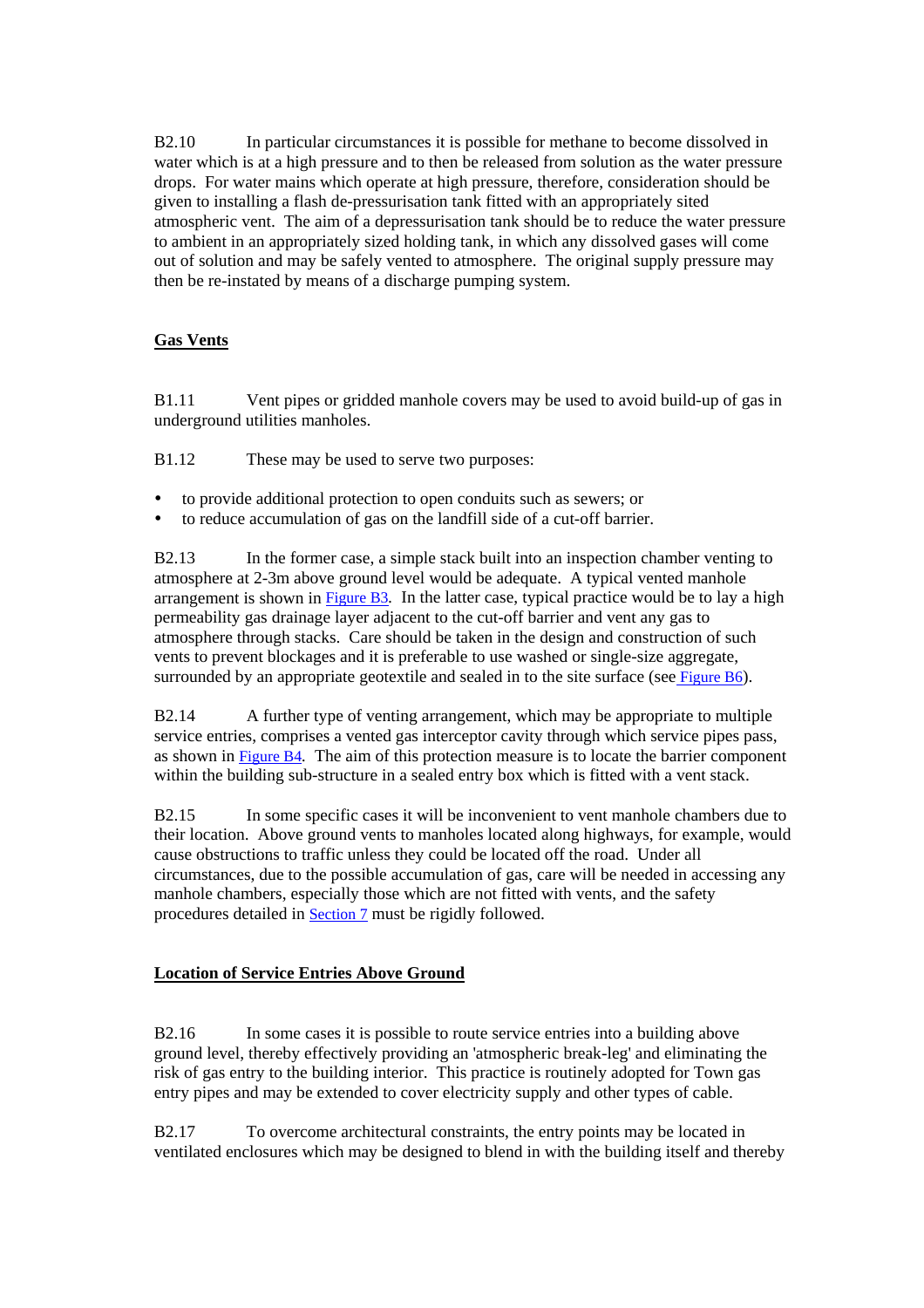B2.10 In particular circumstances it is possible for methane to become dissolved in water which is at a high pressure and to then be released from solution as the water pressure drops. For water mains which operate at high pressure, therefore, consideration should be given to installing a flash de-pressurisation tank fitted with an appropriately sited atmospheric vent. The aim of a depressurisation tank should be to reduce the water pressure to ambient in an appropriately sized holding tank, in which any dissolved gases will come out of solution and may be safely vented to atmosphere. The original supply pressure may then be re-instated by means of a discharge pumping system.

## **Gas Vents**

B1.11 Vent pipes or gridded manhole covers may be used to avoid build-up of gas in underground utilities manholes.

B1.12 These may be used to serve two purposes:

- to provide additional protection to open conduits such as sewers; or
- to reduce accumulation of gas on the landfill side of a cut-off barrier.

B2.13 In the former case, a simple stack built into an inspection chamber venting to atmosphere at 2-3m above ground level would be adequate. A typical vented manhole arrangement is shown in Figure B3*.* In the latter case, typical practice would be to lay a high permeability gas drainage layer adjacent to the cut-off barrier and vent any gas to atmosphere through stacks. Care should be taken in the design and construction of such vents to prevent blockages and it is preferable to use washed or single-size aggregate, surrounded by an appropriate geotextile and sealed in to the site surface (see Figure B6).

B2.14 A further type of venting arrangement, which may be appropriate to multiple service entries, comprises a vented gas interceptor cavity through which service pipes pass, as shown in Figure B4*.* The aim of this protection measure is to locate the barrier component within the building sub-structure in a sealed entry box which is fitted with a vent stack.

B2.15 In some specific cases it will be inconvenient to vent manhole chambers due to their location. Above ground vents to manholes located along highways, for example, would cause obstructions to traffic unless they could be located off the road. Under all circumstances, due to the possible accumulation of gas, care will be needed in accessing any manhole chambers, especially those which are not fitted with vents, and the safety procedures detailed i[n Section 7 m](#page-32-0)ust be rigidly followed.

## **Location of Service Entries Above Ground**

B2.16 In some cases it is possible to route service entries into a building above ground level, thereby effectively providing an 'atmospheric break-leg' and eliminating the risk of gas entry to the building interior. This practice is routinely adopted for Town gas entry pipes and may be extended to cover electricity supply and other types of cable.

B2.17 To overcome architectural constraints, the entry points may be located in ventilated enclosures which may be designed to blend in with the building itself and thereby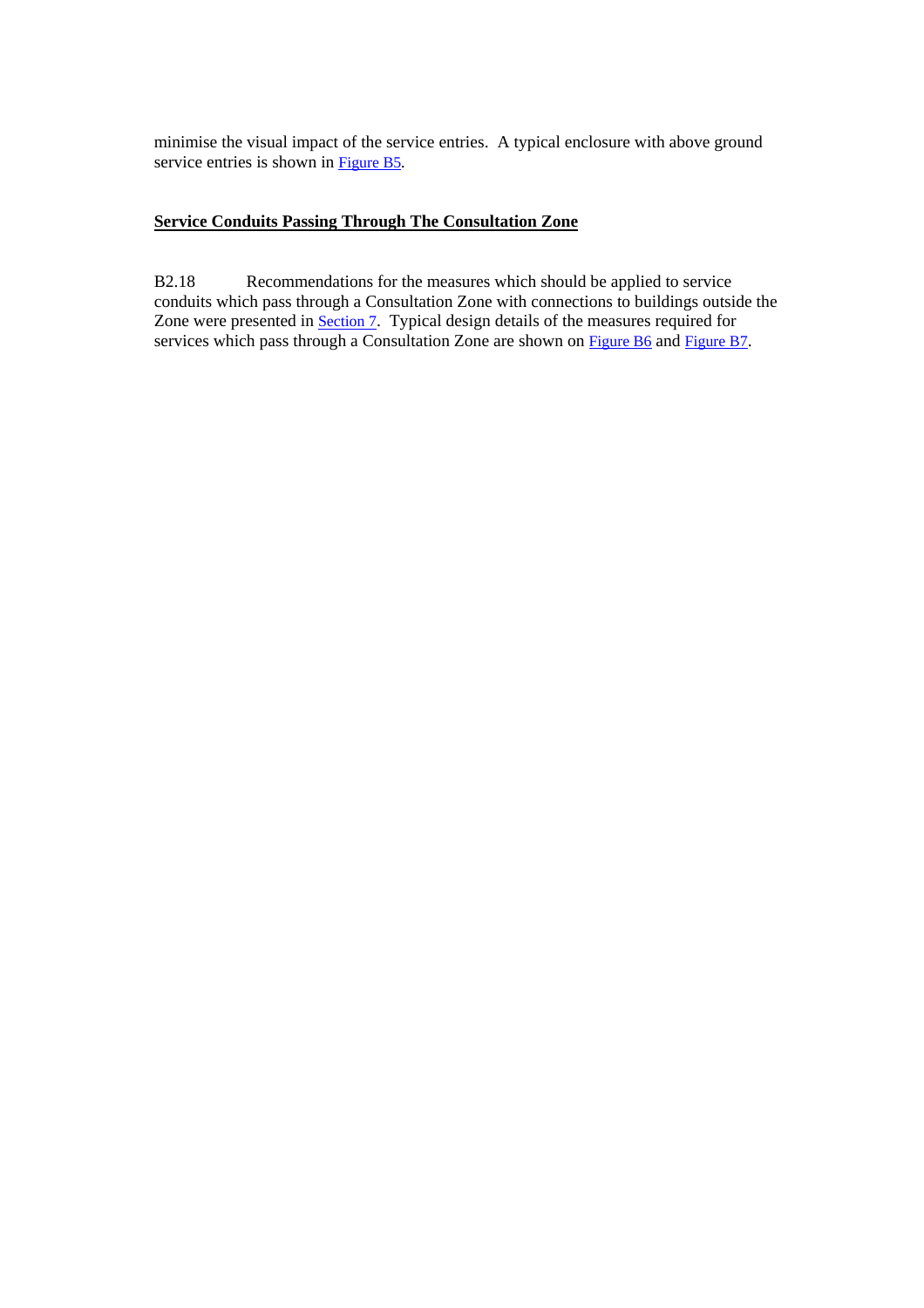minimise the visual impact of the service entries. A typical enclosure with above ground service entries is shown in Figure B5*.* 

#### **Service Conduits Passing Through The Consultation Zone**

B2.18 Recommendations for the measures which should be applied to service conduits which pass through a Consultation Zone with connections to buildings outside the Zone were presented in **Section 7**. Typical design details of the measures required for services which pass through a Consultation Zone are shown on **Figure B6** and Figure B7.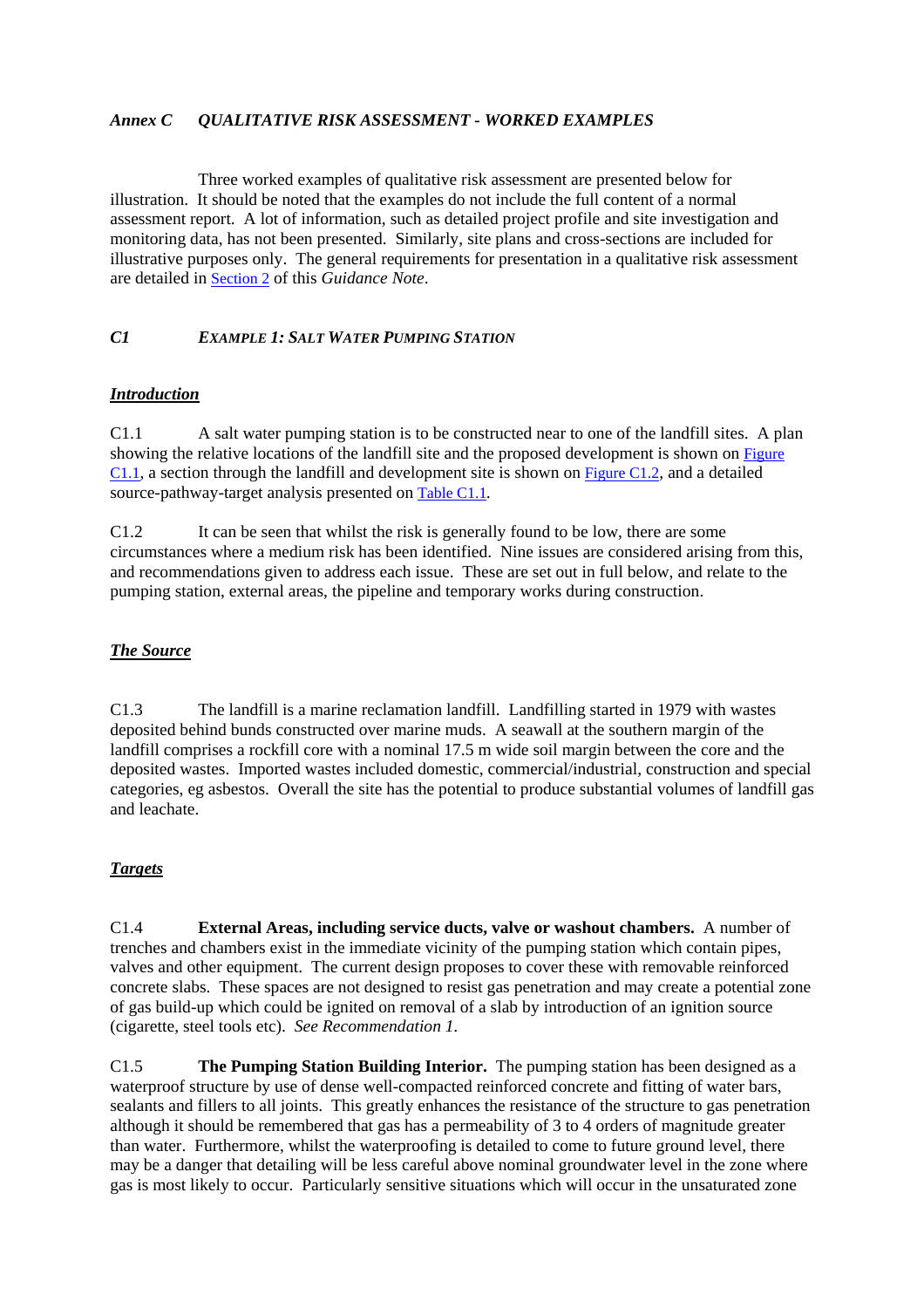### *Annex C QUALITATIVE RISK ASSESSMENT - WORKED EXAMPLES*

 Three worked examples of qualitative risk assessment are presented below for illustration. It should be noted that the examples do not include the full content of a normal assessment report. A lot of information, such as detailed project profile and site investigation and monitoring data, has not been presented. Similarly, site plans and cross-sections are included for illustrative purposes only. The general requirements for presentation in a qualitative risk assessment are detailed i[n Section 2 o](#page-11-0)f this *Guidance Note*.

#### *C1 EXAMPLE 1: SALT WATER PUMPING STATION*

#### *Introduction*

C1.1 A salt water pumping station is to be constructed near to one of the landfill sites. A plan showing the relative locations of the landfill site and the proposed development is shown on Figure C1.1, a section through the landfill and development site is shown on Figure C1.2*,* and a detailed source-pathway-target analysis presented o[n Table C1.1](#page-63-0)*.*

C1.2 It can be seen that whilst the risk is generally found to be low, there are some circumstances where a medium risk has been identified. Nine issues are considered arising from this, and recommendations given to address each issue. These are set out in full below, and relate to the pumping station, external areas, the pipeline and temporary works during construction.

### *The Source*

C1.3 The landfill is a marine reclamation landfill. Landfilling started in 1979 with wastes deposited behind bunds constructed over marine muds. A seawall at the southern margin of the landfill comprises a rockfill core with a nominal 17.5 m wide soil margin between the core and the deposited wastes. Imported wastes included domestic, commercial/industrial, construction and special categories, eg asbestos. Overall the site has the potential to produce substantial volumes of landfill gas and leachate.

## *Targets*

C1.4 **External Areas, including service ducts, valve or washout chambers.** A number of trenches and chambers exist in the immediate vicinity of the pumping station which contain pipes, valves and other equipment. The current design proposes to cover these with removable reinforced concrete slabs. These spaces are not designed to resist gas penetration and may create a potential zone of gas build-up which could be ignited on removal of a slab by introduction of an ignition source (cigarette, steel tools etc). *See Recommendation 1.*

C1.5 **The Pumping Station Building Interior.** The pumping station has been designed as a waterproof structure by use of dense well-compacted reinforced concrete and fitting of water bars, sealants and fillers to all joints. This greatly enhances the resistance of the structure to gas penetration although it should be remembered that gas has a permeability of 3 to 4 orders of magnitude greater than water. Furthermore, whilst the waterproofing is detailed to come to future ground level, there may be a danger that detailing will be less careful above nominal groundwater level in the zone where gas is most likely to occur. Particularly sensitive situations which will occur in the unsaturated zone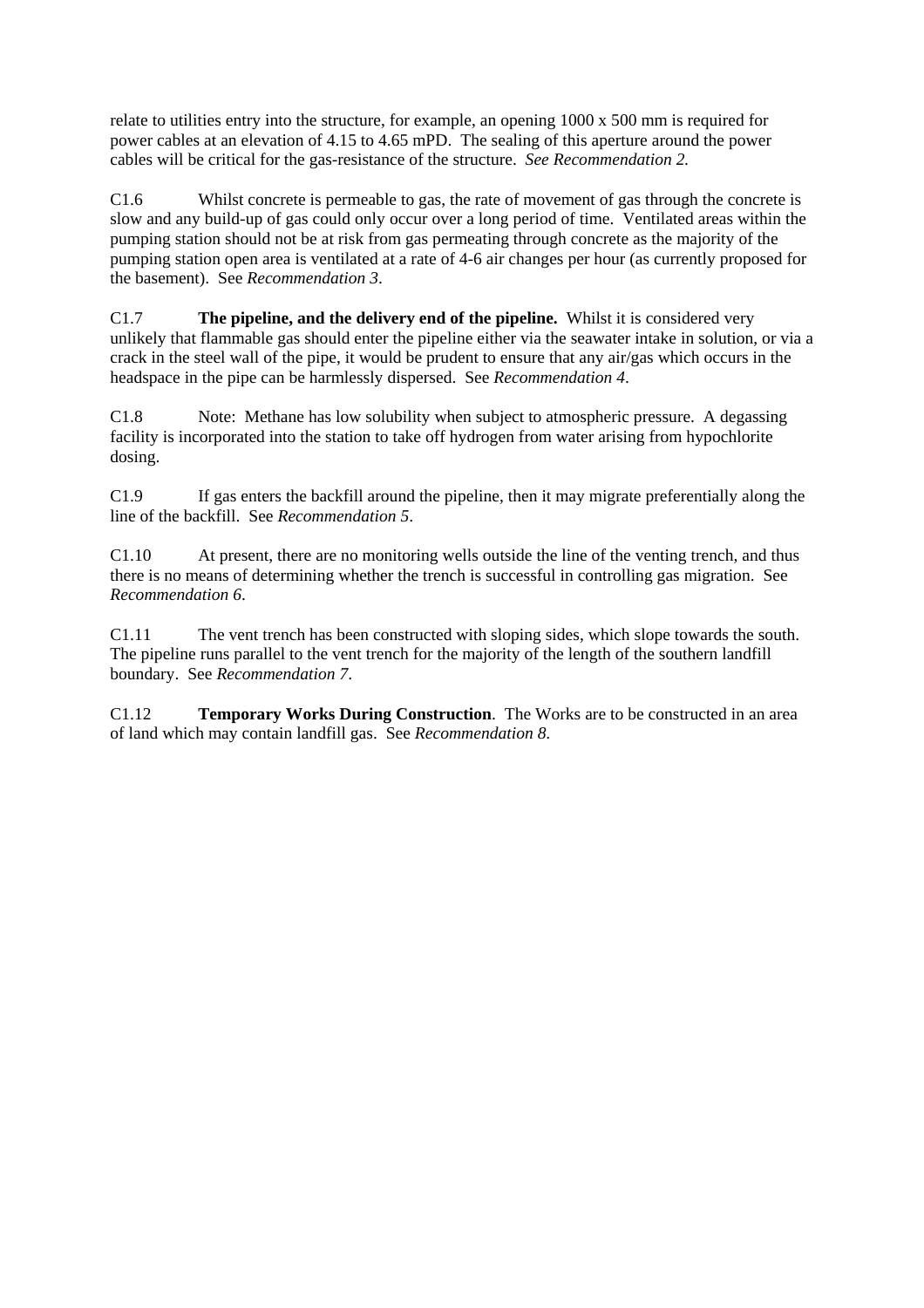relate to utilities entry into the structure, for example, an opening 1000 x 500 mm is required for power cables at an elevation of 4.15 to 4.65 mPD. The sealing of this aperture around the power cables will be critical for the gas-resistance of the structure. *See Recommendation 2.*

C1.6 Whilst concrete is permeable to gas, the rate of movement of gas through the concrete is slow and any build-up of gas could only occur over a long period of time. Ventilated areas within the pumping station should not be at risk from gas permeating through concrete as the majority of the pumping station open area is ventilated at a rate of 4-6 air changes per hour (as currently proposed for the basement). See *Recommendation 3*.

C1.7 **The pipeline, and the delivery end of the pipeline.** Whilst it is considered very unlikely that flammable gas should enter the pipeline either via the seawater intake in solution, or via a crack in the steel wall of the pipe, it would be prudent to ensure that any air/gas which occurs in the headspace in the pipe can be harmlessly dispersed. See *Recommendation 4*.

C1.8 Note: Methane has low solubility when subject to atmospheric pressure. A degassing facility is incorporated into the station to take off hydrogen from water arising from hypochlorite dosing.

C1.9 If gas enters the backfill around the pipeline, then it may migrate preferentially along the line of the backfill. See *Recommendation 5*.

C1.10 At present, there are no monitoring wells outside the line of the venting trench, and thus there is no means of determining whether the trench is successful in controlling gas migration. See *Recommendation 6*.

C1.11 The vent trench has been constructed with sloping sides, which slope towards the south. The pipeline runs parallel to the vent trench for the majority of the length of the southern landfill boundary. See *Recommendation 7*.

C1.12 **Temporary Works During Construction**. The Works are to be constructed in an area of land which may contain landfill gas. See *Recommendation 8.*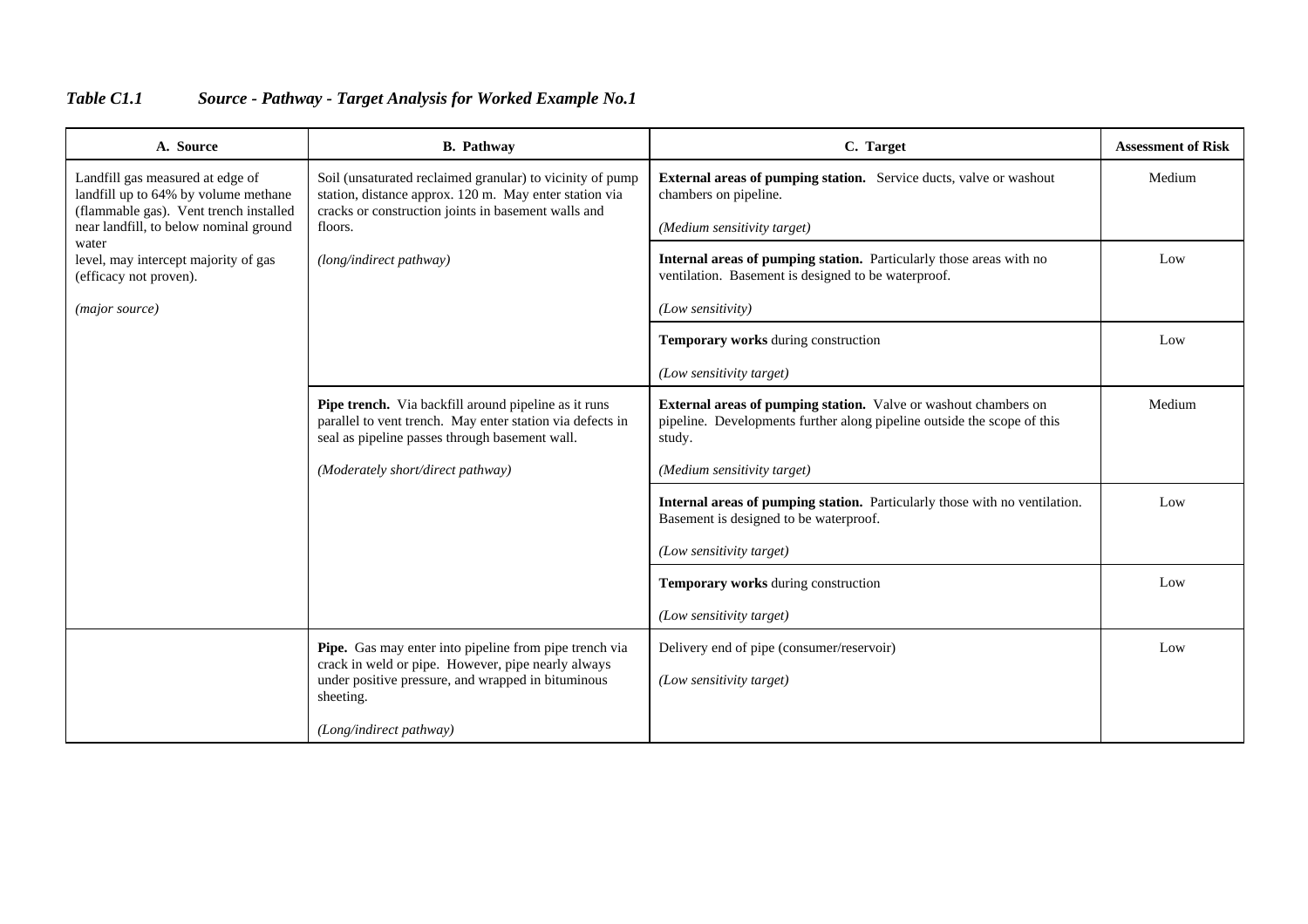## <span id="page-63-0"></span>*Table C1.1 Source - Pathway - Target Analysis for Worked Example No.1*

| A. Source                                                                                                          | <b>B.</b> Pathway                                                                                                                                                          | C. Target                                                                                                                                            | <b>Assessment of Risk</b> |
|--------------------------------------------------------------------------------------------------------------------|----------------------------------------------------------------------------------------------------------------------------------------------------------------------------|------------------------------------------------------------------------------------------------------------------------------------------------------|---------------------------|
| Landfill gas measured at edge of<br>landfill up to 64% by volume methane<br>(flammable gas). Vent trench installed | Soil (unsaturated reclaimed granular) to vicinity of pump<br>station, distance approx. 120 m. May enter station via<br>cracks or construction joints in basement walls and | <b>External areas of pumping station.</b> Service ducts, valve or washout<br>chambers on pipeline.                                                   | Medium                    |
| near landfill, to below nominal ground<br>water                                                                    | floors.                                                                                                                                                                    | (Medium sensitivity target)                                                                                                                          |                           |
| level, may intercept majority of gas<br>(efficacy not proven).                                                     | (long/indirect pathway)                                                                                                                                                    | Internal areas of pumping station. Particularly those areas with no<br>ventilation. Basement is designed to be waterproof.                           | Low                       |
| (major source)                                                                                                     |                                                                                                                                                                            | (Low sensitivity)                                                                                                                                    |                           |
|                                                                                                                    |                                                                                                                                                                            | Temporary works during construction                                                                                                                  | Low                       |
|                                                                                                                    |                                                                                                                                                                            | (Low sensitivity target)                                                                                                                             |                           |
|                                                                                                                    | Pipe trench. Via backfill around pipeline as it runs<br>parallel to vent trench. May enter station via defects in<br>seal as pipeline passes through basement wall.        | External areas of pumping station. Valve or washout chambers on<br>pipeline. Developments further along pipeline outside the scope of this<br>study. | Medium                    |
|                                                                                                                    | (Moderately short/direct pathway)                                                                                                                                          | (Medium sensitivity target)                                                                                                                          |                           |
|                                                                                                                    |                                                                                                                                                                            | Internal areas of pumping station. Particularly those with no ventilation.<br>Basement is designed to be waterproof.                                 | Low                       |
|                                                                                                                    |                                                                                                                                                                            | (Low sensitivity target)                                                                                                                             |                           |
|                                                                                                                    |                                                                                                                                                                            | Temporary works during construction                                                                                                                  | Low                       |
|                                                                                                                    |                                                                                                                                                                            | (Low sensitivity target)                                                                                                                             |                           |
|                                                                                                                    | Pipe. Gas may enter into pipeline from pipe trench via                                                                                                                     | Delivery end of pipe (consumer/reservoir)                                                                                                            | Low                       |
|                                                                                                                    | crack in weld or pipe. However, pipe nearly always<br>under positive pressure, and wrapped in bituminous<br>sheeting.                                                      | (Low sensitivity target)                                                                                                                             |                           |
|                                                                                                                    | (Long/indirect pathway)                                                                                                                                                    |                                                                                                                                                      |                           |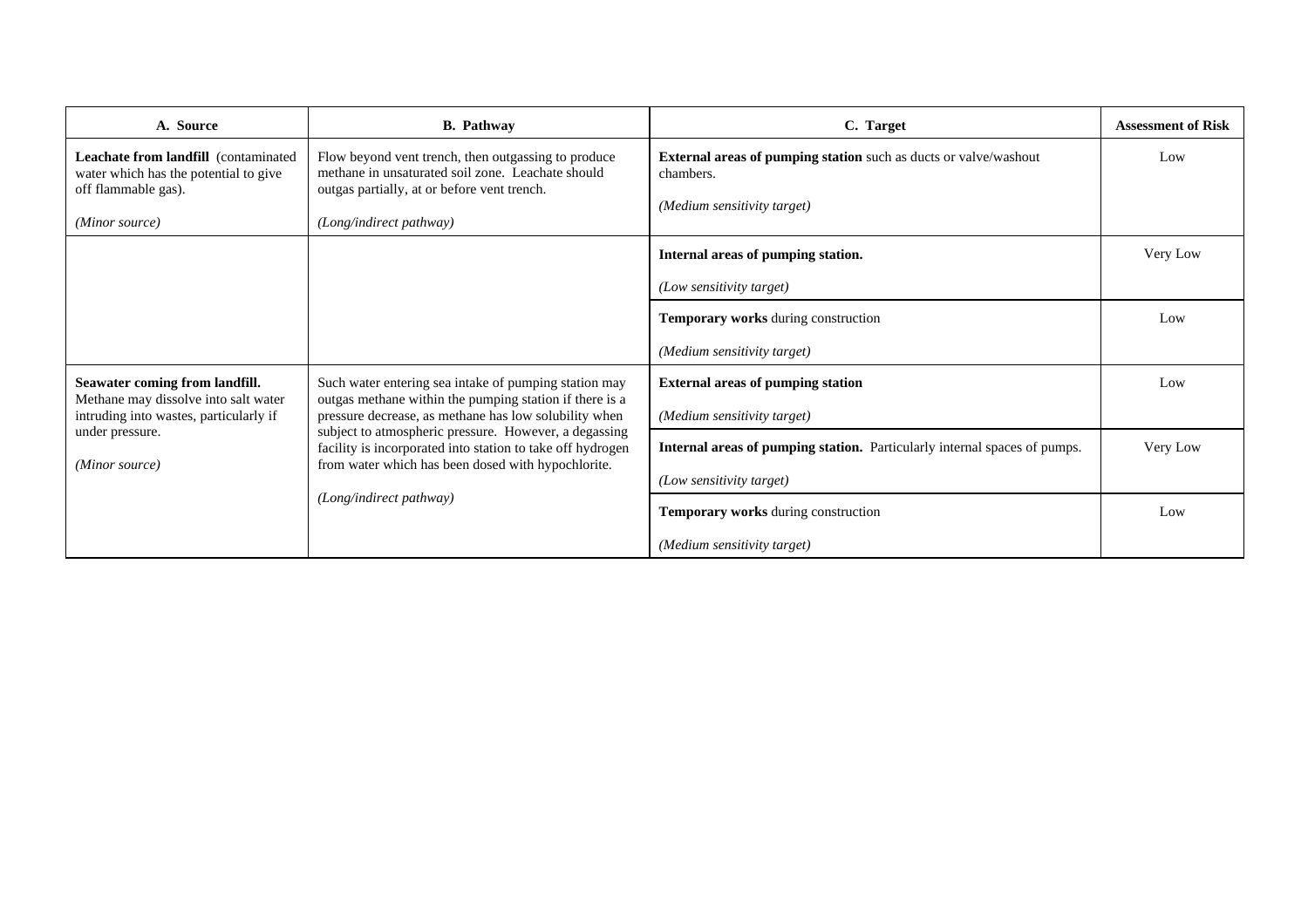| A. Source                                                                                            | <b>B.</b> Pathway                                                                                                                                                                                                                                                                             | C. Target                                                                                                           | <b>Assessment of Risk</b> |
|------------------------------------------------------------------------------------------------------|-----------------------------------------------------------------------------------------------------------------------------------------------------------------------------------------------------------------------------------------------------------------------------------------------|---------------------------------------------------------------------------------------------------------------------|---------------------------|
| Leachate from landfill (contaminated<br>water which has the potential to give<br>off flammable gas). | Flow beyond vent trench, then outgassing to produce<br>methane in unsaturated soil zone. Leachate should<br>outgas partially, at or before vent trench.                                                                                                                                       | <b>External areas of pumping station</b> such as ducts or valve/washout<br>chambers.<br>(Medium sensitivity target) | Low                       |
| (Minor source)                                                                                       | (Long/indirect pathway)                                                                                                                                                                                                                                                                       |                                                                                                                     |                           |
|                                                                                                      |                                                                                                                                                                                                                                                                                               | Internal areas of pumping station.                                                                                  | Very Low                  |
|                                                                                                      |                                                                                                                                                                                                                                                                                               | (Low sensitivity target)                                                                                            |                           |
|                                                                                                      |                                                                                                                                                                                                                                                                                               | Temporary works during construction                                                                                 | Low                       |
|                                                                                                      |                                                                                                                                                                                                                                                                                               | (Medium sensitivity target)                                                                                         |                           |
| Seawater coming from landfill.                                                                       | Such water entering sea intake of pumping station may                                                                                                                                                                                                                                         | <b>External areas of pumping station</b>                                                                            | Low                       |
| Methane may dissolve into salt water<br>intruding into wastes, particularly if                       | outgas methane within the pumping station if there is a<br>pressure decrease, as methane has low solubility when<br>subject to atmospheric pressure. However, a degassing<br>facility is incorporated into station to take off hydrogen<br>from water which has been dosed with hypochlorite. | (Medium sensitivity target)                                                                                         |                           |
| under pressure.                                                                                      |                                                                                                                                                                                                                                                                                               | Internal areas of pumping station. Particularly internal spaces of pumps.                                           | Very Low                  |
| (Minor source)                                                                                       |                                                                                                                                                                                                                                                                                               | (Low sensitivity target)                                                                                            |                           |
| (Long/indirect pathway)                                                                              | Temporary works during construction                                                                                                                                                                                                                                                           | Low                                                                                                                 |                           |
|                                                                                                      |                                                                                                                                                                                                                                                                                               | (Medium sensitivity target)                                                                                         |                           |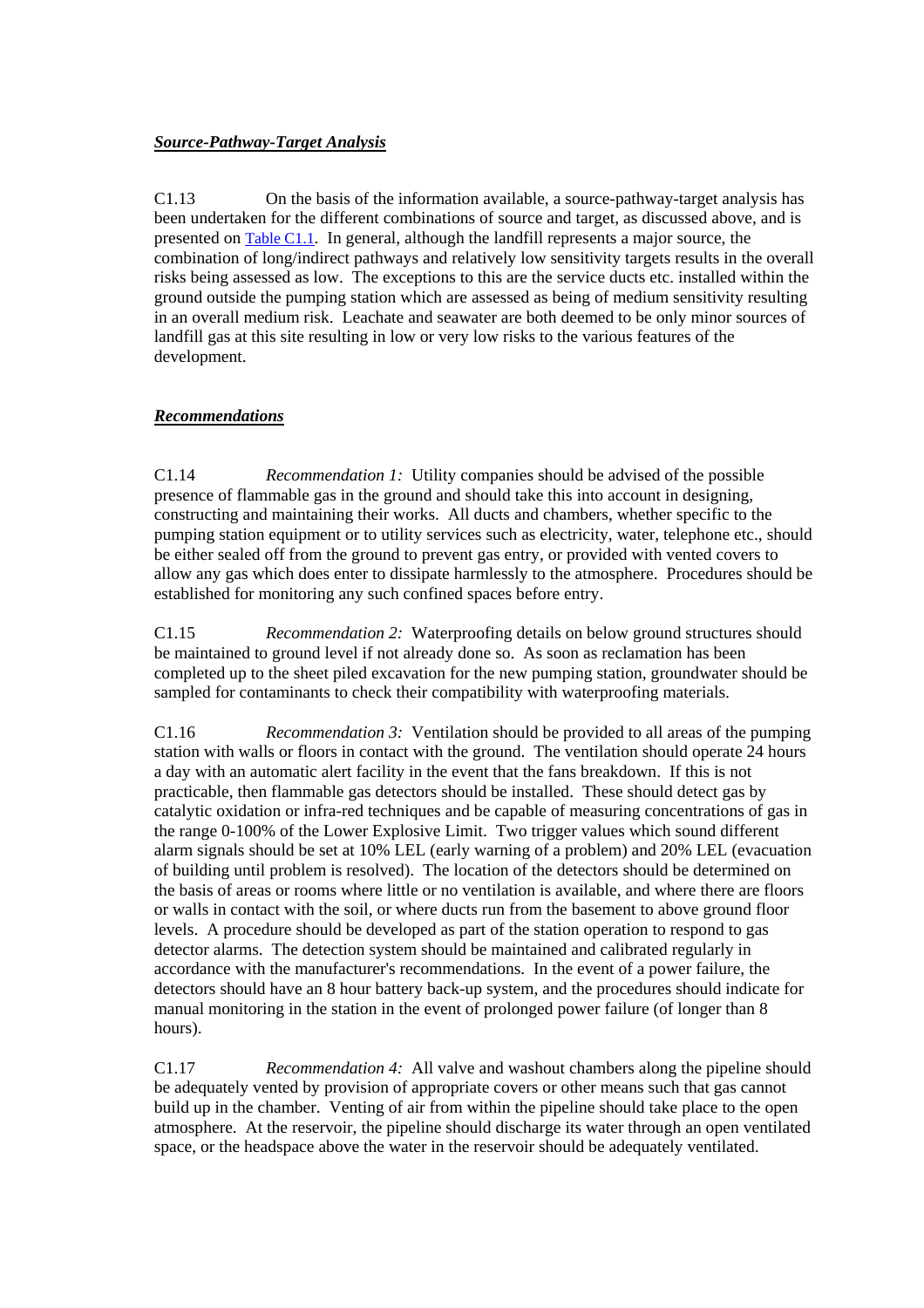#### *Source-Pathway-Target Analysis*

C1.13 On the basis of the information available, a source-pathway-target analysis has been undertaken for the different combinations of source and target, as discussed above, and is presented o[n Table C1.1.](#page-63-0) In general, although the landfill represents a major source, the combination of long/indirect pathways and relatively low sensitivity targets results in the overall risks being assessed as low. The exceptions to this are the service ducts etc. installed within the ground outside the pumping station which are assessed as being of medium sensitivity resulting in an overall medium risk. Leachate and seawater are both deemed to be only minor sources of landfill gas at this site resulting in low or very low risks to the various features of the development.

#### *Recommendations*

C1.14 *Recommendation 1:* Utility companies should be advised of the possible presence of flammable gas in the ground and should take this into account in designing, constructing and maintaining their works. All ducts and chambers, whether specific to the pumping station equipment or to utility services such as electricity, water, telephone etc., should be either sealed off from the ground to prevent gas entry, or provided with vented covers to allow any gas which does enter to dissipate harmlessly to the atmosphere. Procedures should be established for monitoring any such confined spaces before entry.

C1.15 *Recommendation 2:* Waterproofing details on below ground structures should be maintained to ground level if not already done so. As soon as reclamation has been completed up to the sheet piled excavation for the new pumping station, groundwater should be sampled for contaminants to check their compatibility with waterproofing materials.

C1.16 *Recommendation 3:* Ventilation should be provided to all areas of the pumping station with walls or floors in contact with the ground. The ventilation should operate 24 hours a day with an automatic alert facility in the event that the fans breakdown. If this is not practicable, then flammable gas detectors should be installed. These should detect gas by catalytic oxidation or infra-red techniques and be capable of measuring concentrations of gas in the range 0-100% of the Lower Explosive Limit. Two trigger values which sound different alarm signals should be set at 10% LEL (early warning of a problem) and 20% LEL (evacuation of building until problem is resolved). The location of the detectors should be determined on the basis of areas or rooms where little or no ventilation is available, and where there are floors or walls in contact with the soil, or where ducts run from the basement to above ground floor levels. A procedure should be developed as part of the station operation to respond to gas detector alarms. The detection system should be maintained and calibrated regularly in accordance with the manufacturer's recommendations. In the event of a power failure, the detectors should have an 8 hour battery back-up system, and the procedures should indicate for manual monitoring in the station in the event of prolonged power failure (of longer than 8 hours).

C1.17 *Recommendation 4:* All valve and washout chambers along the pipeline should be adequately vented by provision of appropriate covers or other means such that gas cannot build up in the chamber. Venting of air from within the pipeline should take place to the open atmosphere. At the reservoir, the pipeline should discharge its water through an open ventilated space, or the headspace above the water in the reservoir should be adequately ventilated.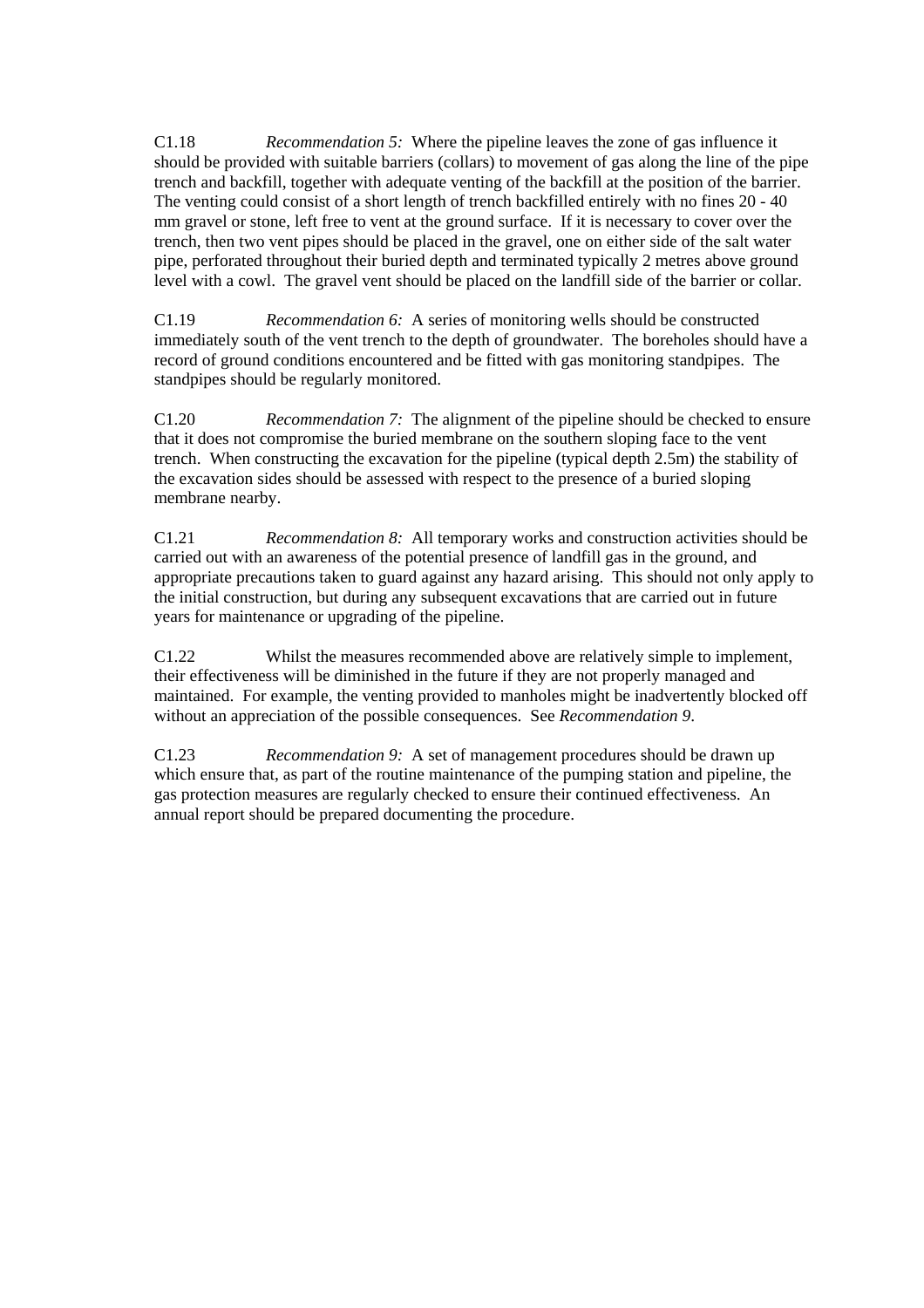C1.18 *Recommendation 5:* Where the pipeline leaves the zone of gas influence it should be provided with suitable barriers (collars) to movement of gas along the line of the pipe trench and backfill, together with adequate venting of the backfill at the position of the barrier. The venting could consist of a short length of trench backfilled entirely with no fines 20 - 40 mm gravel or stone, left free to vent at the ground surface. If it is necessary to cover over the trench, then two vent pipes should be placed in the gravel, one on either side of the salt water pipe, perforated throughout their buried depth and terminated typically 2 metres above ground level with a cowl. The gravel vent should be placed on the landfill side of the barrier or collar.

C1.19 *Recommendation 6:* A series of monitoring wells should be constructed immediately south of the vent trench to the depth of groundwater. The boreholes should have a record of ground conditions encountered and be fitted with gas monitoring standpipes. The standpipes should be regularly monitored.

C1.20 *Recommendation 7:* The alignment of the pipeline should be checked to ensure that it does not compromise the buried membrane on the southern sloping face to the vent trench. When constructing the excavation for the pipeline (typical depth 2.5m) the stability of the excavation sides should be assessed with respect to the presence of a buried sloping membrane nearby.

C1.21 *Recommendation 8:* All temporary works and construction activities should be carried out with an awareness of the potential presence of landfill gas in the ground, and appropriate precautions taken to guard against any hazard arising. This should not only apply to the initial construction, but during any subsequent excavations that are carried out in future years for maintenance or upgrading of the pipeline.

C1.22 Whilst the measures recommended above are relatively simple to implement, their effectiveness will be diminished in the future if they are not properly managed and maintained. For example, the venting provided to manholes might be inadvertently blocked off without an appreciation of the possible consequences. See *Recommendation 9*.

C1.23 *Recommendation 9:* A set of management procedures should be drawn up which ensure that, as part of the routine maintenance of the pumping station and pipeline, the gas protection measures are regularly checked to ensure their continued effectiveness. An annual report should be prepared documenting the procedure.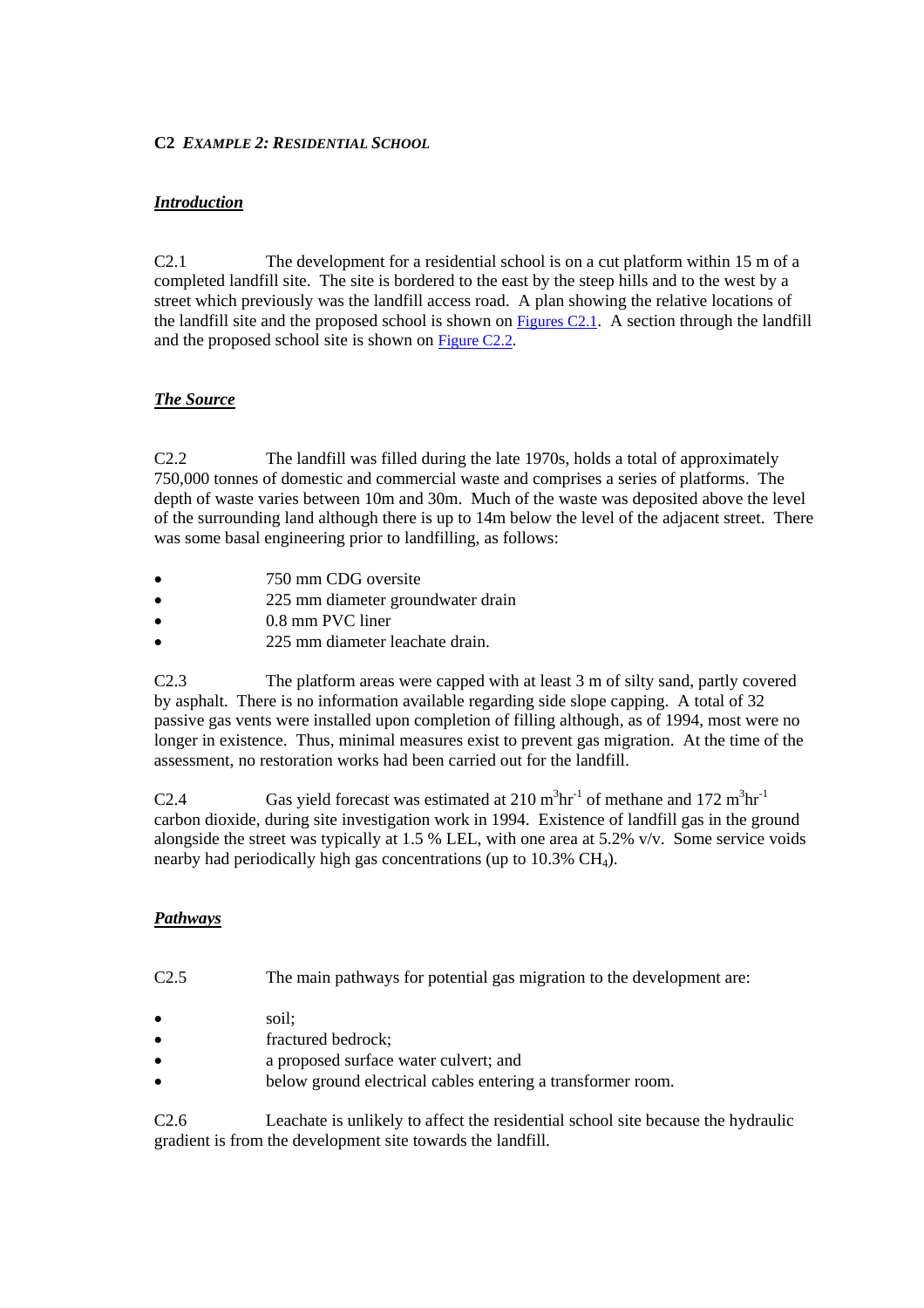#### **C2** *EXAMPLE 2: RESIDENTIAL SCHOOL*

### *Introduction*

C2.1 The development for a residential school is on a cut platform within 15 m of a completed landfill site. The site is bordered to the east by the steep hills and to the west by a street which previously was the landfill access road. A plan showing the relative locations of the landfill site and the proposed school is shown on Figures C2.1. A section through the landfill and the proposed school site is shown on Figure C2.2*.*

## *The Source*

C2.2 The landfill was filled during the late 1970s, holds a total of approximately 750,000 tonnes of domestic and commercial waste and comprises a series of platforms. The depth of waste varies between 10m and 30m. Much of the waste was deposited above the level of the surrounding land although there is up to 14m below the level of the adjacent street. There was some basal engineering prior to landfilling, as follows:

- 750 mm CDG oversite
- 225 mm diameter groundwater drain
- 0.8 mm PVC liner
- 225 mm diameter leachate drain.

C2.3 The platform areas were capped with at least 3 m of silty sand, partly covered by asphalt. There is no information available regarding side slope capping. A total of 32 passive gas vents were installed upon completion of filling although, as of 1994, most were no longer in existence. Thus, minimal measures exist to prevent gas migration. At the time of the assessment, no restoration works had been carried out for the landfill.

C2.4 Gas yield forecast was estimated at  $210 \text{ m}^3 \text{hr}^{-1}$  of methane and  $172 \text{ m}^3 \text{hr}^{-1}$ carbon dioxide, during site investigation work in 1994. Existence of landfill gas in the ground alongside the street was typically at 1.5 % LEL, with one area at 5.2% v/v. Some service voids nearby had periodically high gas concentrations (up to  $10.3\%$  CH<sub>4</sub>).

## *Pathways*

- C2.5 The main pathways for potential gas migration to the development are:
- soil:
- fractured bedrock;
- a proposed surface water culvert; and
- below ground electrical cables entering a transformer room.

C2.6 Leachate is unlikely to affect the residential school site because the hydraulic gradient is from the development site towards the landfill.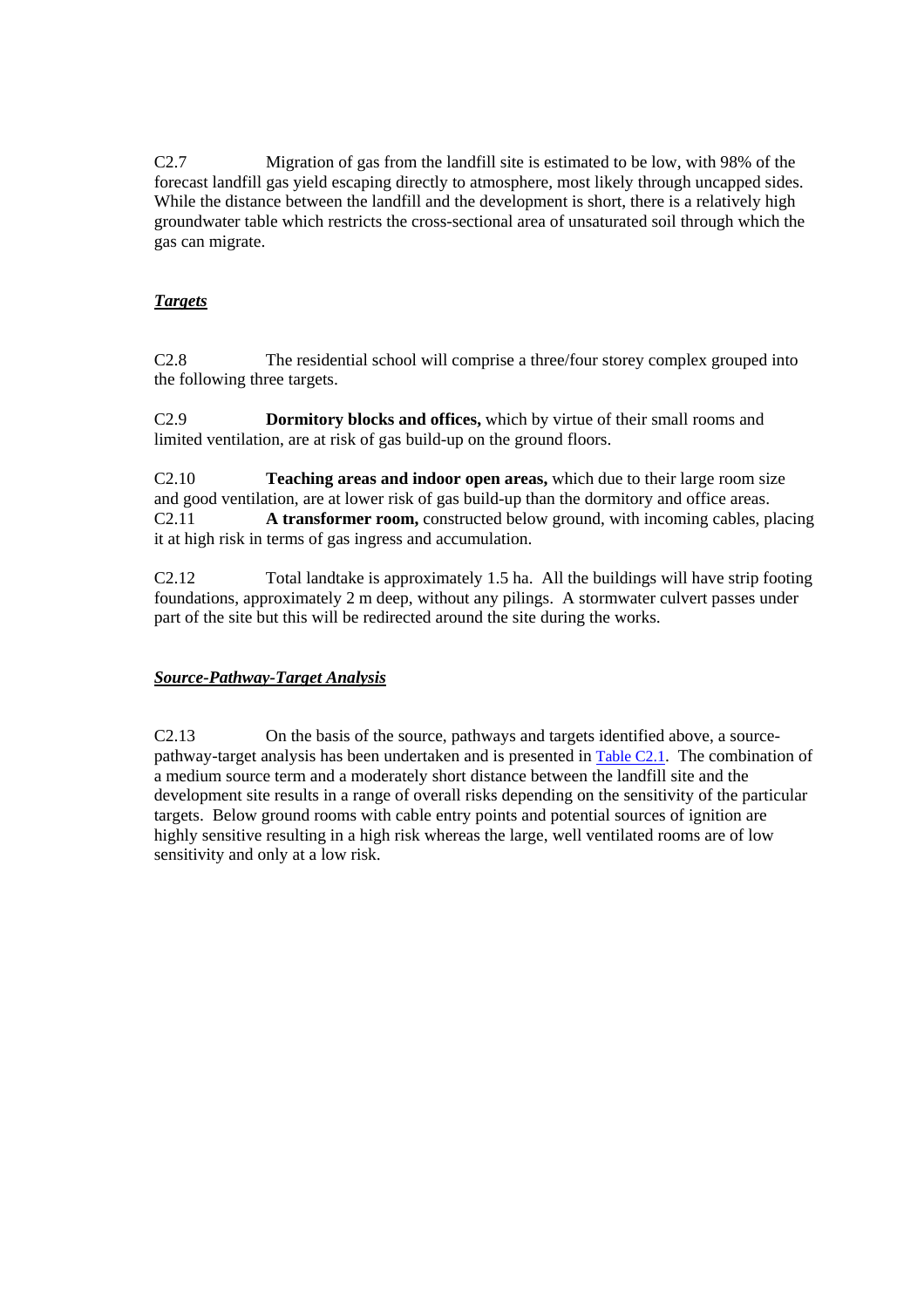C2.7 Migration of gas from the landfill site is estimated to be low, with 98% of the forecast landfill gas yield escaping directly to atmosphere, most likely through uncapped sides. While the distance between the landfill and the development is short, there is a relatively high groundwater table which restricts the cross-sectional area of unsaturated soil through which the gas can migrate.

## *Targets*

C2.8 The residential school will comprise a three/four storey complex grouped into the following three targets.

C2.9 **Dormitory blocks and offices,** which by virtue of their small rooms and limited ventilation, are at risk of gas build-up on the ground floors.

C2.10 **Teaching areas and indoor open areas,** which due to their large room size and good ventilation, are at lower risk of gas build-up than the dormitory and office areas. C2.11 **A transformer room,** constructed below ground, with incoming cables, placing it at high risk in terms of gas ingress and accumulation.

C2.12 Total landtake is approximately 1.5 ha. All the buildings will have strip footing foundations, approximately 2 m deep, without any pilings. A stormwater culvert passes under part of the site but this will be redirected around the site during the works.

## *Source-Pathway-Target Analysis*

C2.13 On the basis of the source, pathways and targets identified above, a sourcepathway-target analysis has been undertaken and is presented i[n Table C2.1.](#page-69-0) The combination of a medium source term and a moderately short distance between the landfill site and the development site results in a range of overall risks depending on the sensitivity of the particular targets. Below ground rooms with cable entry points and potential sources of ignition are highly sensitive resulting in a high risk whereas the large, well ventilated rooms are of low sensitivity and only at a low risk.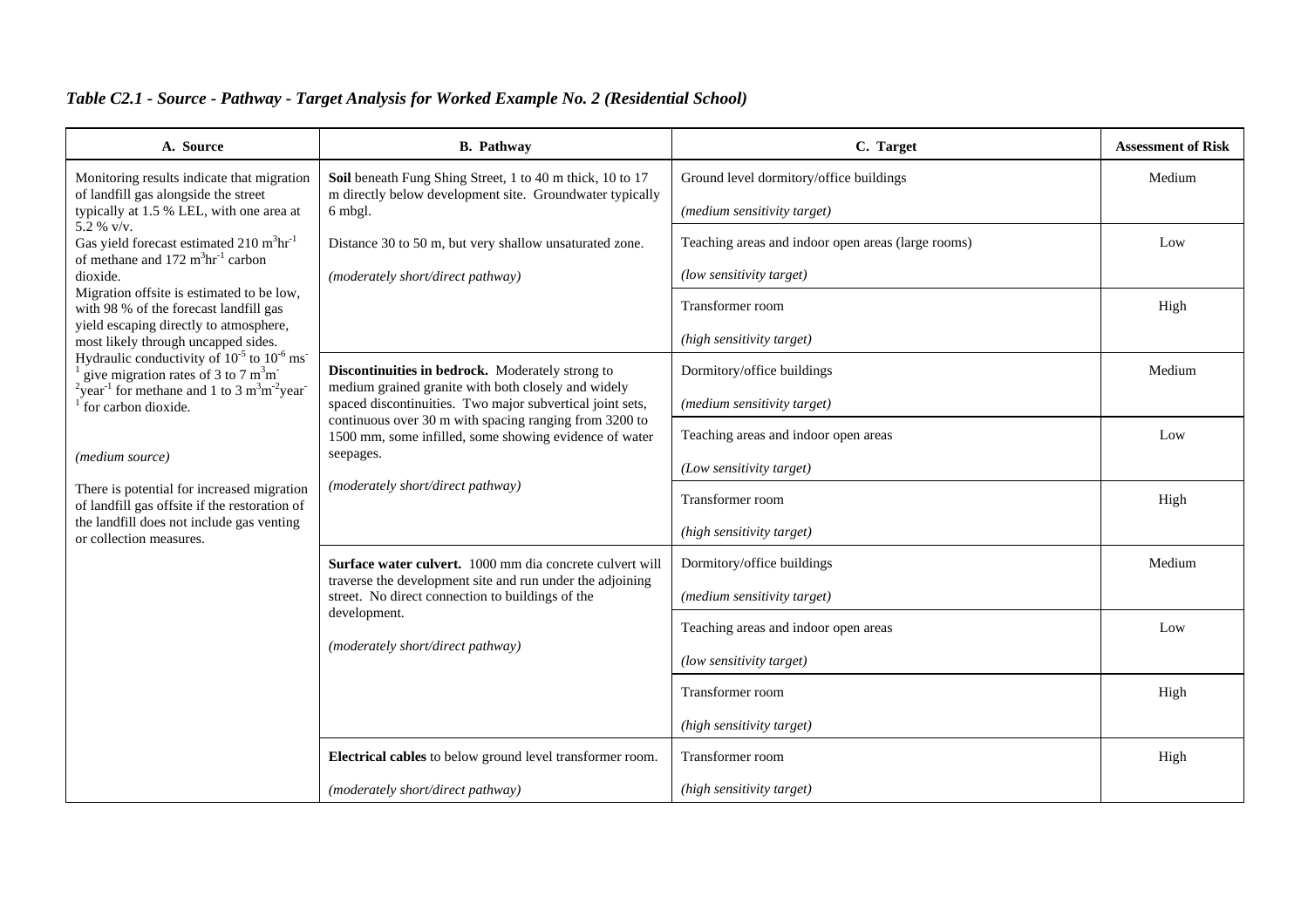| A. Source                                                                                                                                    | <b>B.</b> Pathway                                                                                                                                                                                                                                                                                                                          | C. Target                                          | <b>Assessment of Risk</b> |
|----------------------------------------------------------------------------------------------------------------------------------------------|--------------------------------------------------------------------------------------------------------------------------------------------------------------------------------------------------------------------------------------------------------------------------------------------------------------------------------------------|----------------------------------------------------|---------------------------|
| Monitoring results indicate that migration<br>of landfill gas alongside the street<br>typically at 1.5 % LEL, with one area at<br>5.2 % v/v. | Soil beneath Fung Shing Street, 1 to 40 m thick, 10 to 17<br>m directly below development site. Groundwater typically<br>6 mbgl.                                                                                                                                                                                                           | Ground level dormitory/office buildings            | Medium                    |
|                                                                                                                                              |                                                                                                                                                                                                                                                                                                                                            | (medium sensitivity target)                        |                           |
| Gas yield forecast estimated 210 m <sup>3</sup> hr <sup>-1</sup><br>of methane and $172 \text{ m}^3\text{hr}^{-1}$ carbon                    | Distance 30 to 50 m, but very shallow unsaturated zone.                                                                                                                                                                                                                                                                                    | Teaching areas and indoor open areas (large rooms) | Low                       |
| dioxide.                                                                                                                                     | (moderately short/direct pathway)                                                                                                                                                                                                                                                                                                          | (low sensitivity target)                           |                           |
| Migration offsite is estimated to be low,<br>with 98 % of the forecast landfill gas                                                          |                                                                                                                                                                                                                                                                                                                                            | Transformer room                                   | High                      |
| yield escaping directly to atmosphere,<br>most likely through uncapped sides.                                                                |                                                                                                                                                                                                                                                                                                                                            | (high sensitivity target)                          |                           |
| Hydraulic conductivity of $10^{-5}$ to $10^{-6}$ ms<br>give migration rates of 3 to 7 $m3m$ .                                                | Discontinuities in bedrock. Moderately strong to<br>medium grained granite with both closely and widely<br>spaced discontinuities. Two major subvertical joint sets,<br>continuous over 30 m with spacing ranging from 3200 to<br>1500 mm, some infilled, some showing evidence of water<br>seepages.<br>(moderately short/direct pathway) | Dormitory/office buildings                         | Medium                    |
| $2\gamma$ ear <sup>-1</sup> for methane and 1 to 3 m <sup>3</sup> m <sup>-2</sup> year <sup>-2</sup><br>for carbon dioxide.                  |                                                                                                                                                                                                                                                                                                                                            | (medium sensitivity target)                        |                           |
|                                                                                                                                              |                                                                                                                                                                                                                                                                                                                                            | Teaching areas and indoor open areas               | Low                       |
| (medium source)                                                                                                                              |                                                                                                                                                                                                                                                                                                                                            | (Low sensitivity target)                           |                           |
| There is potential for increased migration<br>of landfill gas offsite if the restoration of                                                  |                                                                                                                                                                                                                                                                                                                                            | Transformer room                                   | High                      |
| the landfill does not include gas venting<br>or collection measures.                                                                         |                                                                                                                                                                                                                                                                                                                                            | (high sensitivity target)                          |                           |
|                                                                                                                                              | Surface water culvert. 1000 mm dia concrete culvert will                                                                                                                                                                                                                                                                                   | Dormitory/office buildings                         | Medium                    |
|                                                                                                                                              | traverse the development site and run under the adjoining<br>street. No direct connection to buildings of the<br>development.<br>(moderately short/direct pathway)                                                                                                                                                                         | (medium sensitivity target)                        |                           |
|                                                                                                                                              |                                                                                                                                                                                                                                                                                                                                            | Teaching areas and indoor open areas               | Low                       |
|                                                                                                                                              |                                                                                                                                                                                                                                                                                                                                            | (low sensitivity target)                           |                           |
|                                                                                                                                              |                                                                                                                                                                                                                                                                                                                                            | Transformer room                                   | High                      |
|                                                                                                                                              |                                                                                                                                                                                                                                                                                                                                            | (high sensitivity target)                          |                           |
|                                                                                                                                              | Electrical cables to below ground level transformer room.                                                                                                                                                                                                                                                                                  | Transformer room                                   | High                      |
|                                                                                                                                              | (moderately short/direct pathway)                                                                                                                                                                                                                                                                                                          | (high sensitivity target)                          |                           |

# <span id="page-69-0"></span>*Table C2.1 - Source - Pathway - Target Analysis for Worked Example No. 2 (Residential School)*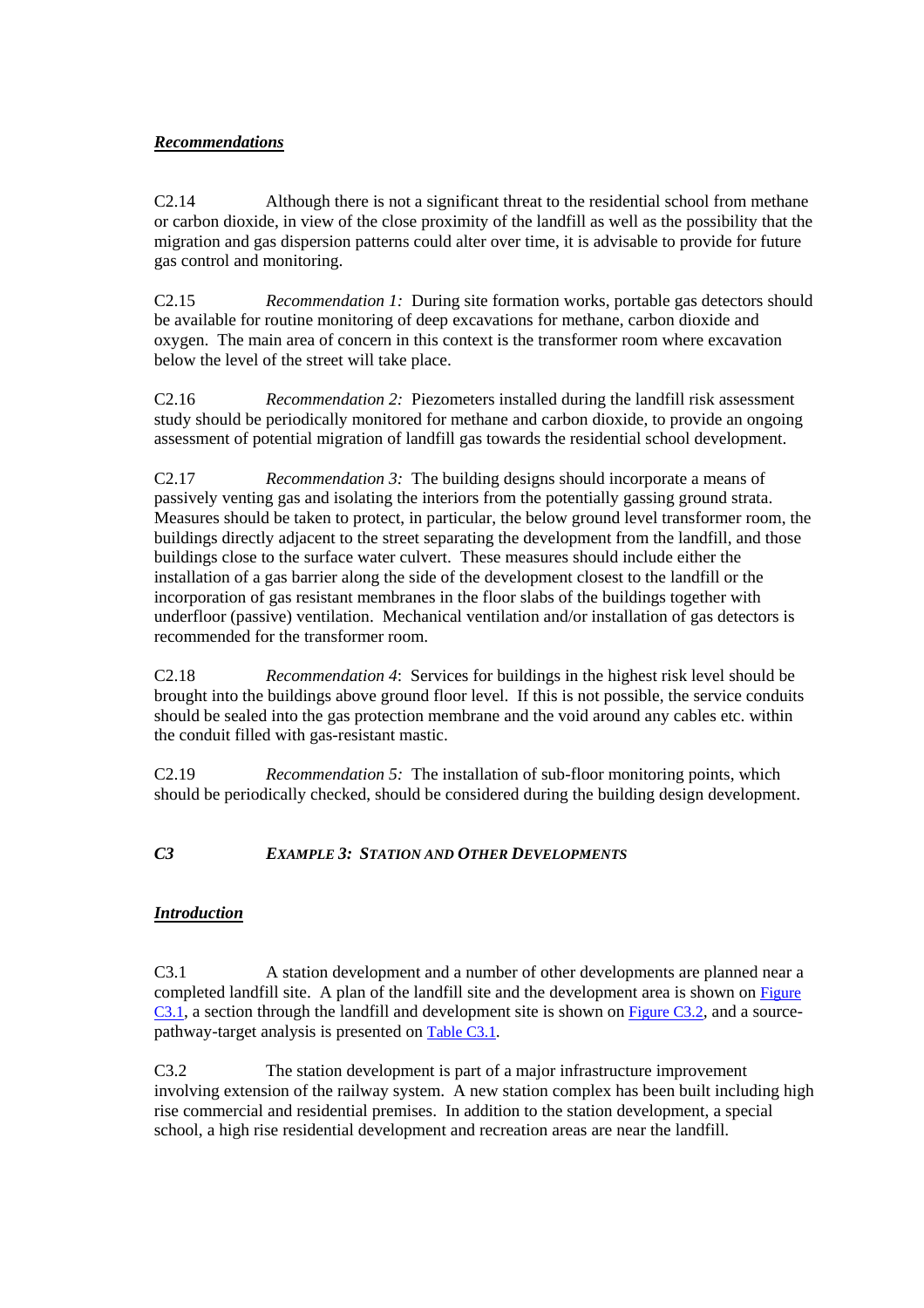## *Recommendations*

C2.14 Although there is not a significant threat to the residential school from methane or carbon dioxide, in view of the close proximity of the landfill as well as the possibility that the migration and gas dispersion patterns could alter over time, it is advisable to provide for future gas control and monitoring.

C2.15 *Recommendation 1:* During site formation works, portable gas detectors should be available for routine monitoring of deep excavations for methane, carbon dioxide and oxygen. The main area of concern in this context is the transformer room where excavation below the level of the street will take place.

C2.16 *Recommendation 2:* Piezometers installed during the landfill risk assessment study should be periodically monitored for methane and carbon dioxide, to provide an ongoing assessment of potential migration of landfill gas towards the residential school development.

C2.17 *Recommendation 3:* The building designs should incorporate a means of passively venting gas and isolating the interiors from the potentially gassing ground strata. Measures should be taken to protect, in particular, the below ground level transformer room, the buildings directly adjacent to the street separating the development from the landfill, and those buildings close to the surface water culvert. These measures should include either the installation of a gas barrier along the side of the development closest to the landfill or the incorporation of gas resistant membranes in the floor slabs of the buildings together with underfloor (passive) ventilation. Mechanical ventilation and/or installation of gas detectors is recommended for the transformer room.

C2.18 *Recommendation 4*: Services for buildings in the highest risk level should be brought into the buildings above ground floor level. If this is not possible, the service conduits should be sealed into the gas protection membrane and the void around any cables etc. within the conduit filled with gas-resistant mastic.

C2.19 *Recommendation 5:* The installation of sub-floor monitoring points, which should be periodically checked, should be considered during the building design development.

## *C3 EXAMPLE 3: STATION AND OTHER DEVELOPMENTS*

## *Introduction*

C3.1 A station development and a number of other developments are planned near a completed landfill site. A plan of the landfill site and the development area is shown on Figure C3.1, a section through the landfill and development site is shown on Figure C3.2*,* and a sourcepathway-target analysis is presented on [Table C3.1](#page-74-0)*.*

C3.2 The station development is part of a major infrastructure improvement involving extension of the railway system. A new station complex has been built including high rise commercial and residential premises. In addition to the station development, a special school, a high rise residential development and recreation areas are near the landfill.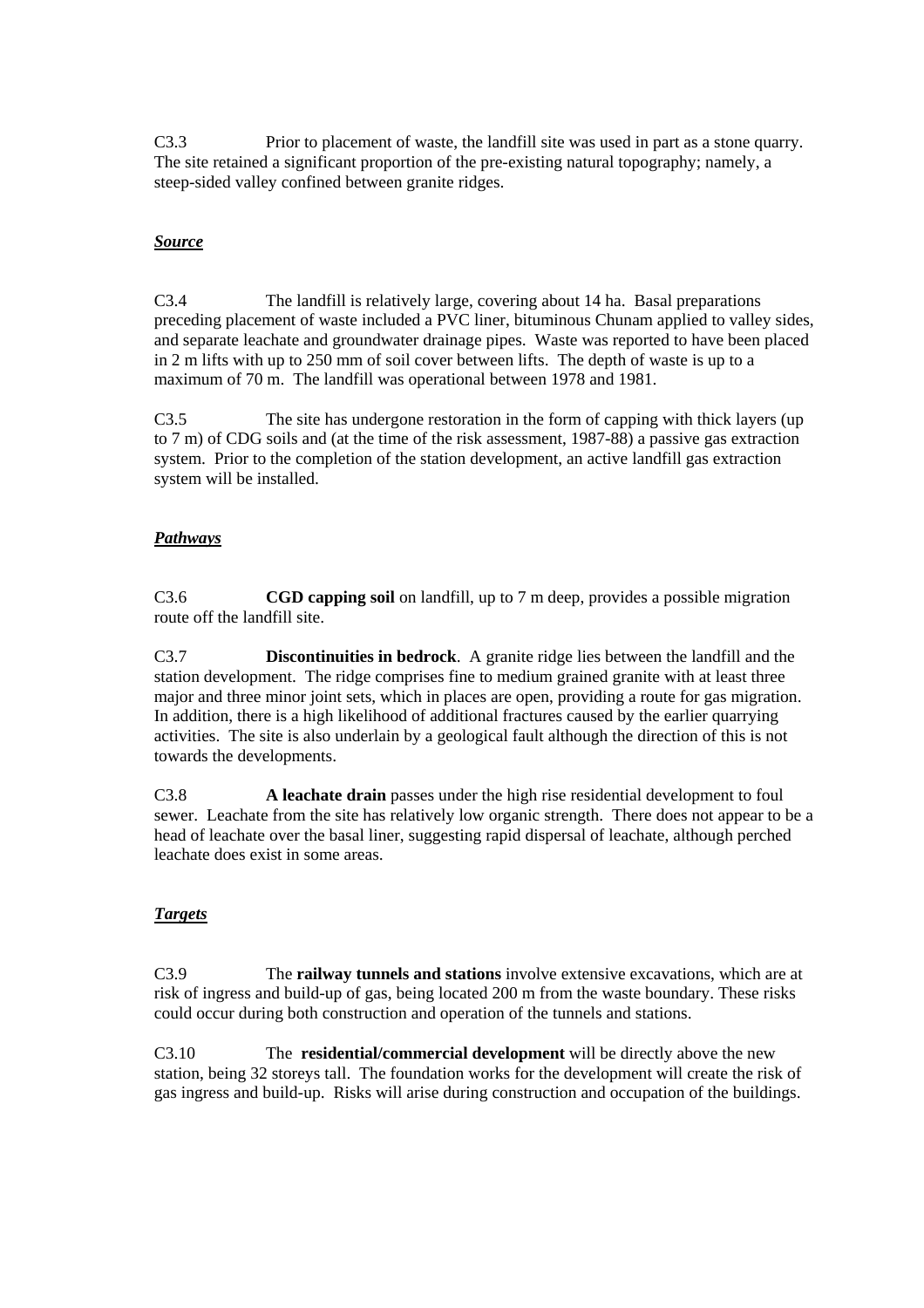C3.3 Prior to placement of waste, the landfill site was used in part as a stone quarry. The site retained a significant proportion of the pre-existing natural topography; namely, a steep-sided valley confined between granite ridges.

### *Source*

C3.4 The landfill is relatively large, covering about 14 ha. Basal preparations preceding placement of waste included a PVC liner, bituminous Chunam applied to valley sides, and separate leachate and groundwater drainage pipes. Waste was reported to have been placed in 2 m lifts with up to 250 mm of soil cover between lifts. The depth of waste is up to a maximum of 70 m. The landfill was operational between 1978 and 1981.

C3.5 The site has undergone restoration in the form of capping with thick layers (up to 7 m) of CDG soils and (at the time of the risk assessment, 1987-88) a passive gas extraction system. Prior to the completion of the station development, an active landfill gas extraction system will be installed.

#### *Pathways*

C3.6 **CGD capping soil** on landfill, up to 7 m deep, provides a possible migration route off the landfill site.

C3.7 **Discontinuities in bedrock**. A granite ridge lies between the landfill and the station development. The ridge comprises fine to medium grained granite with at least three major and three minor joint sets, which in places are open, providing a route for gas migration. In addition, there is a high likelihood of additional fractures caused by the earlier quarrying activities. The site is also underlain by a geological fault although the direction of this is not towards the developments.

C3.8 **A leachate drain** passes under the high rise residential development to foul sewer. Leachate from the site has relatively low organic strength. There does not appear to be a head of leachate over the basal liner, suggesting rapid dispersal of leachate, although perched leachate does exist in some areas.

## *Targets*

C3.9 The **railway tunnels and stations** involve extensive excavations, which are at risk of ingress and build-up of gas, being located 200 m from the waste boundary. These risks could occur during both construction and operation of the tunnels and stations.

C3.10 The **residential/commercial development** will be directly above the new station, being 32 storeys tall. The foundation works for the development will create the risk of gas ingress and build-up. Risks will arise during construction and occupation of the buildings.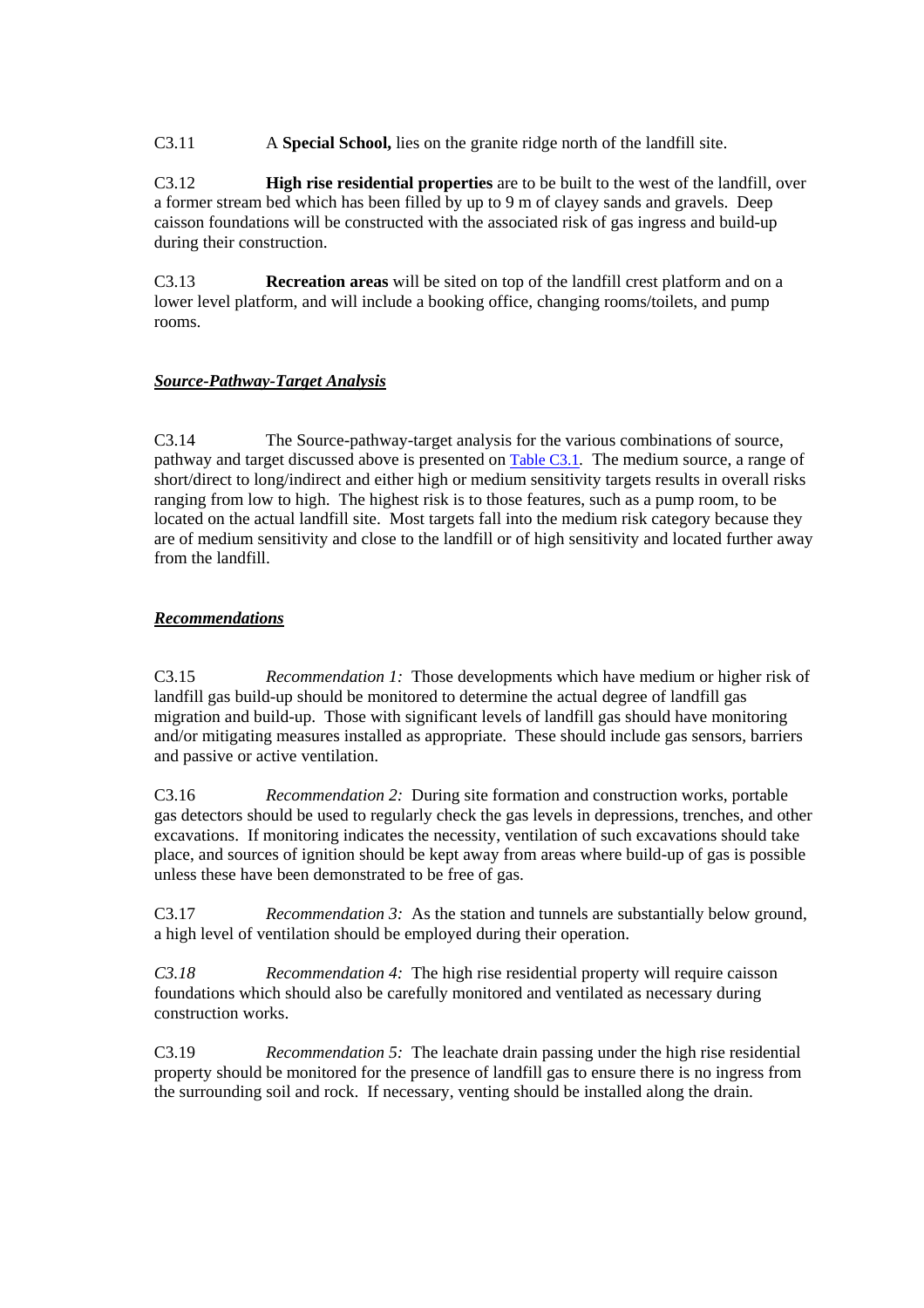C3.11 A **Special School,** lies on the granite ridge north of the landfill site.

C3.12 **High rise residential properties** are to be built to the west of the landfill, over a former stream bed which has been filled by up to 9 m of clayey sands and gravels. Deep caisson foundations will be constructed with the associated risk of gas ingress and build-up during their construction.

C3.13 **Recreation areas** will be sited on top of the landfill crest platform and on a lower level platform, and will include a booking office, changing rooms/toilets, and pump rooms.

## *Source-Pathway-Target Analysis*

C3.14 The Source-pathway-target analysis for the various combinations of source, pathway and target discussed above is presented o[n Table C3.1](#page-74-0)*.* The medium source, a range of short/direct to long/indirect and either high or medium sensitivity targets results in overall risks ranging from low to high. The highest risk is to those features, such as a pump room, to be located on the actual landfill site. Most targets fall into the medium risk category because they are of medium sensitivity and close to the landfill or of high sensitivity and located further away from the landfill.

## *Recommendations*

C3.15 *Recommendation 1:* Those developments which have medium or higher risk of landfill gas build-up should be monitored to determine the actual degree of landfill gas migration and build-up. Those with significant levels of landfill gas should have monitoring and/or mitigating measures installed as appropriate. These should include gas sensors, barriers and passive or active ventilation.

C3.16 *Recommendation 2:* During site formation and construction works, portable gas detectors should be used to regularly check the gas levels in depressions, trenches, and other excavations. If monitoring indicates the necessity, ventilation of such excavations should take place, and sources of ignition should be kept away from areas where build-up of gas is possible unless these have been demonstrated to be free of gas.

C3.17 *Recommendation 3:* As the station and tunnels are substantially below ground, a high level of ventilation should be employed during their operation.

*C3.18 Recommendation 4:* The high rise residential property will require caisson foundations which should also be carefully monitored and ventilated as necessary during construction works.

C3.19 *Recommendation 5:* The leachate drain passing under the high rise residential property should be monitored for the presence of landfill gas to ensure there is no ingress from the surrounding soil and rock. If necessary, venting should be installed along the drain.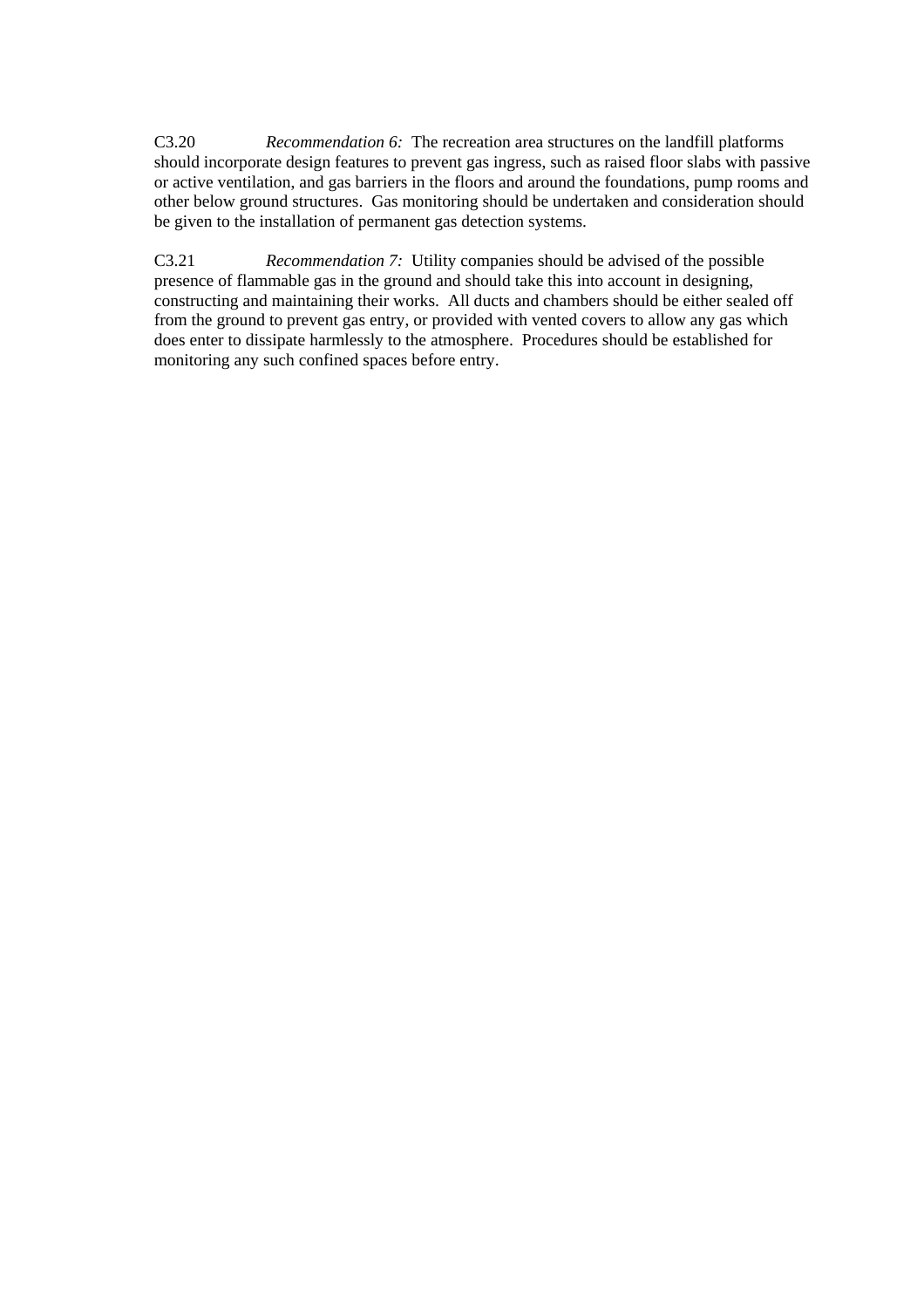C3.20 *Recommendation 6:* The recreation area structures on the landfill platforms should incorporate design features to prevent gas ingress, such as raised floor slabs with passive or active ventilation, and gas barriers in the floors and around the foundations, pump rooms and other below ground structures. Gas monitoring should be undertaken and consideration should be given to the installation of permanent gas detection systems.

C3.21 *Recommendation 7:* Utility companies should be advised of the possible presence of flammable gas in the ground and should take this into account in designing, constructing and maintaining their works. All ducts and chambers should be either sealed off from the ground to prevent gas entry, or provided with vented covers to allow any gas which does enter to dissipate harmlessly to the atmosphere. Procedures should be established for monitoring any such confined spaces before entry.